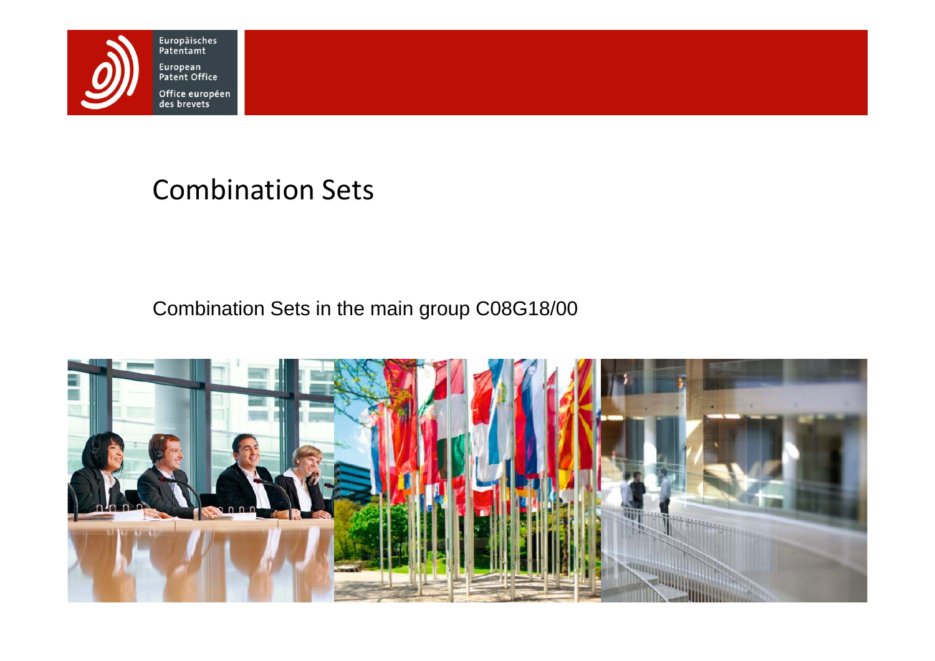

# Combination Sets

Combination Sets in the main group C08G18/00

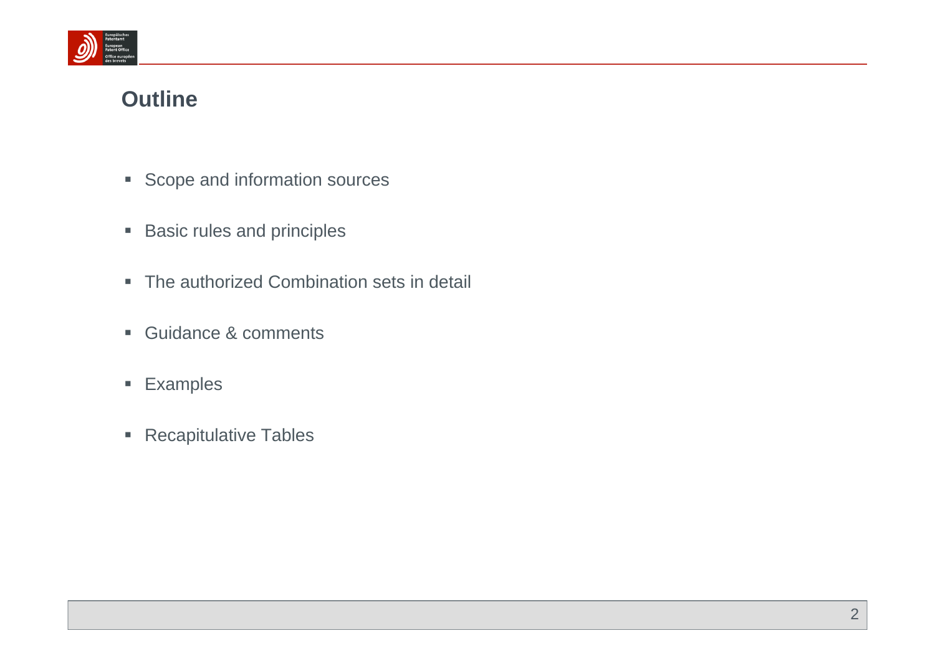

# **Outline**

- **Scope and information sources**
- $\blacksquare$ Basic rules and principles
- The authorized Combination sets in detail
- **Guidance & comments**
- **Examples**
- **Recapitulative Tables**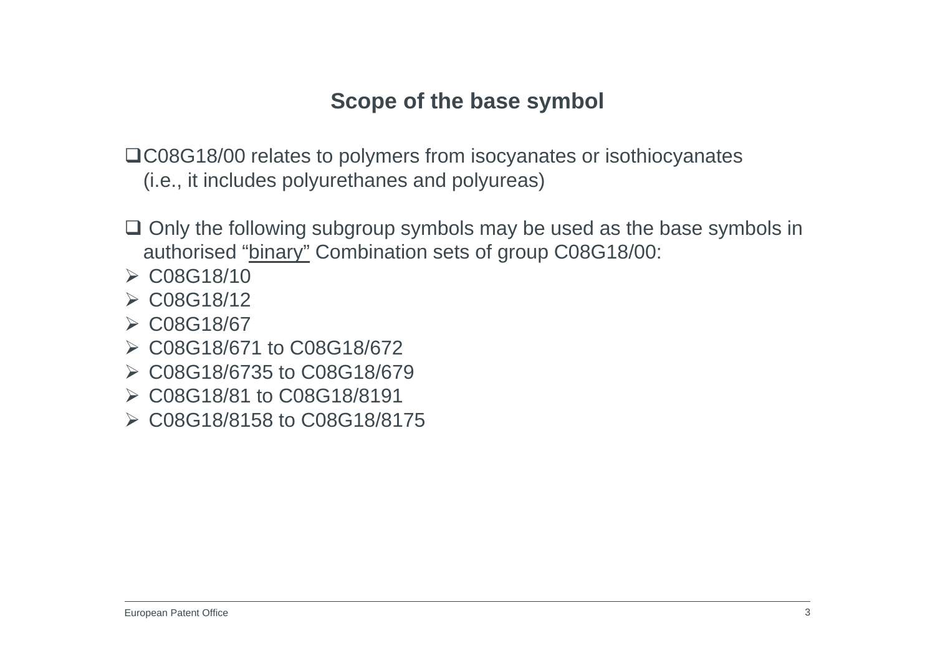# **Scope of the base symbol**

C08G18/00 relates to polymers from isocyanates or isothiocyanates (i.e., it includes polyurethanes and polyureas)

- $\Box$  Only the following subgroup symbols may be used as the base symbols in authorised "binary" Combination sets of group C08G18/00:
- $\triangleright$  C08G18/10
- $\triangleright$  C08G18/12
- C08G18/67
- C08G18/671 to C08G18/672
- C08G18/6735 to C08G18/679
- C08G18/81 to C08G18/8191
- C08G18/8158 to C08G18/8175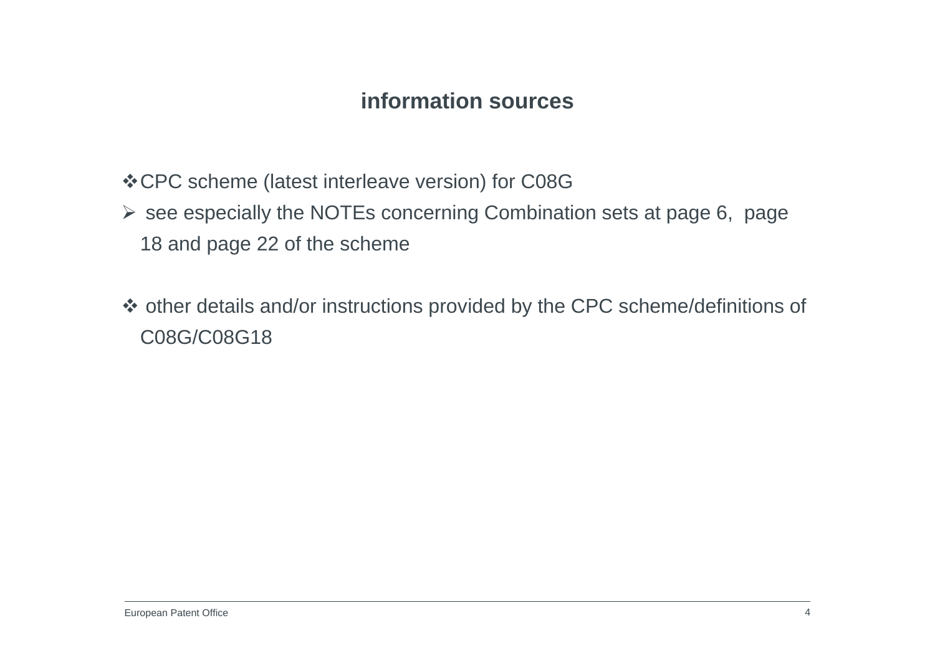### **information sources**

- CPC scheme (latest interleave version) for C08G
- $\triangleright$  see especially the NOTEs concerning Combination sets at page 6, page 18 and page 22 of the scheme
- other details and/or instructions provided by the CPC scheme/definitions of C08G/C08G18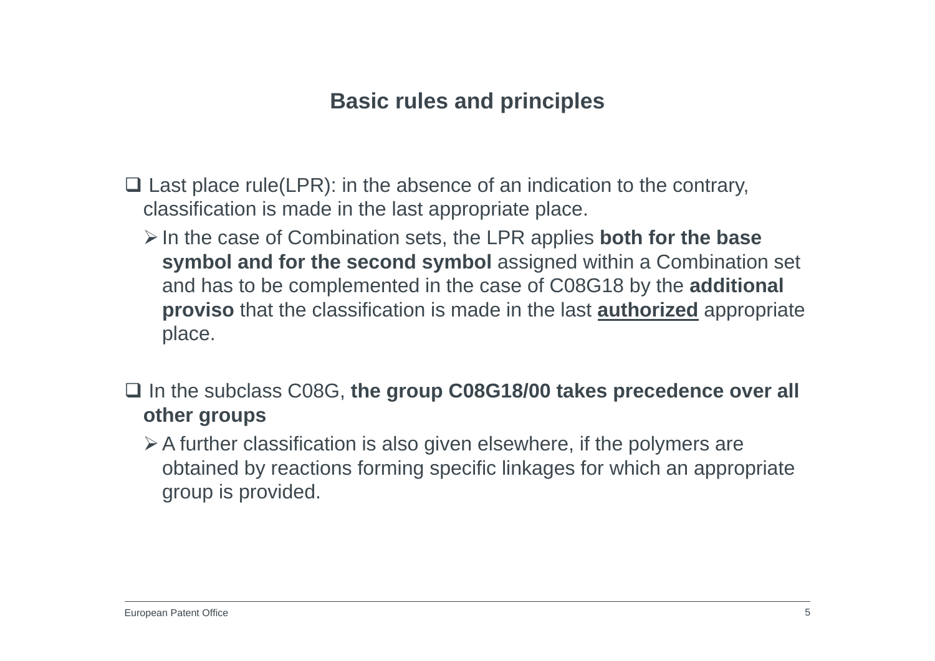# **Basic rules and principles**

- $\Box$  Last place rule(LPR): in the absence of an indication to the contrary, classification is made in the last appropriate place.
	- In the case of Combination sets, the LPR applies **both for the base symbol and for the second symbol** assigned within a Combination set and has to be complemented in the case of C08G18 by the **additional proviso** that the classification is made in the last **authorized** appropriate place.
- In the subclass C08G, **the group C08G18/00 takes precedence over all other groups**
	- $\triangleright$  A further classification is also given elsewhere, if the polymers are obtained by reactions forming specific linkages for which an appropriate group is provided.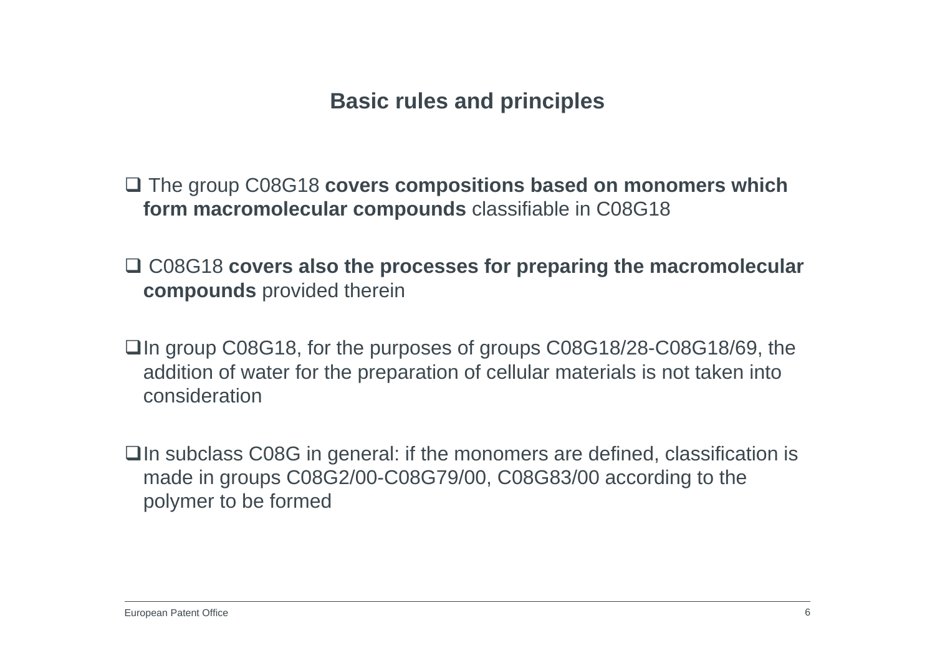# **Basic rules and principles**

 The group C08G18 **covers compositions based on monomers which form macromolecular compounds** classifiable in C08G18

- □ C08G18 covers also the processes for preparing the macromolecular **compounds** provided therein
- □In group C08G18, for the purposes of groups C08G18/28-C08G18/69, the addition of water for the preparation of cellular materials is not taken into consideration
- $\Box$  In subclass C08G in general: if the monomers are defined, classification is made in groups C08G2/00-C08G79/00, C08G83/00 according to the polymer to be formed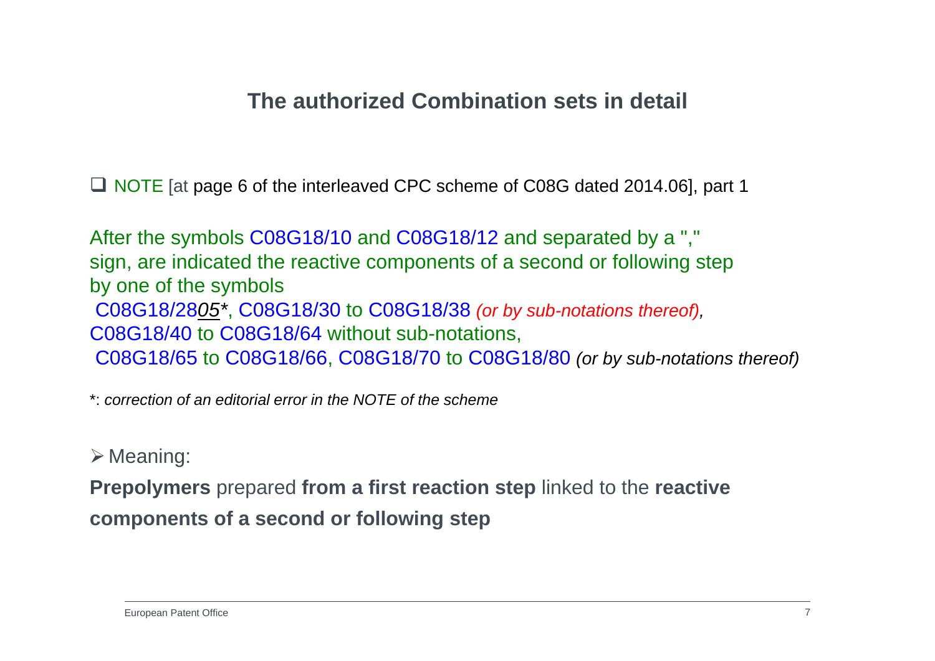### **The authorized Combination sets in detail**

■ NOTE [at page 6 of the interleaved CPC scheme of C08G dated 2014.06], part 1

After the symbols C08G18/10 and C08G18/12 and separated by a "," sign, are indicated the reactive components of a second or following step by one of the symbols C08G18/28*05\**, C08G18/30 to C08G18/38 *(or by sub-notations thereof),* C08G18/40 to C08G18/64 without sub-notations, C08G18/65 to C08G18/66, C08G18/70 to C08G18/80 *(or by sub-notations thereof)*

\*: *correction of an editorial error in the NOTE of the scheme*

 $\triangleright$  Meaning:

**Prepolymers** prepared **from a first reaction step** linked to the **reactive components of a second or following step**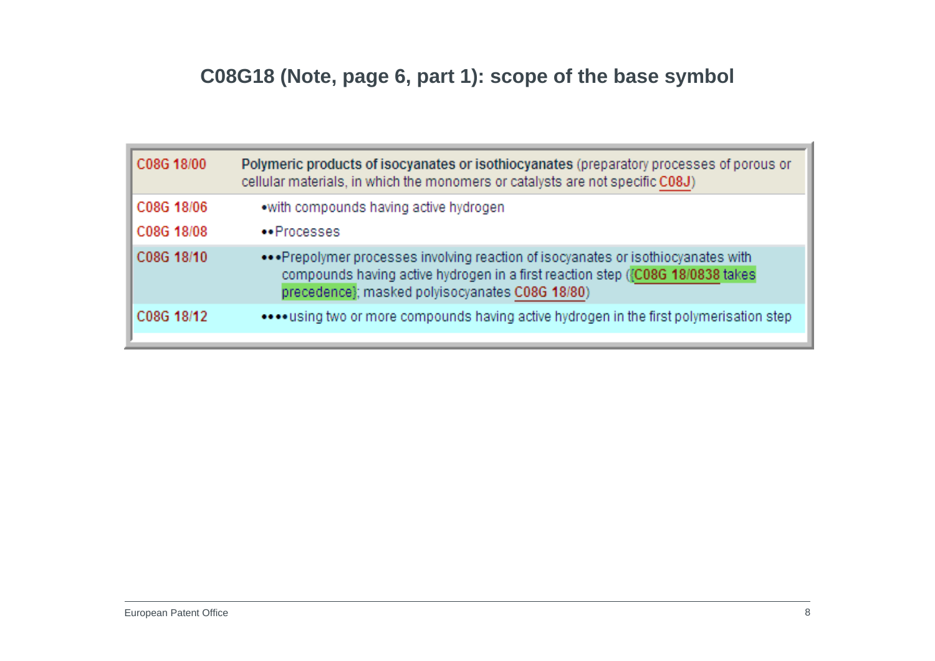# **C08G18 (Note, page 6, part 1): scope of the base symbol**

| C08G 18/00 | Polymeric products of isocyanates or isothiocyanates (preparatory processes of porous or<br>cellular materials, in which the monomers or catalysts are not specific C08J)                                               |
|------------|-------------------------------------------------------------------------------------------------------------------------------------------------------------------------------------------------------------------------|
| C08G 18/06 | .with compounds having active hydrogen                                                                                                                                                                                  |
| C08G 18/08 | •• Processes                                                                                                                                                                                                            |
| C08G 18/10 | ••• Prepolymer processes involving reaction of isocyanates or isothiocyanates with<br>compounds having active hydrogen in a first reaction step ({C08G 18/0838 takes<br>precedence}; masked polyisocyanates C08G 18/80) |
| C08G 18/12 | using two or more compounds having active hydrogen in the first polymerisation step                                                                                                                                     |
|            |                                                                                                                                                                                                                         |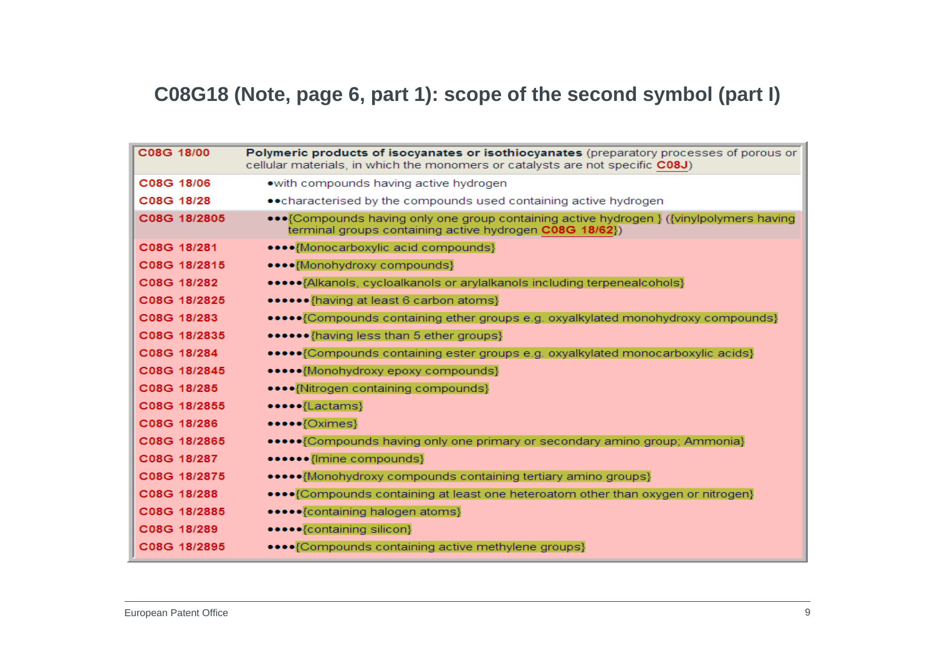### **C08G18 (Note, page 6, part 1): scope of the second symbol (part I)**

| C08G 18/00   | Polymeric products of isocyanates or isothiocyanates (preparatory processes of porous or<br>cellular materials, in which the monomers or catalysts are not specific C08J) |
|--------------|---------------------------------------------------------------------------------------------------------------------------------------------------------------------------|
| C08G 18/06   | • with compounds having active hydrogen                                                                                                                                   |
| C08G 18/28   | • • characterised by the compounds used containing active hydrogen                                                                                                        |
| C08G 18/2805 | ••• {Compounds having only one group containing active hydrogen } ({vinylpolymers having<br>terminal groups containing active hydrogen C08G 18/62})                       |
| C08G 18/281  | •••• {Monocarboxylic acid compounds}                                                                                                                                      |
| C08G 18/2815 | ••••{Monohydroxy compounds}                                                                                                                                               |
| C08G 18/282  | •••••• Alkanols, cycloalkanols or arylalkanols including terpenealcohols}                                                                                                 |
| C08G 18/2825 | •••••• {having at least 6 carbon atoms}                                                                                                                                   |
| C08G 18/283  | ••••• {Compounds containing ether groups e.g. oxyalkylated monohydroxy compounds}                                                                                         |
| C08G 18/2835 | •••••• {having less than 5 ether groups}                                                                                                                                  |
| C08G 18/284  | ••••• {Compounds containing ester groups e.g. oxyalkylated monocarboxylic acids}                                                                                          |
| C08G 18/2845 | ••••• {Monohydroxy epoxy compounds}                                                                                                                                       |
| C08G 18/285  | ••••{Nitrogen containing compounds}                                                                                                                                       |
| C08G 18/2855 | •••••{Lactams}                                                                                                                                                            |
| C08G 18/286  | $\bullet \bullet \bullet \bullet \{\text{Oximes}\}$                                                                                                                       |
| C08G 18/2865 | ••••• {Compounds having only one primary or secondary amino group; Ammonia}                                                                                               |
| C08G 18/287  | ••••••{Imine compounds}                                                                                                                                                   |
| C08G 18/2875 | ••••• Monohydroxy compounds containing tertiary amino groups}                                                                                                             |
| C08G 18/288  | •••• (Compounds containing at least one heteroatom other than oxygen or nitrogen)                                                                                         |
| C08G 18/2885 | ••••• {containing halogen atoms}                                                                                                                                          |
| C08G 18/289  | •••••{containing silicon}                                                                                                                                                 |
| C08G 18/2895 | •••• {Compounds containing active methylene groups}                                                                                                                       |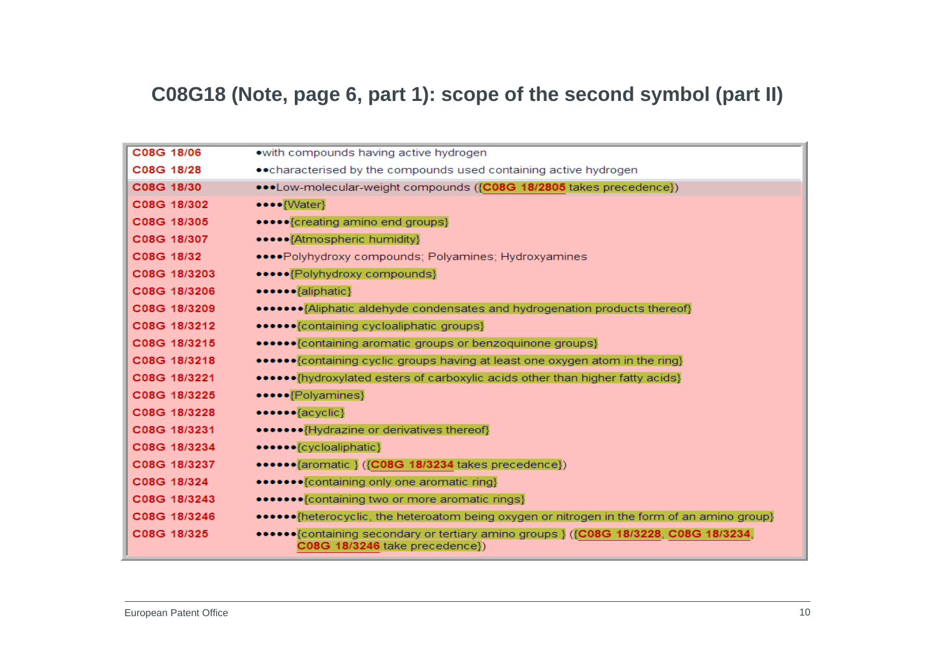#### **C08G18 (Note, page 6, part 1): scope of the second symbol (part II)**

| C08G 18/06   | .with compounds having active hydrogen                                                                                  |
|--------------|-------------------------------------------------------------------------------------------------------------------------|
| C08G 18/28   | • • characterised by the compounds used containing active hydrogen                                                      |
| C08G 18/30   | •••Low-molecular-weight compounds ({C08G 18/2805 takes precedence})                                                     |
| C08G 18/302  | ••••{Water}                                                                                                             |
| C08G 18/305  | •••••{creating amino end groups}                                                                                        |
| C08G 18/307  | ••••••{Atmospheric humidity}                                                                                            |
| C08G 18/32   | •••• Polyhydroxy compounds; Polyamines; Hydroxyamines                                                                   |
| C08G 18/3203 | ••••• {Polyhydroxy compounds}                                                                                           |
| C08G 18/3206 | ••••••{aliphatic}                                                                                                       |
| C08G 18/3209 | •••••••• (Aliphatic aldehyde condensates and hydrogenation products thereof)                                            |
| C08G 18/3212 | ••••••{containing cycloaliphatic groups}                                                                                |
| C08G 18/3215 | •••••• {containing aromatic groups or benzoquinone groups}                                                              |
| C08G 18/3218 | ••••••• {containing cyclic groups having at least one oxygen atom in the ring}                                          |
| C08G 18/3221 | •••••• {hydroxylated esters of carboxylic acids other than higher fatty acids}                                          |
| C08G 18/3225 | •••••{Polyamines}                                                                                                       |
| C08G 18/3228 | $\bullet \bullet \bullet \bullet \bullet \{ \text{acyclic} \}$                                                          |
| C08G 18/3231 | •••••••{Hydrazine or derivatives thereof}                                                                               |
| C08G 18/3234 | •••••• {cycloaliphatic}                                                                                                 |
| C08G 18/3237 | •••••• {aromatic } ({C08G 18/3234 takes precedence})                                                                    |
| C08G 18/324  | •••••••{containing only one aromatic ring}                                                                              |
| C08G 18/3243 | ••••••• {containing two or more aromatic rings}                                                                         |
| C08G 18/3246 | ••••••• (heterocyclic, the heteroatom being oxygen or nitrogen in the form of an amino group)                           |
| C08G 18/325  | •••••• [containing secondary or tertiary amino groups } ({C08G 18/3228, C08G 18/3234,<br>C08G 18/3246 take precedence}) |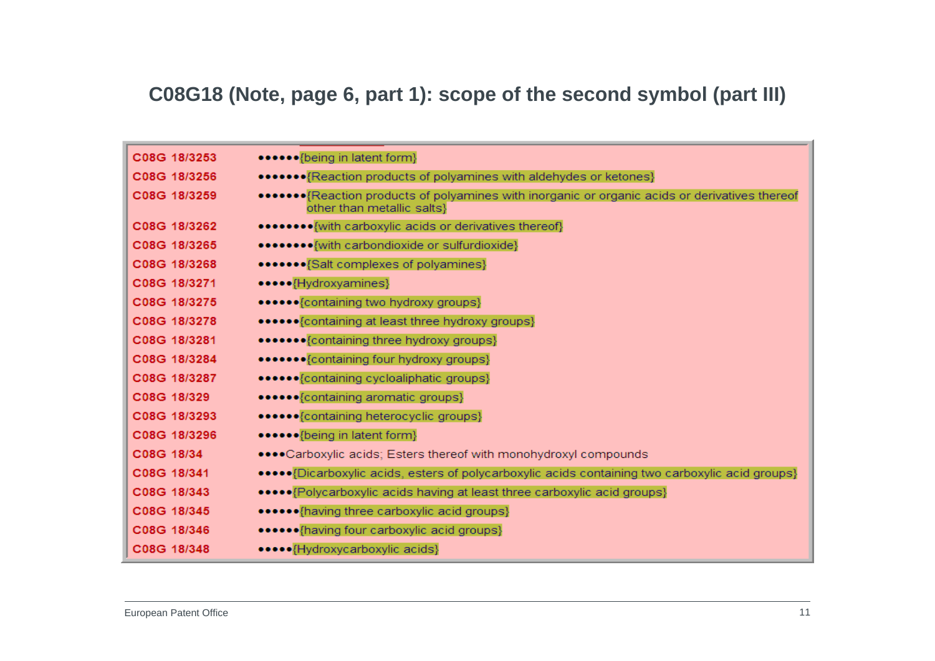#### **C08G18 (Note, page 6, part 1): scope of the second symbol (part III)**

| C08G 18/3253 | ••••••{being in latent form}                                                                                                  |
|--------------|-------------------------------------------------------------------------------------------------------------------------------|
| C08G 18/3256 | •••••••• (Reaction products of polyamines with aldehydes or ketones)                                                          |
| C08G 18/3259 | ••••••• {Reaction products of polyamines with inorganic or organic acids or derivatives thereof<br>other than metallic salts} |
| C08G 18/3262 | ••••••••{with carboxylic acids or derivatives thereof}                                                                        |
| C08G 18/3265 | ••••••••{with carbondioxide or sulfurdioxide}                                                                                 |
| C08G 18/3268 | ••••••• {Salt complexes of polyamines}                                                                                        |
| C08G 18/3271 | •••••{Hydroxyamines}                                                                                                          |
| C08G 18/3275 | ••••••{containing two hydroxy groups}                                                                                         |
| C08G 18/3278 | •••••• {containing at least three hydroxy groups}                                                                             |
| C08G 18/3281 | ••••••• {containing three hydroxy groups}                                                                                     |
| C08G 18/3284 | •••••••{containing four hydroxy groups}                                                                                       |
| C08G 18/3287 | ••••••{containing cycloaliphatic groups}                                                                                      |
| C08G 18/329  | ••••••{containing aromatic groups}                                                                                            |
| C08G 18/3293 | ••••••{containing heterocyclic groups}                                                                                        |
| C08G 18/3296 | ••••••{being in latent form}                                                                                                  |
| C08G 18/34   | •••• Carboxylic acids; Esters thereof with monohydroxyl compounds                                                             |
| C08G 18/341  | ••••• {Dicarboxylic acids, esters of polycarboxylic acids containing two carboxylic acid groups}                              |
| C08G 18/343  | ••••• [Polycarboxylic acids having at least three carboxylic acid groups]                                                     |
| C08G 18/345  | •••••• {having three carboxylic acid groups}                                                                                  |
| C08G 18/346  | ••••••{having four carboxylic acid groups}                                                                                    |
| C08G 18/348  | •••••{Hydroxycarboxylic acids}                                                                                                |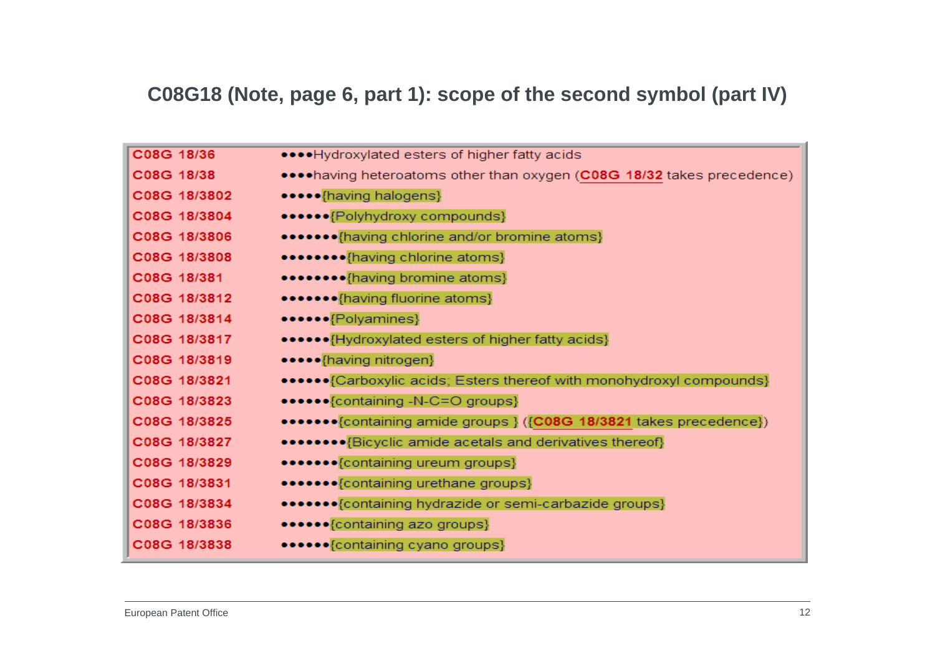# **C08G18 (Note, page 6, part 1): scope of the second symbol (part IV)**

| C08G 18/36   | •••• Hydroxylated esters of higher fatty acids                          |
|--------------|-------------------------------------------------------------------------|
| C08G 18/38   | •••• having heteroatoms other than oxygen (C08G 18/32 takes precedence) |
| C08G 18/3802 | •••••{having halogens}                                                  |
| C08G 18/3804 | ••••••{Polyhydroxy compounds}                                           |
| C08G 18/3806 | ••••••• {having chlorine and/or bromine atoms}                          |
| C08G 18/3808 | ••••••••{having chlorine atoms}                                         |
| C08G 18/381  | •••••••• {having bromine atoms}                                         |
| C08G 18/3812 | •••••••{having fluorine atoms}                                          |
| C08G 18/3814 | ••••••{Polyamines}                                                      |
| C08G 18/3817 | ••••••• {Hydroxylated esters of higher fatty acids}                     |
| C08G 18/3819 | •••••{having nitrogen}                                                  |
| C08G 18/3821 | •••••• {Carboxylic acids; Esters thereof with monohydroxyl compounds}   |
| C08G 18/3823 | ••••••{containing -N-C=O groups}                                        |
| C08G 18/3825 | •••••••• {containing amide groups } ({C08G 18/3821 takes precedence})   |
| C08G 18/3827 | •••••••••{Bicyclic amide acetals and derivatives thereof}               |
| C08G 18/3829 | ••••••• {containing ureum groups}                                       |
| C08G 18/3831 | ••••••• {containing urethane groups}                                    |
| C08G 18/3834 | ••••••• {containing hydrazide or semi-carbazide groups}                 |
| C08G 18/3836 | ••••••{containing azo groups}                                           |
| C08G 18/3838 | •••••• {containing cyano groups}                                        |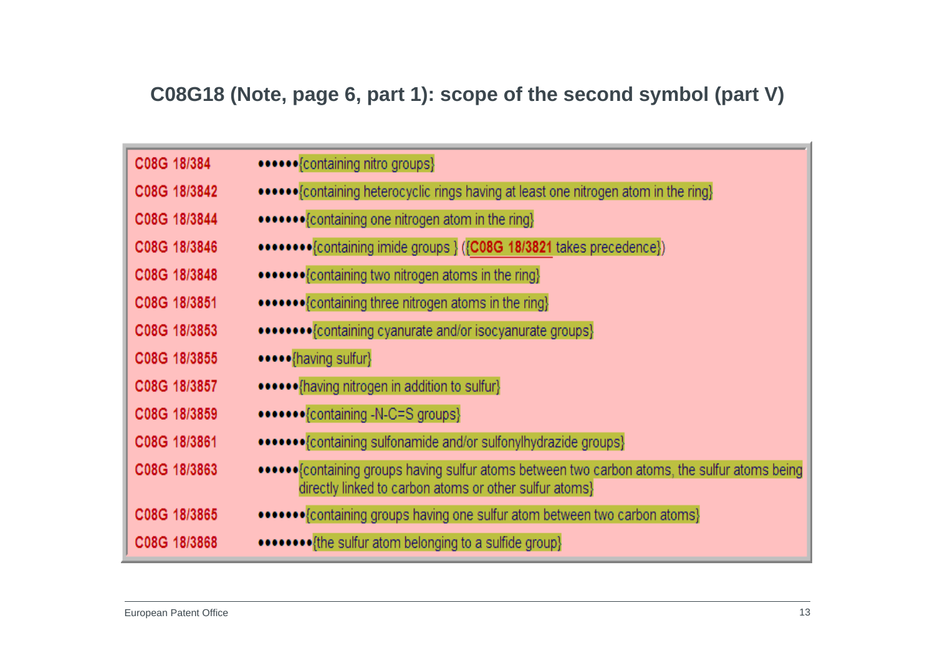### **C08G18 (Note, page 6, part 1): scope of the second symbol (part V)**

| C08G 18/384  | ••••••{containing nitro groups}                                                                                                                         |
|--------------|---------------------------------------------------------------------------------------------------------------------------------------------------------|
| C08G 18/3842 | ••••••• (containing heterocyclic rings having at least one nitrogen atom in the ring)                                                                   |
| C08G 18/3844 | •••••••{containing one nitrogen atom in the ring}                                                                                                       |
| C08G 18/3846 | ••••••••• (containing imide groups } ((C08G 18/3821 takes precedence))                                                                                  |
| C08G 18/3848 | •••••••{containing two nitrogen atoms in the ring}                                                                                                      |
| C08G 18/3851 | •••••••{containing three nitrogen atoms in the ring}                                                                                                    |
| C08G 18/3853 | •••••••••{containing cyanurate and/or isocyanurate groups}                                                                                              |
| C08G 18/3855 | •••••{having sulfur}                                                                                                                                    |
| C08G 18/3857 | •••••• {having nitrogen in addition to sulfur}                                                                                                          |
| C08G 18/3859 | •••••••{containing -N-C=S groups}                                                                                                                       |
| C08G 18/3861 | •••••••{containing sulfonamide and/or sulfonylhydrazide groups}                                                                                         |
| C08G 18/3863 | ••••••{containing groups having sulfur atoms between two carbon atoms, the sulfur atoms being<br>directly linked to carbon atoms or other sulfur atoms} |
| C08G 18/3865 | •••••••{containing groups having one sulfur atom between two carbon atoms}                                                                              |
| C08G 18/3868 | ••••••••{the sulfur atom belonging to a sulfide group}                                                                                                  |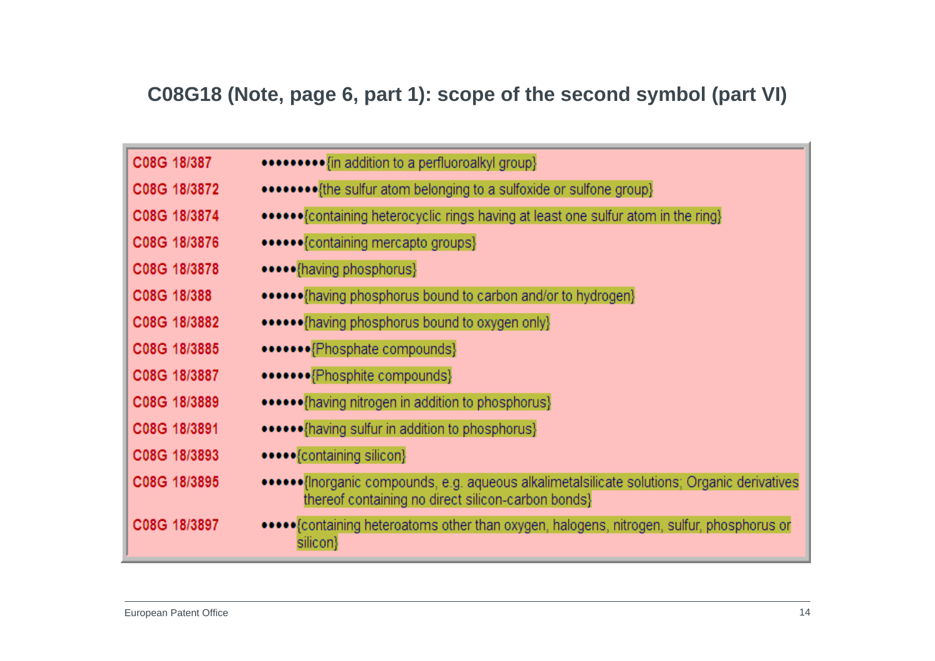### **C08G18 (Note, page 6, part 1): scope of the second symbol (part VI)**

| C08G 18/387  | •••••••••• <i>[in addition to a perfluoroalkyl group</i> }                                                                                         |
|--------------|----------------------------------------------------------------------------------------------------------------------------------------------------|
| C08G 18/3872 |                                                                                                                                                    |
| C08G 18/3874 | ••••••• (containing heterocyclic rings having at least one sulfur atom in the ring)                                                                |
| C08G 18/3876 | •••••• {containing mercapto groups}                                                                                                                |
| C08G 18/3878 | •••••{having phosphorus}                                                                                                                           |
| C08G 18/388  | •••••• (having phosphorus bound to carbon and/or to hydrogen)                                                                                      |
| C08G 18/3882 | ••••••{having phosphorus bound to oxygen only}                                                                                                     |
| C08G 18/3885 | •••••••{Phosphate compounds}                                                                                                                       |
| C08G 18/3887 | •••••••{Phosphite compounds}                                                                                                                       |
| C08G 18/3889 | ••••••{having nitrogen in addition to phosphorus}                                                                                                  |
| C08G 18/3891 | ••••••• {having sulfur in addition to phosphorus}                                                                                                  |
| C08G 18/3893 | •••••{containing silicon}                                                                                                                          |
| C08G 18/3895 | •••••••{Inorganic compounds, e.g. aqueous alkalimetalsilicate solutions; Organic derivatives<br>thereof containing no direct silicon-carbon bonds} |
| C08G 18/3897 | •••••• Containing heteroatoms other than oxygen, halogens, nitrogen, sulfur, phosphorus or<br>silicon}                                             |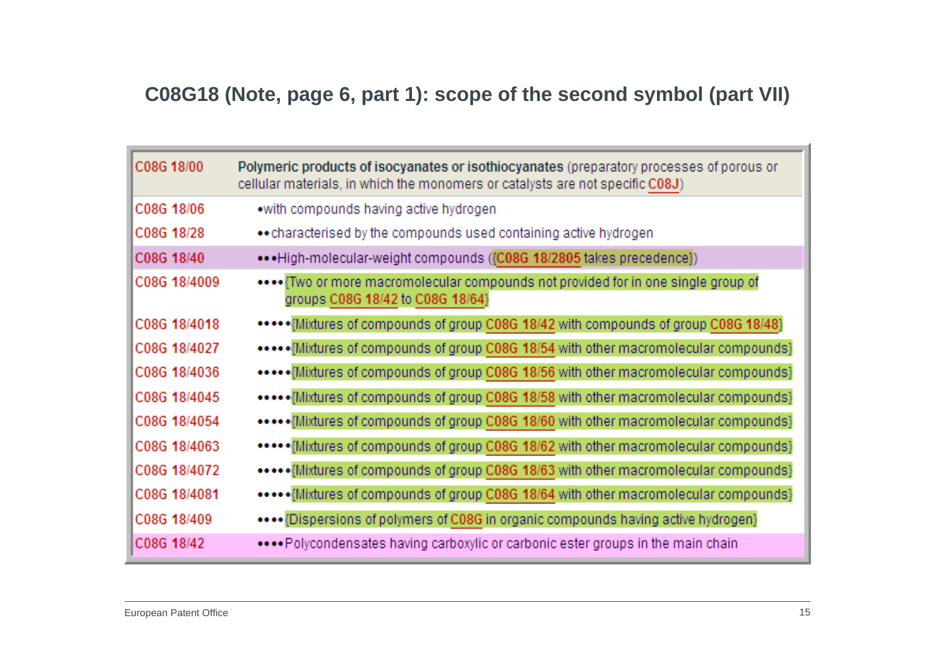# **C08G18 (Note, page 6, part 1): scope of the second symbol (part VII)**

| C08G 18/00   | Polymeric products of isocyanates or isothiocyanates (preparatory processes of porous or<br>cellular materials, in which the monomers or catalysts are not specific C08J) |
|--------------|---------------------------------------------------------------------------------------------------------------------------------------------------------------------------|
| C08G 18/06   | .with compounds having active hydrogen                                                                                                                                    |
| C08G 18/28   | •• characterised by the compounds used containing active hydrogen                                                                                                         |
| C08G 18/40   | ••• High-molecular-weight compounds ({C08G 18/2805 takes precedence})                                                                                                     |
| C08G 18/4009 | **** Two or more macromolecular compounds not provided for in one single group of<br>groups C08G 18/42 to C08G 18/64}                                                     |
| C08G 18/4018 | ***** Mixtures of compounds of group C08G 18/42 with compounds of group C08G 18/48}                                                                                       |
| C08G 18/4027 | ***** Mixtures of compounds of group C08G 18/54 with other macromolecular compounds}                                                                                      |
| C08G 18/4036 | ***** Mixtures of compounds of group C08G 18/56 with other macromolecular compounds}                                                                                      |
| C08G 18/4045 | ***** Mixtures of compounds of group C08G 18/58 with other macromolecular compounds}                                                                                      |
| C08G 18/4054 | ***** Mixtures of compounds of group C08G 18/60 with other macromolecular compounds}                                                                                      |
| C08G 18/4063 | ***** {Mixtures of compounds of group C08G 18/62 with other macromolecular compounds}                                                                                     |
| C08G 18/4072 | ***** Mixtures of compounds of group C08G 18/63 with other macromolecular compounds}                                                                                      |
| C08G 18/4081 | ***** Mixtures of compounds of group C08G 18/64 with other macromolecular compounds}                                                                                      |
| C08G 18/409  | ••••{Dispersions of polymers of C08G in organic compounds having active hydrogen}                                                                                         |
| C08G 18/42   | Polycondensates having carboxylic or carbonic ester groups in the main chain                                                                                              |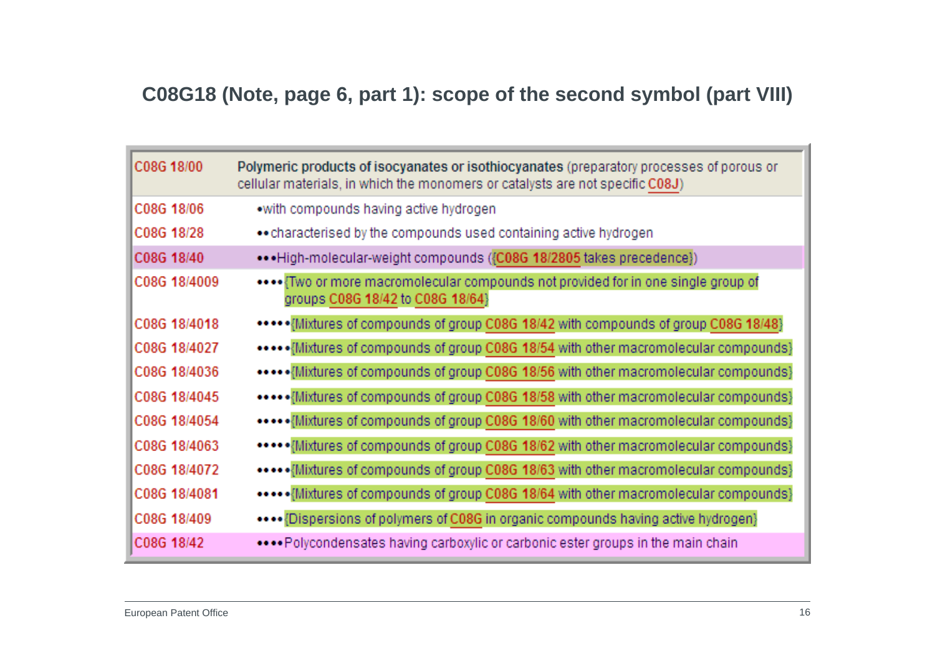### **C08G18 (Note, page 6, part 1): scope of the second symbol (part VIII)**

| C08G 18/00   | Polymeric products of isocyanates or isothiocyanates (preparatory processes of porous or<br>cellular materials, in which the monomers or catalysts are not specific C08J) |
|--------------|---------------------------------------------------------------------------------------------------------------------------------------------------------------------------|
| C08G 18/06   | •with compounds having active hydrogen                                                                                                                                    |
| C08G 18/28   | • characterised by the compounds used containing active hydrogen                                                                                                          |
| C08G 18/40   | ••• High-molecular-weight compounds ({C08G 18/2805 takes precedence})                                                                                                     |
| C08G 18/4009 | **** {Two or more macromolecular compounds not provided for in one single group of<br>groups C08G 18/42 to C08G 18/64}                                                    |
| C08G 18/4018 | ***** Mixtures of compounds of group C08G 18/42 with compounds of group C08G 18/48}                                                                                       |
| C08G 18/4027 | *****{Mixtures of compounds of group C08G 18/54 with other macromolecular compounds}                                                                                      |
| C08G 18/4036 | ***** {Mixtures of compounds of group C08G 18/56 with other macromolecular compounds}                                                                                     |
| C08G 18/4045 | ***** {Mixtures of compounds of group C08G 18/58 with other macromolecular compounds}                                                                                     |
| C08G 18/4054 | ***** {Mixtures of compounds of group C08G 18/60 with other macromolecular compounds}                                                                                     |
| C08G 18/4063 | ***** Mixtures of compounds of group C08G 18/62 with other macromolecular compounds}                                                                                      |
| C08G 18/4072 | ••••••{Mixtures of compounds of group C08G 18/63 with other macromolecular compounds}                                                                                     |
| C08G 18/4081 | *****{Mixtures of compounds of group C08G 18/64 with other macromolecular compounds}                                                                                      |
| C08G 18/409  | •••• {Dispersions of polymers of C08G in organic compounds having active hydrogen}                                                                                        |
| C08G 18/42   | Polycondensates having carboxylic or carbonic ester groups in the main chain                                                                                              |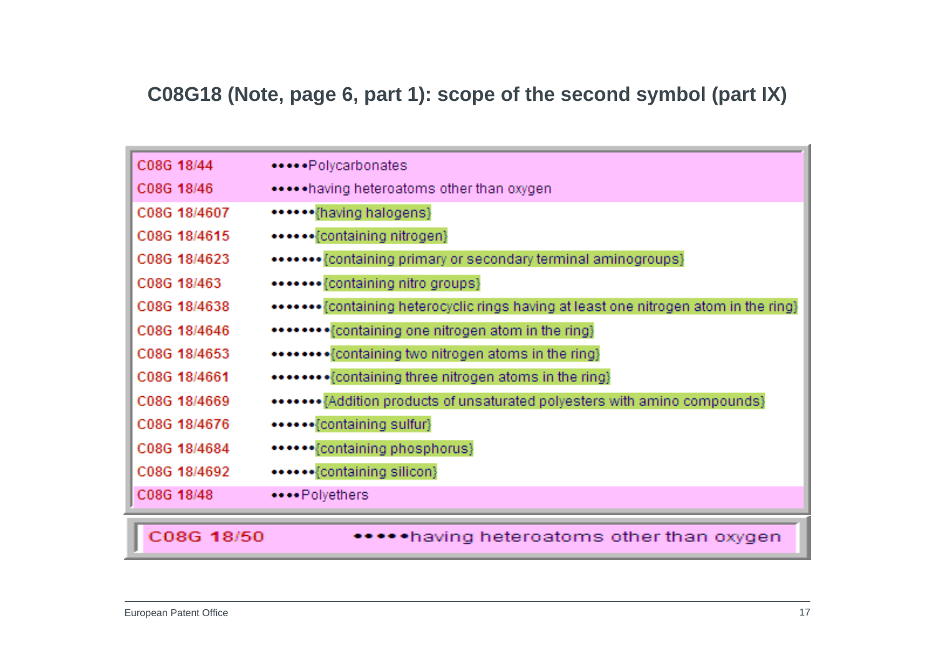# **C08G18 (Note, page 6, part 1): scope of the second symbol (part IX)**

| C08G 18/44   | *****Polycarbonates                                                                   |
|--------------|---------------------------------------------------------------------------------------|
| C08G 18/46   | ***** having heteroatoms other than oxygen                                            |
| C08G 18/4607 | ******{having halogens}                                                               |
| C08G 18/4615 | ••••••{containing nitrogen}                                                           |
| C08G 18/4623 | ******* {containing primary or secondary terminal aminogroups}                        |
| C08G 18/463  | *******{containing nitro groups}                                                      |
| C08G 18/4638 | ******* {containing heterocyclic rings having at least one nitrogen atom in the ring} |
| C08G 18/4646 | ******** {containing one nitrogen atom in the ring}                                   |
| C08G 18/4653 | ******** {containing two nitrogen atoms in the ring}                                  |
| C08G 18/4661 | ******** {containing three nitrogen atoms in the ring}                                |
| C08G 18/4669 | ******* {Addition products of unsaturated polyesters with amino compounds}            |
| C08G 18/4676 | ******{containing sulfur}                                                             |
| C08G 18/4684 | ******{containing phosphorus}                                                         |
| C08G 18/4692 | ******{containing silicon}                                                            |
| C08G 18/48   | ****Polyethers                                                                        |
|              |                                                                                       |
| C08G 18/50   | •having heteroatoms other than oxygen                                                 |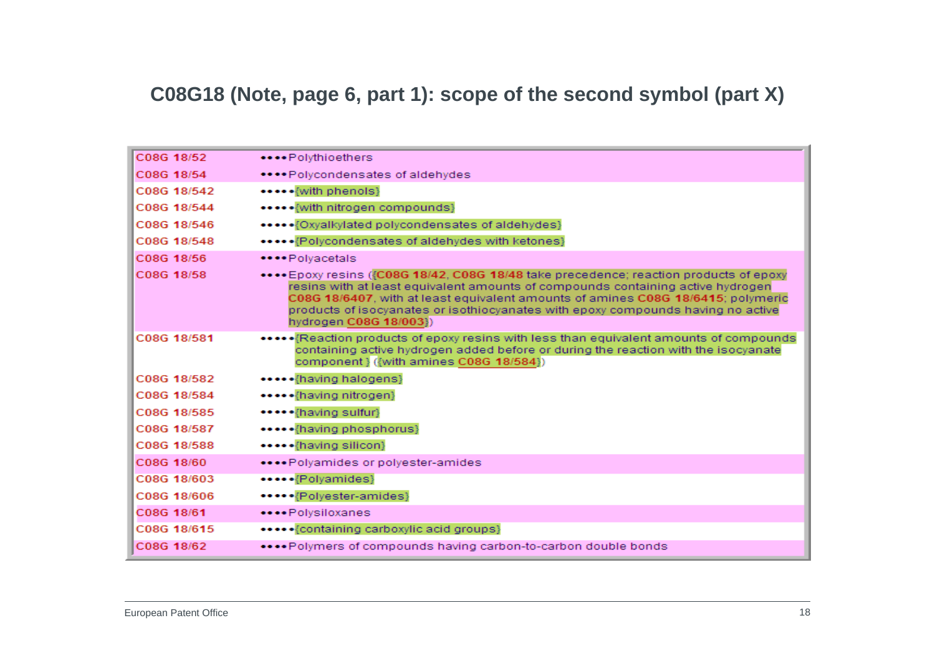#### **C08G18 (Note, page 6, part 1): scope of the second symbol (part X)**

| C08G 18/52  | ****Polythioethers                                                                                                                                                                                                                                                                                                                                                          |
|-------------|-----------------------------------------------------------------------------------------------------------------------------------------------------------------------------------------------------------------------------------------------------------------------------------------------------------------------------------------------------------------------------|
| C08G 18/54  | ****Polycondensates of aldehydes                                                                                                                                                                                                                                                                                                                                            |
| C08G 18/542 | ***** {with phenols}                                                                                                                                                                                                                                                                                                                                                        |
| C08G 18/544 | ***** {with nitrogen compounds}                                                                                                                                                                                                                                                                                                                                             |
| C08G 18/546 | *****{Oxyalkylated polycondensates of aldehydes}                                                                                                                                                                                                                                                                                                                            |
| C08G 18/548 | ***** {Polycondensates of aldehydes with ketones}                                                                                                                                                                                                                                                                                                                           |
| C08G 18/56  | ****Polvacetals                                                                                                                                                                                                                                                                                                                                                             |
| C08G 18/58  | **** Epoxy resins ({C08G 18/42, C08G 18/48 take precedence; reaction products of epoxy<br>resins with at least equivalent amounts of compounds containing active hydrogen<br>C08G 18/6407, with at least equivalent amounts of amines C08G 18/6415; polymeric<br>products of isocyanates or isothiocyanates with epoxy compounds having no active<br>hydrogen C08G 18/003}) |
| C08G 18/581 | *******Reaction products of epoxy resins with less than equivalent amounts of compounds<br>containing active hydrogen added before or during the reaction with the isocyanate<br>component} ({with amines C08G 18/584})                                                                                                                                                     |
| C08G 18/582 | ***** {having halogens}                                                                                                                                                                                                                                                                                                                                                     |
| C08G 18/584 | *****{having nitrogen}                                                                                                                                                                                                                                                                                                                                                      |
| C08G 18/585 | ***** {having sulfur}                                                                                                                                                                                                                                                                                                                                                       |
| C08G 18/587 | ***** {having phosphorus}                                                                                                                                                                                                                                                                                                                                                   |
| C08G 18/588 | *****{having silicon}                                                                                                                                                                                                                                                                                                                                                       |
| C08G 18/60  | ****Polyamides or polyester-amides                                                                                                                                                                                                                                                                                                                                          |
| C08G 18/603 | *****{Polyamides}                                                                                                                                                                                                                                                                                                                                                           |
| C08G 18/606 | *****{Polyester-amides}                                                                                                                                                                                                                                                                                                                                                     |
| C08G 18/61  | ****Polysiloxanes                                                                                                                                                                                                                                                                                                                                                           |
| C08G 18/615 | ***** {containing carboxylic acid groups}                                                                                                                                                                                                                                                                                                                                   |
| C08G 18/62  | ****Polymers of compounds having carbon-to-carbon double bonds                                                                                                                                                                                                                                                                                                              |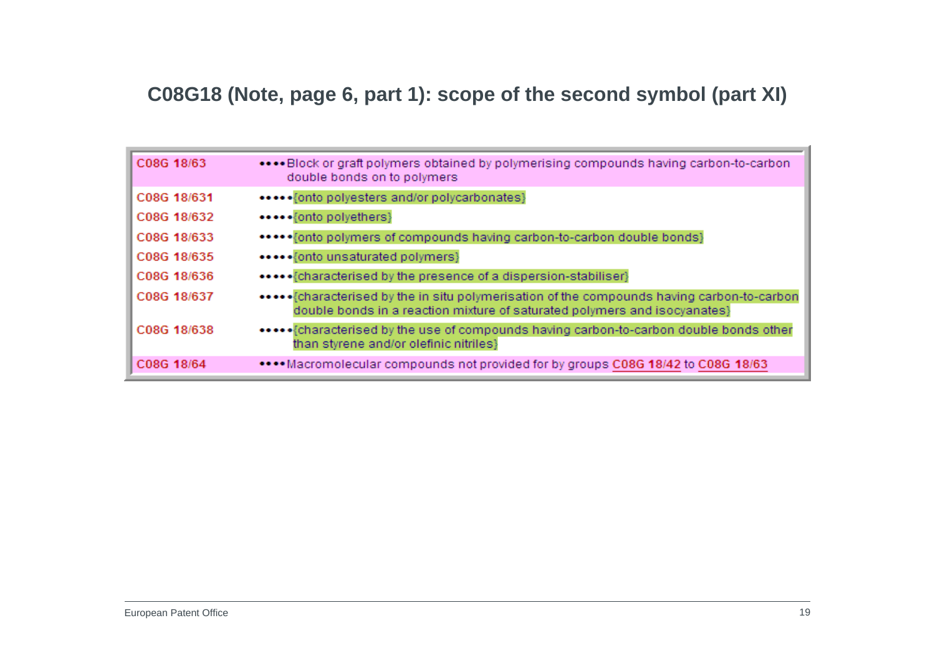#### **C08G18 (Note, page 6, part 1): scope of the second symbol (part XI)**

| C08G 18/63  | Block or graft polymers obtained by polymerising compounds having carbon-to-carbon<br>double bonds on to polymers |
|-------------|-------------------------------------------------------------------------------------------------------------------|
| C08G 18/631 | *****{onto polyesters and/or polycarbonates}                                                                      |
| C08G 18/632 | •••••{onto polyethers}                                                                                            |
| C08G 18/633 | ****** fonto polymers of compounds having carbon-to-carbon double bonds}                                          |
| C08G 18/635 | ***** {onto unsaturated polymers}                                                                                 |
| C08G 18/636 |                                                                                                                   |
| C08G 18/637 | double bonds in a reaction mixture of saturated polymers and isocyanates}                                         |
| C08G 18/638 | than styrene and/or olefinic nitriles}                                                                            |
| C08G 18/64  | •••• Macromolecular compounds not provided for by groups C08G 18/42 to C08G 18/63                                 |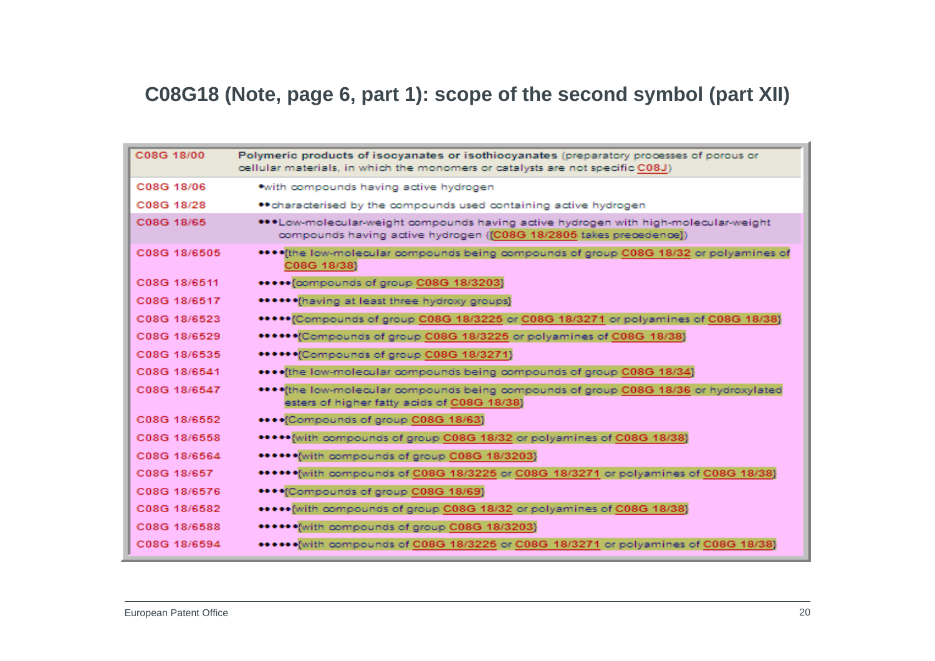# **C08G18 (Note, page 6, part 1): scope of the second symbol (part XII)**

| C08G 18/00   | Polymeric products of isocyanates or isothiocyanates (preparatory processes of porous or<br>oellular materials, in which the monomers or catalysts are not specific C08J) |
|--------------|---------------------------------------------------------------------------------------------------------------------------------------------------------------------------|
| C08G 18/06   | *with compounds having active hydrogen                                                                                                                                    |
| C08G 18/28   | ** characterised by the compounds used containing active hydrogen                                                                                                         |
| C08G 18/65   | ***Low-molecular-weight compounds having active hydrogen with high-molecular-weight<br>compounds having active hydrogen ({C08G 18/2805 takes precedence})                 |
| C08G 18/6505 | **** (the low-molecular compounds being compounds of group C08G 18/32 or polyamines of<br>C08G 18/38}                                                                     |
| C08G 18/6511 | ***** {compounds of group C08G 18/3203}                                                                                                                                   |
| C08G 18/6517 | ****** (having at least three hydroxy groups)                                                                                                                             |
| C08G 18/6523 | ***** [Compounds of group C08G 18/3225 or C08G 18/3271 or polyamines of C08G 18/38]                                                                                       |
| C08G 18/6529 | ***** Compounds of group C08G 18/3225 or polyamines of C08G 18/38}                                                                                                        |
| C08G 18/6535 | ****** Compounds of group C08G 18/3271}                                                                                                                                   |
| C08G 18/6541 | **** (the low-molecular compounds being compounds of group C08G 18/34)                                                                                                    |
| C08G 18/6547 | **** (the low-molecular compounds being compounds of group C08G 18/36 or hydroxylated<br>esters of higher fatty acids of C08G 18/38}                                      |
| C08G 18/6552 | **** Compounds of group C08G 18/63}                                                                                                                                       |
| C08G 18/6558 | ***** with compounds of group C08G 18/32 or polyamines of C08G 18/38}                                                                                                     |
| C08G 18/6564 | ****** with compounds of group C08G 18/3203}                                                                                                                              |
| C08G 18/657  | ****** With compounds of C08G 18/3225 or C08G 18/3271 or polyamines of C08G 18/38}                                                                                        |
| C08G 18/6576 | **** (Compounds of group C08G 18/69)                                                                                                                                      |
| C08G 18/6582 | ***** [with compounds of group C08G 18/32 or polyamines of C08G 18/38]                                                                                                    |
| C08G 18/6588 | ****** (with compounds of group C08G 18/3203)                                                                                                                             |
| C08G 18/6594 | ****** with compounds of C08G 18/3225 or C08G 18/3271 or polyamines of C08G 18/38}                                                                                        |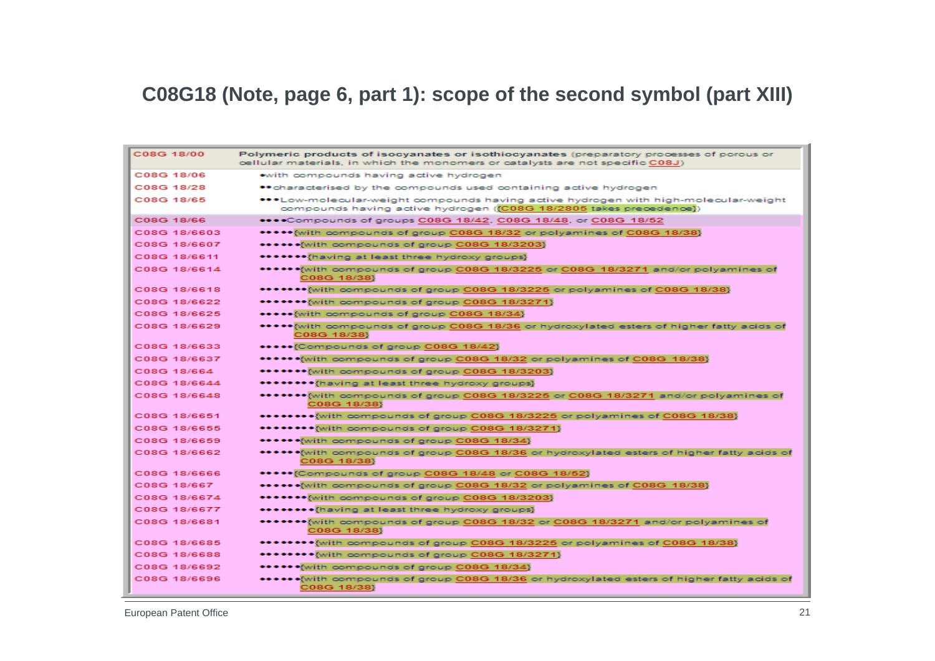#### **C08G18 (Note, page 6, part 1): scope of the second symbol (part XIII)**

| C08G 18/00   | Polymeric products of isocyanates or isothiocyanates (preparatory processes of porous or<br>cellular materials, in which the monomers or catalysts are not specific C08J) |
|--------------|---------------------------------------------------------------------------------------------------------------------------------------------------------------------------|
| C08G 18/06   | with compounds having active hydrogen                                                                                                                                     |
| C08G 18/28   | ** characterised by the compounds used containing active hydrogen                                                                                                         |
| C08G 18/65   | ***Low-molecular-weight compounds having active hydrogen with high-molecular-weight<br>compounds having active hydrogen ((C08G 18/2805 takes precedence))                 |
| C08G 18/66   | ****Compounds of groups C08G 18/42, C08G 18/48, or C08G 18/52                                                                                                             |
| C08G 18/6603 | ***** {with compounds of group C08G 18/32 or polyamines of C08G 18/38}                                                                                                    |
| C08G 18/6607 | ****** with compounds of group C08G 18/3203}                                                                                                                              |
| C08G 18/6611 | ******* having at least three hydroxy groups}                                                                                                                             |
| C08G 18/6614 | ******{with compounds of group C08G 18/3225 or C08G 18/3271 and/or polyamines of<br>C08G 18/38}                                                                           |
| C08G 18/6618 | *******{with compounds of group C08G 18/3225 or polyamines of C08G 18/38}                                                                                                 |
| C08G 18/6622 | ******* with compounds of group C08G 18/3271}                                                                                                                             |
| C08G 18/6625 | ***** [with compounds of group C08G 18/34]                                                                                                                                |
| C08G 18/6629 | ***** [with compounds of group C08G 18/36 or hydroxylated esters of higher fatty acids of<br>C08G 18/38}                                                                  |
| C08G 18/6633 | *****{Compounds of group C08G 18/42}                                                                                                                                      |
| C08G 18/6637 | ******(with compounds of group C08G 18/32 or polyamines of C08G 18/38)                                                                                                    |
| C08G 18/664  | ******* with compounds of group C08G 18/3203}                                                                                                                             |
| C08G 18/6644 | *******{having at least three hydroxy groups}                                                                                                                             |
| C08G 18/6648 | *******{with compounds of group C08G 18/3225 or C08G 18/3271 and/or polyamines of<br>C08G 18/38}                                                                          |
| C08G 18/6651 | ********{with compounds of group C08G 18/3225 or polyamines of C08G 18/38}                                                                                                |
| C08G 18/6655 | ********{with compounds of group C08G 18/3271}                                                                                                                            |
| C08G 18/6659 | ******{with compounds of group C08G 18/34}                                                                                                                                |
| C08G 18/6662 | ******{with compounds of group C08G 18/36 or hydroxylated esters of higher fatty acids of<br>C08G 18/38}                                                                  |
| C08G 18/6666 | *****{Compounds of group C08G 18/48 or C08G 18/52}                                                                                                                        |
| C08G 18/667  | ******(with compounds of group C08G 18/32 or polyamines of C08G 18/38)                                                                                                    |
| C08G 18/6674 | ******{with compounds of group C08G 18/3203}                                                                                                                              |
| C08G 18/6677 | ******** (having at least three hydroxy groups)                                                                                                                           |
| C08G 18/6681 | ******* with compounds of group C08G 18/32 or C08G 18/3271 and/or polyamines of<br>C08G 18/38}                                                                            |
| C08G 18/6685 | ********{with compounds of group C08G 18/3225 or polyamines of C08G 18/38}                                                                                                |
| C08G 18/6688 | ********{with compounds of group C08G 18/3271}                                                                                                                            |
| C08G 18/6692 | ****** with compounds of group C08G 18/34}                                                                                                                                |
| C08G 18/6696 | ****** with compounds of group C08G 18/36 or hydroxylated esters of higher fatty acids of<br>C08G 18/38}                                                                  |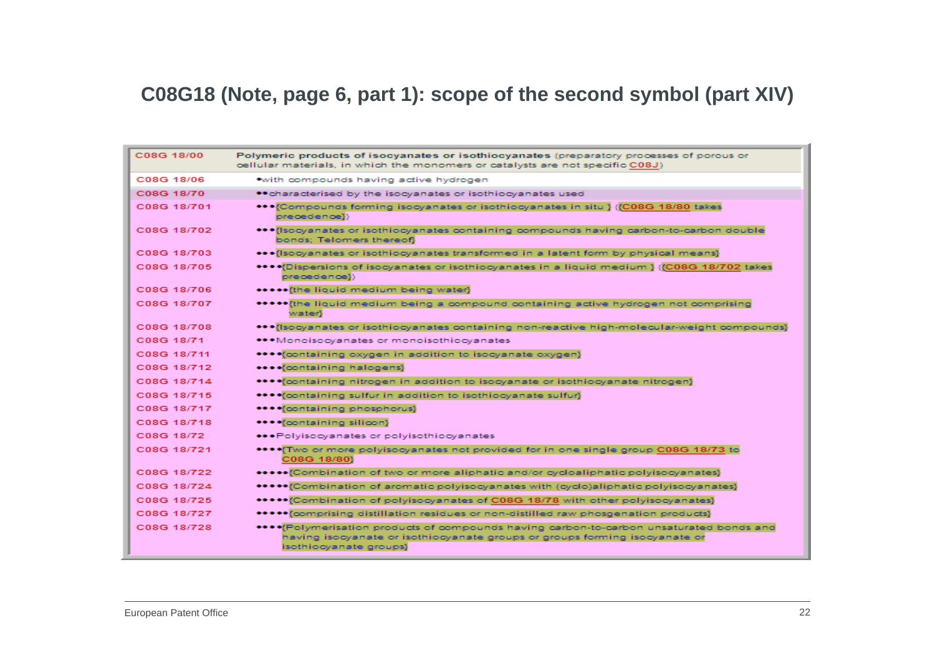#### **C08G18 (Note, page 6, part 1): scope of the second symbol (part XIV)**

| C08G 18/00  | Polymeric products of isocyanates or isothiocyanates (preparatory processes of porous or<br>oellular materials, in which the monomers or catalysts are not specific C08J)                        |
|-------------|--------------------------------------------------------------------------------------------------------------------------------------------------------------------------------------------------|
| C08G 18/06  | • with compounds having active hydrogen                                                                                                                                                          |
| C08G 18/70  | ** characterised by the isocyanates or isothiocyanates used                                                                                                                                      |
| C08G 18/701 | ***{Compounds forming isocyanates or isothiocyanates in situ } {{C08G 18/80 takes<br>precedence}}                                                                                                |
| C08G 18/702 | *** (Isocyanates or isothiocyanates containing compounds having carbon-to-carbon double<br>bonds; Telomers thereof}                                                                              |
| C08G 18/703 | ••• (Isocyanates or isothiocyanates transformed in a latent form by physical means)                                                                                                              |
| C08G 18/705 | ******Dispersions of isocyanates or isothiocyanates in a liquid medium } {{C08G 18/702 takes<br>precedence})                                                                                     |
| C08G 18/706 | ***** {the liquid medium being water}                                                                                                                                                            |
| C08G 18/707 | ***** the liquid medium being a compound containing active hydrogen not comprising<br>water}                                                                                                     |
| C08G 18/708 | ***{Isocyanates or isothiocyanates containing non-reactive high-molecular-weight compounds}                                                                                                      |
| C08G 18/71  | ***Monoisocyanates or monoisothiocyanates                                                                                                                                                        |
| C08G 18/711 | **** foontaining oxygen in addition to isocyanate oxygen}                                                                                                                                        |
| C08G 18/712 | **** (containing halogens)                                                                                                                                                                       |
| C08G 18/714 | **** foontaining nitrogen in addition to isocyanate or isothiocyanate nitrogen}                                                                                                                  |
| C08G 18/715 | **** foontaining sulfur in addition to isothiocyanate sulfur}                                                                                                                                    |
| C08G 18/717 | **** (containing phosphorus)                                                                                                                                                                     |
| C08G 18/718 | ****{containing silicon}                                                                                                                                                                         |
| C08G 18/72  | ◆◆◆Polyisocyanates or polyisothiocyanates                                                                                                                                                        |
| C08G 18/721 | **** Two or more polyisocyanates not provided for in one single group C08G 18/73 to<br>C08G 18/80}                                                                                               |
| C08G 18/722 |                                                                                                                                                                                                  |
| C08G 18/724 | ******{Combination of aromatic polyisocyanates with (cyclo)aliphatic polyisocyanates}                                                                                                            |
| C08G 18/725 | ****** (Combination of polyisocyanates of C08G 18/78 with other polyisocyanates)                                                                                                                 |
| C08G 18/727 | ****** (comprising distillation residues or non-distilled raw phosgenation products)                                                                                                             |
| C08G 18/728 | **** [Polymerisation products of compounds having carbon-to-carbon unsaturated bonds and<br>having isocyanate or isothiocyanate groups or groups forming isocyanate or<br>isothiocyanate groups} |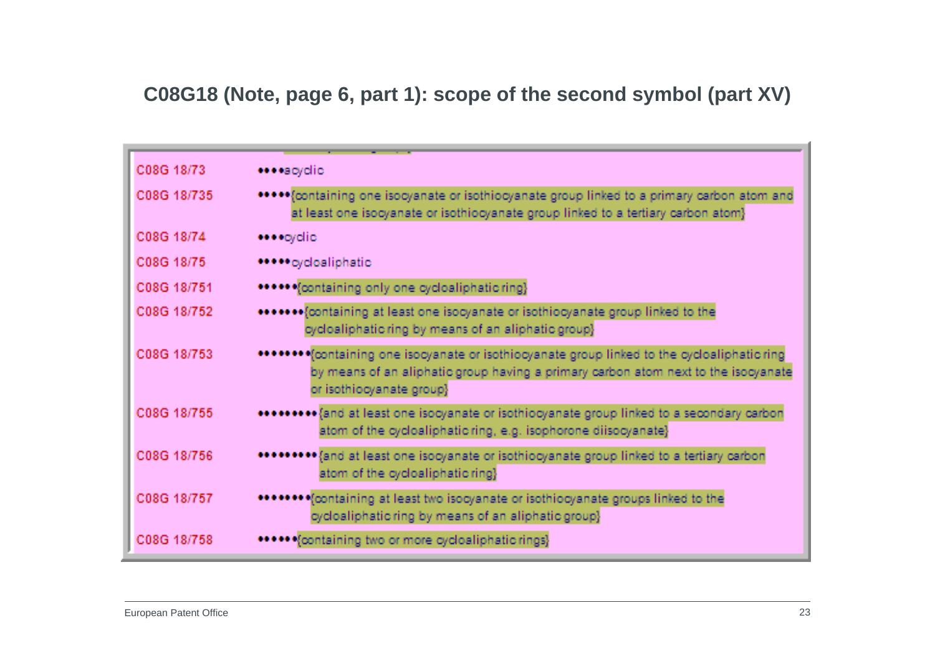### **C08G18 (Note, page 6, part 1): scope of the second symbol (part XV)**

| C08G 18/73  | ****acyclic                                                                                                                                                                                                   |
|-------------|---------------------------------------------------------------------------------------------------------------------------------------------------------------------------------------------------------------|
| C08G 18/735 | ***** foontaining one isocyanate or isothiocyanate group linked to a primary carbon atom and<br>at least one isocyanate or isothiocyanate group linked to a tertiary carbon atom}                             |
| C08G 18/74  | ****cyclic                                                                                                                                                                                                    |
| C08G 18/75  | ****** cycloaliphatic                                                                                                                                                                                         |
| C08G 18/751 | ******{containing only one cycloaliphatic ring}                                                                                                                                                               |
| C08G 18/752 | ******* (containing at least one isocyanate or isothiocyanate group linked to the<br>cycloaliphatic ring by means of an aliphatic group}                                                                      |
| C08G 18/753 | *******{containing one isocyanate or isothiocyanate group linked to the cycloaliphatic ring<br>by means of an aliphatic group having a primary carbon atom next to the isocyanate<br>or isothiocyanate group} |
| C08G 18/755 | ****** and at least one isocyanate or isothiocyanate group linked to a secondary carbon<br>atom of the cycloaliphatic ring, e.g. isophorone diisocyanate}                                                     |
| C08G 18/756 | {and at least one isocyanate or isothiocyanate group linked to a tertiary carbon<br>atom of the cycloaliphatic ring}                                                                                          |
| C08G 18/757 | ******** (containing at least two isocyanate or isothiocyanate groups linked to the<br>cycloaliphatic ring by means of an aliphatic group}                                                                    |
| C08G 18/758 | • •• • (containing two or more cycloaliphatic rings)                                                                                                                                                          |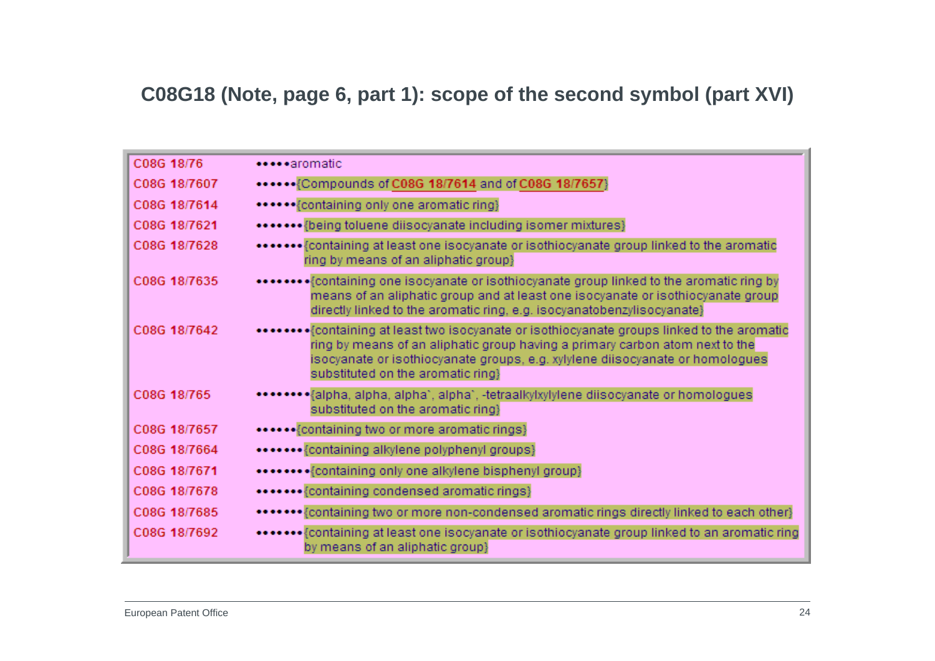### **C08G18 (Note, page 6, part 1): scope of the second symbol (part XVI)**

| C08G 18/76   | *****aromatic                                                                                                                                                                                                                                                                                  |
|--------------|------------------------------------------------------------------------------------------------------------------------------------------------------------------------------------------------------------------------------------------------------------------------------------------------|
| C08G 18/7607 | ****** {Compounds of C08G 18/7614 and of C08G 18/7657}                                                                                                                                                                                                                                         |
| C08G 18/7614 | ****** {containing only one aromatic ring}                                                                                                                                                                                                                                                     |
| C08G 18/7621 | ******* {being toluene diisocyanate including isomer mixtures}                                                                                                                                                                                                                                 |
| C08G 18/7628 | ******** {containing at least one isocyanate or isothiocyanate group linked to the aromatic<br>ring by means of an aliphatic group}                                                                                                                                                            |
| C08G 18/7635 | means of an aliphatic group and at least one isocyanate or isothiocyanate group<br>directly linked to the aromatic ring, e.g. isocyanatobenzylisocyanate}                                                                                                                                      |
| C08G 18/7642 | •••••{containing at least two isocyanate or isothiocyanate groups linked to the aromatic<br>ring by means of an aliphatic group having a primary carbon atom next to the<br>isocyanate or isothiocyanate groups, e.g. xylylene diisocyanate or homologues<br>substituted on the aromatic ring} |
| C08G 18/765  | *******{alpha, alpha, alpha`, alpha`, -tetraalkylxylylene diisocyanate or homologues<br>substituted on the aromatic ring}                                                                                                                                                                      |
| C08G 18/7657 | ****** {containing two or more aromatic rings}                                                                                                                                                                                                                                                 |
| C08G 18/7664 | ******* {containing alkylene polyphenyl groups}                                                                                                                                                                                                                                                |
| C08G 18/7671 | ******** {containing only one alkylene bisphenyl group}                                                                                                                                                                                                                                        |
| C08G 18/7678 | ******* {containing condensed aromatic rings}                                                                                                                                                                                                                                                  |
| C08G 18/7685 | ******* {containing two or more non-condensed aromatic rings directly linked to each other}                                                                                                                                                                                                    |
| C08G 18/7692 | ******** {containing at least one isocyanate or isothiocyanate group linked to an aromatic ring<br>by means of an aliphatic group}                                                                                                                                                             |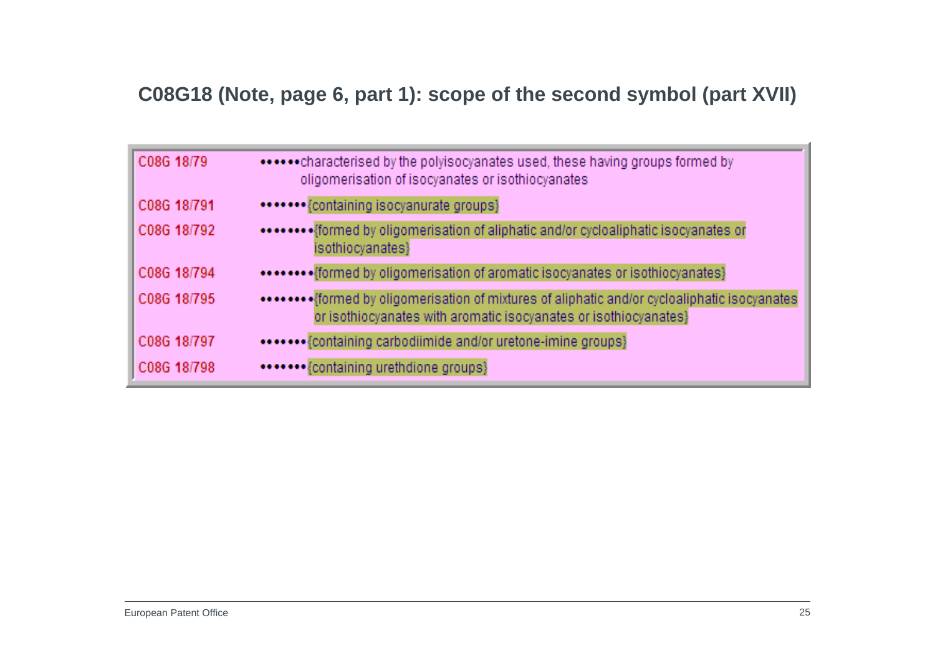#### **C08G18 (Note, page 6, part 1): scope of the second symbol (part XVII)**

| C08G 18/79  | ******* characterised by the polyisocyanates used, these having groups formed by<br>oligomerisation of isocyanates or isothiocyanates                              |
|-------------|--------------------------------------------------------------------------------------------------------------------------------------------------------------------|
| C08G 18/791 | ******* {containing isocyanurate groups}                                                                                                                           |
| C08G 18/792 | ******** {formed by oligomerisation of aliphatic and/or cycloaliphatic isocyanates or<br>isothiocyanates}                                                          |
| C08G 18/794 | ******** {formed by oligomerisation of aromatic isocyanates or isothiocyanates}                                                                                    |
| C08G 18/795 | ******** [formed by oligomerisation of mixtures of aliphatic and/or cycloaliphatic isocyanates<br>or isothiocyanates with aromatic isocyanates or isothiocyanates} |
| C08G 18/797 | ******* {containing carbodiimide and/or uretone-imine groups}                                                                                                      |
| C08G 18/798 | ******* {containing urethdione groups}                                                                                                                             |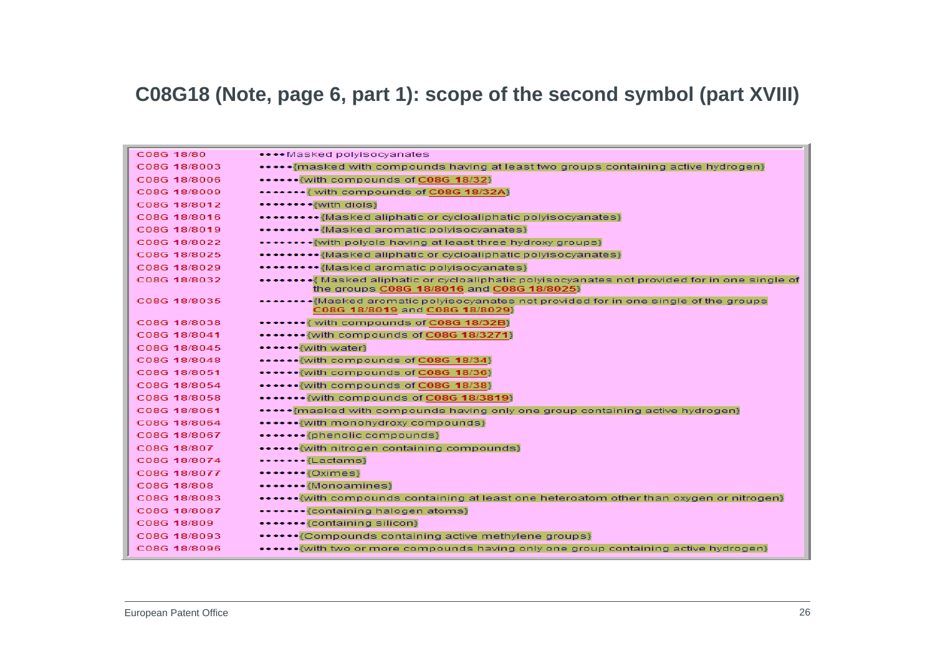#### **C08G18 (Note, page 6, part 1): scope of the second symbol (part XVIII)**

| C08G 18/80   | **** Masked polyisocyanates                                                                                                                |
|--------------|--------------------------------------------------------------------------------------------------------------------------------------------|
| C08G 18/8003 | •••••{masked with compounds having at least two groups containing active hydrogen}                                                         |
| C08G 18/8006 | ******* with compounds of C08G 18/32}                                                                                                      |
| C08G 18/8009 | ******* with compounds of C08G 18/32A)                                                                                                     |
| C08G 18/8012 | ••••••••≹with diols}                                                                                                                       |
| C08G 18/8016 | •••••••••{Masked aliphatic or cycloaliphatic polyisocyanates}                                                                              |
| C08G 18/8019 | ••••••• {Masked aromatic polyisocyanates}                                                                                                  |
| C08G 18/8022 | ********** with polyols having at least three hydroxy groups?                                                                              |
| C08G 18/8025 | ********* {Masked aliphatic or cycloaliphatic polyisocyanates}                                                                             |
| C08G 18/8029 | ********{Masked aromatic polyisocyanates}                                                                                                  |
| C08G 18/8032 | ••••••••{Masked aliphatic or cycloaliphatic polyisocyanates not provided for in one single of<br>the groups C08G 18/8016 and C08G 18/8025} |
| C08G 18/8035 | ******{Masked aromatic polyisocyanates not provided for in one single of the groups<br>C08G 18/8019 and C08G 18/8029}                      |
| C08G 18/8038 | ******* with compounds of C08G 18/32B)                                                                                                     |
| C08G 18/8041 | ******* {with compounds of C08G 18/3271}                                                                                                   |
| C08G 18/8045 | ****** {with water}                                                                                                                        |
| C08G 18/8048 | ****** with compounds of C08G 18/34}                                                                                                       |
| C08G 18/8051 | ****** with compounds of C08G 18/36}                                                                                                       |
| C08G 18/8054 | ****** with compounds of C08G 18/38}                                                                                                       |
| C08G 18/8058 | ******* with compounds of C08G 18/3819}                                                                                                    |
| C08G 18/8061 | ***** masked with compounds having only one group containing active hydrogen}                                                              |
| C08G 18/8064 | ****** with monohydroxy compounds}                                                                                                         |
| C08G 18/8067 | *******{phenolic compounds}                                                                                                                |
| C08G 18/807  | ******{with nitrogen containing compounds}                                                                                                 |
| C08G 18/8074 | •••••••{Lactams}                                                                                                                           |
| C08G 18/8077 | ******* {Oximes}                                                                                                                           |
| C08G 18/808  | ******* {Monoamines}                                                                                                                       |
| C08G 18/8083 | ••••••• {with compounds containing at least one heteroatom other than oxygen or nitrogen}                                                  |
| C08G 18/8087 | ******* {containing halogen atoms}                                                                                                         |
| C08G 18/809  | ******* {containing silicon}                                                                                                               |
| C08G 18/8093 | ******{Compounds containing active methylene groups}                                                                                       |
| C08G 18/8096 | ••••••{with two or more compounds having only one group containing active hydrogen}                                                        |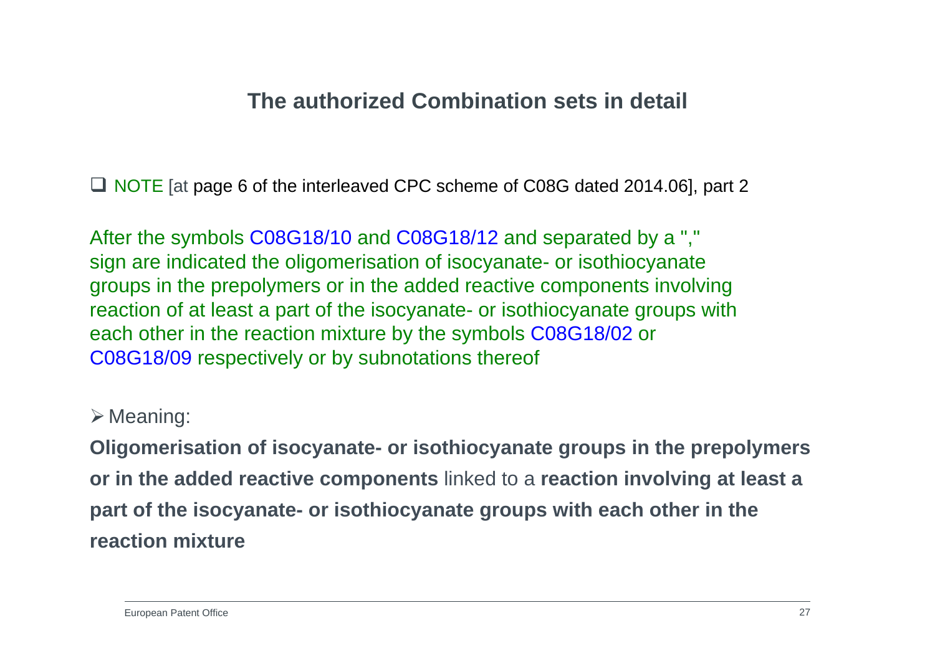### **The authorized Combination sets in detail**

■ NOTE [at page 6 of the interleaved CPC scheme of C08G dated 2014.06], part 2

After the symbols C08G18/10 and C08G18/12 and separated by a "," sign are indicated the oligomerisation of isocyanate- or isothiocyanate groups in the prepolymers or in the added reactive components involving reaction of at least a part of the isocyanate- or isothiocyanate groups with each other in the reaction mixture by the symbols C08G18/02 or C08G18/09 respectively or by subnotations thereof

#### $\triangleright$  Meaning:

**Oligomerisation of isocyanate- or isothiocyanate groups in the prepolymers or in the added reactive components** linked to a **reaction involving at least a part of the isocyanate- or isothiocyanate groups with each other in the reaction mixture**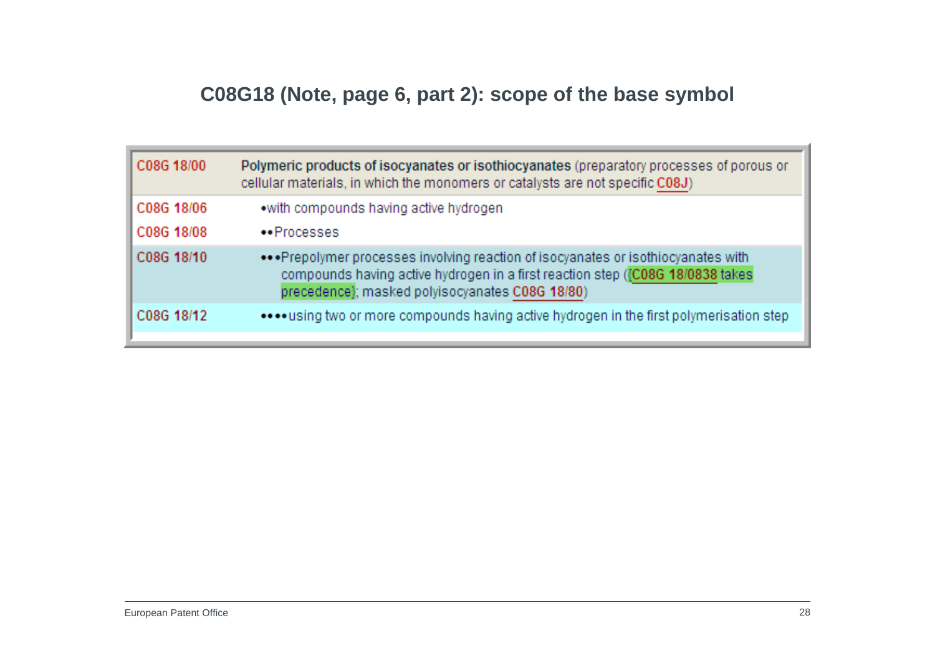# **C08G18 (Note, page 6, part 2): scope of the base symbol**

| C08G 18/00               | Polymeric products of isocyanates or isothiocyanates (preparatory processes of porous or<br>cellular materials, in which the monomers or catalysts are not specific C08J)                                               |
|--------------------------|-------------------------------------------------------------------------------------------------------------------------------------------------------------------------------------------------------------------------|
| C08G 18/06<br>C08G 18/08 | .with compounds having active hydrogen<br>•• Processes                                                                                                                                                                  |
| C08G 18/10               | ••• Prepolymer processes involving reaction of isocyanates or isothiocyanates with<br>compounds having active hydrogen in a first reaction step ({C08G 18/0838 takes<br>precedence}; masked polyisocyanates C08G 18/80) |
| C08G 18/12               | **** using two or more compounds having active hydrogen in the first polymerisation step                                                                                                                                |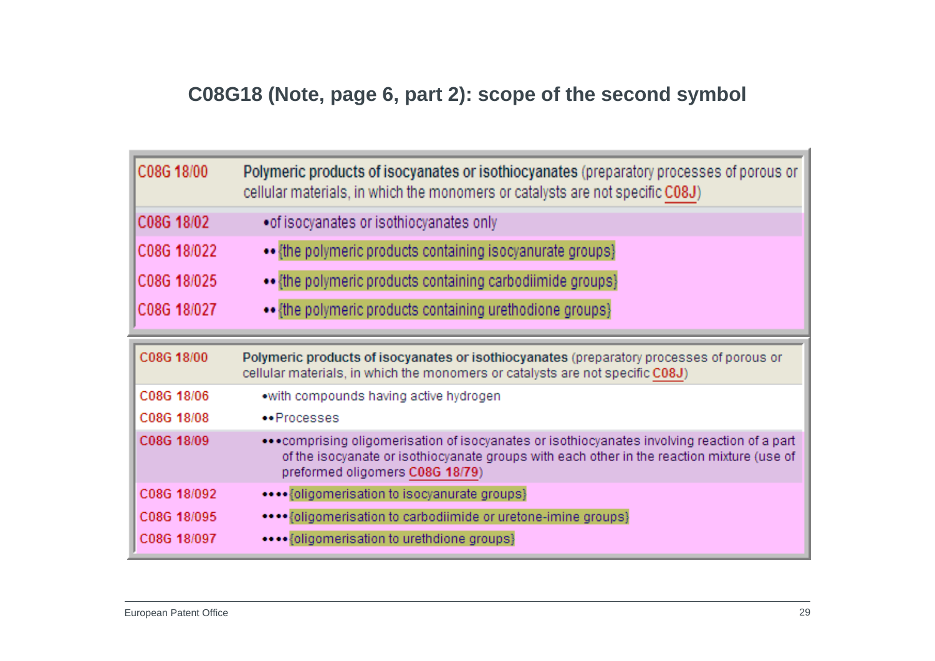# **C08G18 (Note, page 6, part 2): scope of the second symbol**

| C08G 18/00  | Polymeric products of isocyanates or isothiocyanates (preparatory processes of porous or<br>cellular materials, in which the monomers or catalysts are not specific C08J)                                                       |
|-------------|---------------------------------------------------------------------------------------------------------------------------------------------------------------------------------------------------------------------------------|
| C08G 18/02  | • of isocyanates or isothiocyanates only                                                                                                                                                                                        |
| C08G 18/022 | •• {the polymeric products containing isocyanurate groups}                                                                                                                                                                      |
| C08G 18/025 | {the polymeric products containing carbodiimide groups}                                                                                                                                                                         |
| C08G 18/027 | •• {the polymeric products containing urethodione groups}                                                                                                                                                                       |
| C08G 18/00  | Polymeric products of isocyanates or isothiocyanates (preparatory processes of porous or<br>cellular materials, in which the monomers or catalysts are not specific C08J)                                                       |
| C08G 18/06  | .with compounds having active hydrogen                                                                                                                                                                                          |
| C08G 18/08  | •• Processes                                                                                                                                                                                                                    |
| C08G 18/09  | •• • comprising oligomerisation of isocyanates or isothiocyanates involving reaction of a part<br>of the isocyanate or isothiocyanate groups with each other in the reaction mixture (use of<br>preformed oligomers C08G 18/79) |
| C08G 18/092 | **** {oligomerisation to isocyanurate groups}                                                                                                                                                                                   |
| C08G 18/095 | **** {oligomerisation to carbodiimide or uretone-imine groups}                                                                                                                                                                  |
| C08G 18/097 | **** {oligomerisation to urethdione groups}                                                                                                                                                                                     |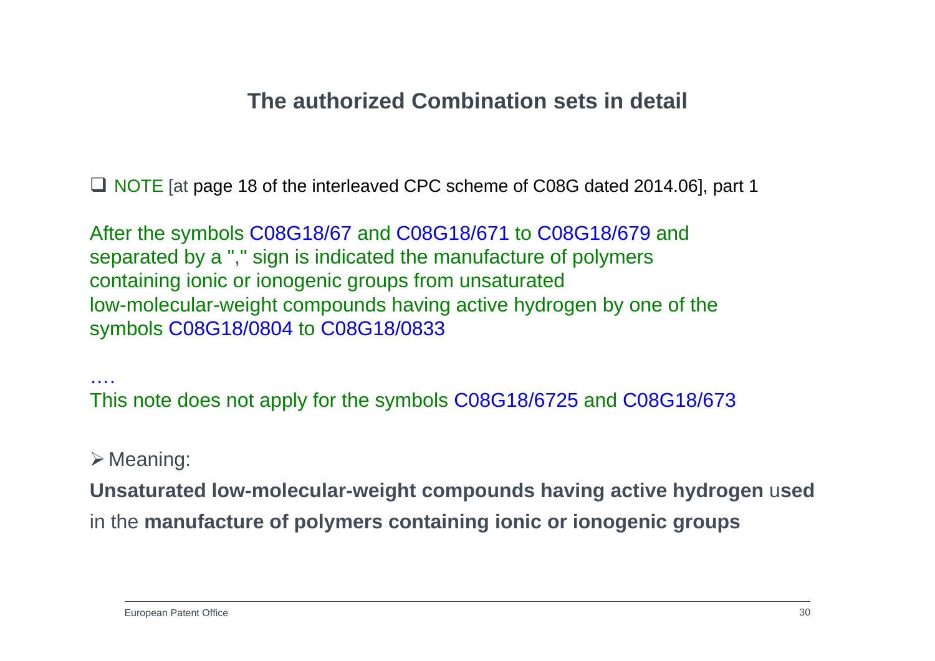# **The authorized Combination sets in detail**

■ NOTE [at page 18 of the interleaved CPC scheme of C08G dated 2014.06], part 1

After the symbols C08G18/67 and C08G18/671 to C08G18/679 and separated by a "," sign is indicated the manufacture of polymers containing ionic or ionogenic groups from unsaturated low-molecular-weight compounds having active hydrogen by one of the symbols C08G18/0804 to C08G18/0833

….This note does not apply for the symbols C08G18/6725 and C08G18/673

#### $\triangleright$  Meaning:

**Unsaturated low-molecular-weight compounds having active hydrogen** <sup>u</sup>**sed** in the **manufacture of polymers containing ionic or ionogenic groups**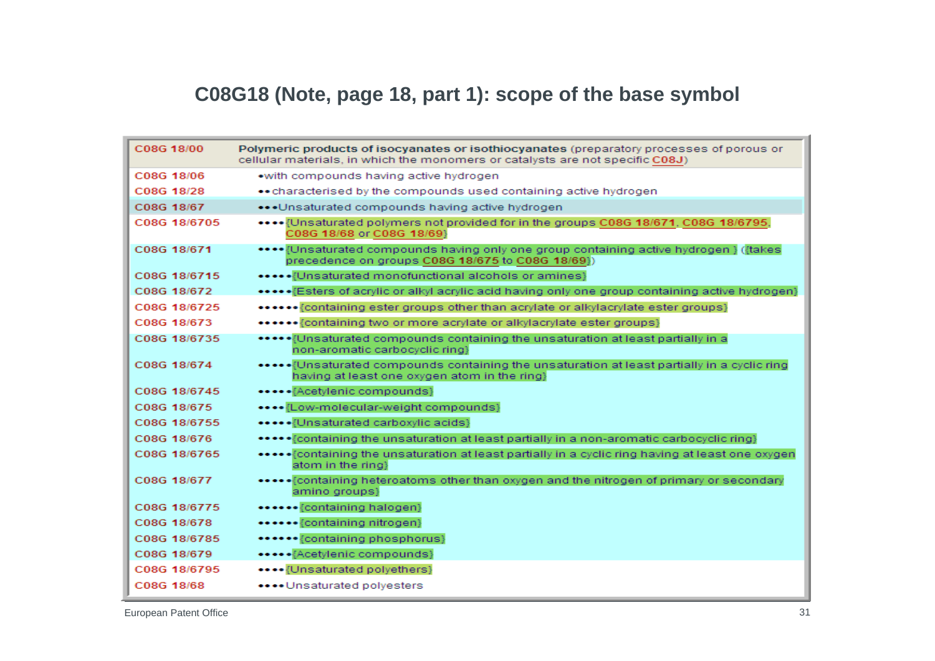# **C08G18 (Note, page 18, part 1): scope of the base symbol**

| C08G 18/00   | Polymeric products of isocyanates or isothiocyanates (preparatory processes of porous or<br>cellular materials, in which the monomers or catalysts are not specific C08J) |
|--------------|---------------------------------------------------------------------------------------------------------------------------------------------------------------------------|
| C08G 18/06   | .with compounds having active hydrogen                                                                                                                                    |
| C08G 18/28   | • characterised by the compounds used containing active hydrogen                                                                                                          |
| C08G 18/67   | ••• Unsaturated compounds having active hydrogen                                                                                                                          |
| C08G 18/6705 | ••••• {Unsaturated polymers not provided for in the groups C08G 18/671, C08G 18/6795,<br>C08G 18/68 or C08G 18/69}                                                        |
| C08G 18/671  | •••• {Unsaturated compounds having only one group containing active hydrogen } ({takes<br>precedence on groups C08G 18/675 to C08G 18/69})                                |
| C08G 18/6715 | [Unsaturated monofunctional alcohols or amines]                                                                                                                           |
| C08G 18/672  | ••••• Esters of acrylic or alkyl acrylic acid having only one group containing active hydrogen}                                                                           |
| C08G 18/6725 | •••••• {containing ester groups other than acrylate or alkylacrylate ester groups}                                                                                        |
| C08G 18/673  | •••••• {containing two or more acrylate or alkylacrylate ester groups}                                                                                                    |
| C08G 18/6735 | ***** [Unsaturated compounds containing the unsaturation at least partially in a<br>non-aromatic carbocyclic ring}                                                        |
| C08G 18/674  | ******Unsaturated compounds containing the unsaturation at least partially in a cyclic ring<br>having at least one oxygen atom in the ring}                               |
| C08G 18/6745 | ***** {Acetylenic compounds}                                                                                                                                              |
| C08G 18/675  | •••• {Low-molecular-weight compounds}                                                                                                                                     |
| C08G 18/6755 | ***** {Unsaturated carboxylic acids}                                                                                                                                      |
| C08G 18/676  | ****** Containing the unsaturation at least partially in a non-aromatic carbocyclic ring}                                                                                 |
| C08G 18/6765 | ***** Fcontaining the unsaturation at least partially in a cyclic ring having at least one oxygen<br>atom in the ring}                                                    |
| C08G 18/677  | ****** Containing heteroatoms other than oxygen and the nitrogen of primary or secondary<br>amino groups}                                                                 |
| C08G 18/6775 | ****** {containing halogen}                                                                                                                                               |
| C08G 18/678  | ****** {containing nitrogen}                                                                                                                                              |
| C08G 18/6785 | ****** {containing phosphorus}                                                                                                                                            |
| C08G 18/679  | ***** {Acetylenic compounds}                                                                                                                                              |
| C08G 18/6795 | •••• {Unsaturated polyethers}                                                                                                                                             |
| C08G 18/68   | **** Unsaturated polyesters                                                                                                                                               |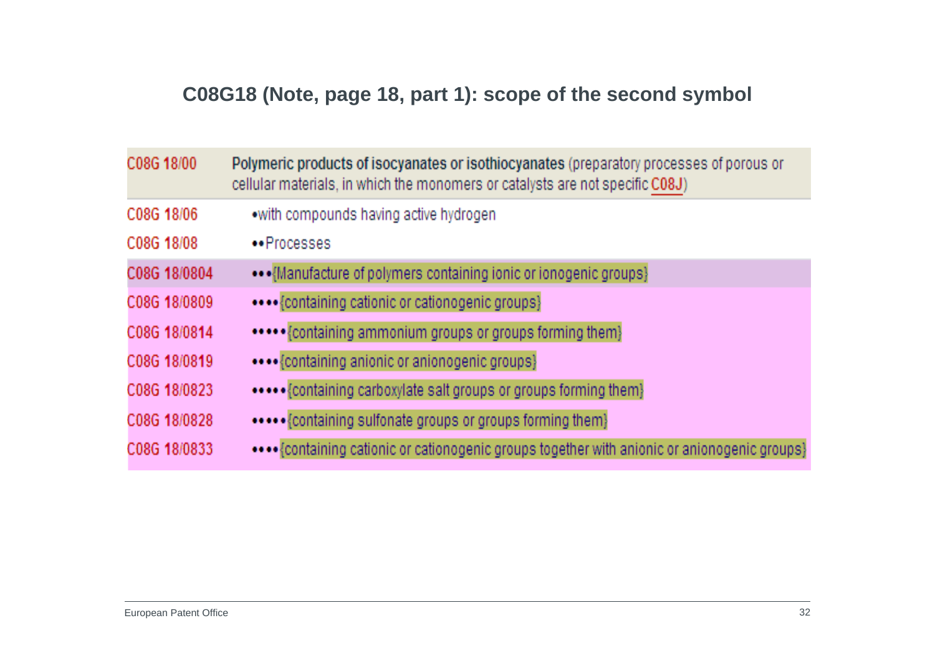# **C08G18 (Note, page 18, part 1): scope of the second symbol**

| C08G 18/00   | Polymeric products of isocyanates or isothiocyanates (preparatory processes of porous or<br>cellular materials, in which the monomers or catalysts are not specific C08J) |
|--------------|---------------------------------------------------------------------------------------------------------------------------------------------------------------------------|
| C08G 18/06   | .with compounds having active hydrogen                                                                                                                                    |
| C08G 18/08   | •• Processes                                                                                                                                                              |
| C08G 18/0804 | ••• {Manufacture of polymers containing ionic or ionogenic groups}                                                                                                        |
| C08G 18/0809 | {containing cationic or cationogenic groups}                                                                                                                              |
| C08G 18/0814 | ***** {containing ammonium groups or groups forming them}                                                                                                                 |
| C08G 18/0819 | **** {containing anionic or anionogenic groups}                                                                                                                           |
| C08G 18/0823 |                                                                                                                                                                           |
| C08G 18/0828 | {containing sulfonate groups or groups forming them}                                                                                                                      |
| C08G 18/0833 | •••• {containing cationic or cationogenic groups together with anionic or anionogenic groups}                                                                             |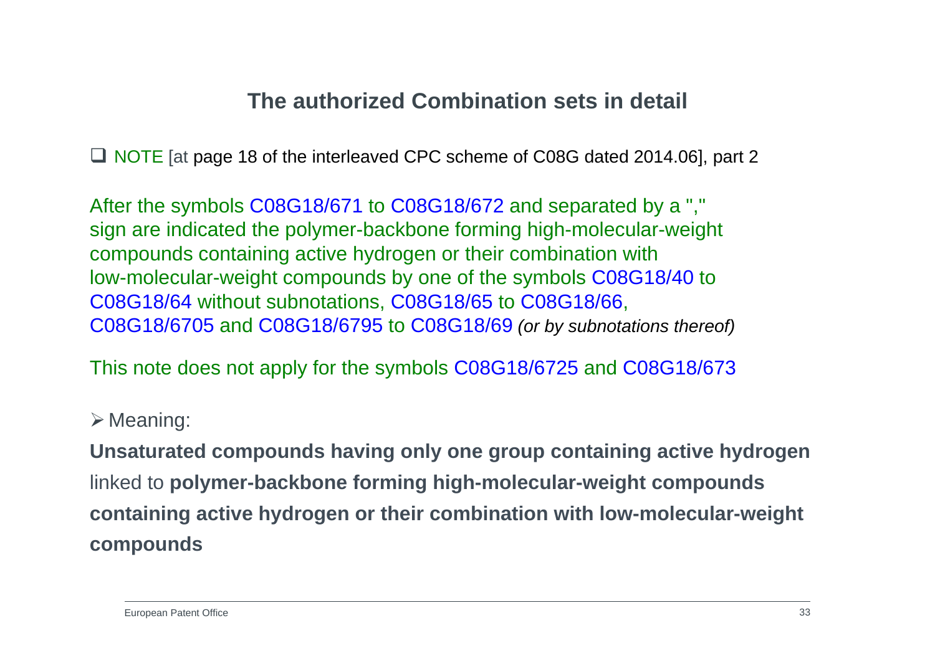# **The authorized Combination sets in detail**

■ NOTE [at page 18 of the interleaved CPC scheme of C08G dated 2014.06], part 2

After the symbols C08G18/671 to C08G18/672 and separated by a "," sign are indicated the polymer-backbone forming high-molecular-weight compounds containing active hydrogen or their combination with low-molecular-weight compounds by one of the symbols C08G18/40 to C08G18/64 without subnotations, C08G18/65 to C08G18/66, C08G18/6705 and C08G18/6795 to C08G18/69 *(or by subnotations thereof)*

This note does not apply for the symbols C08G18/6725 and C08G18/673

#### $\triangleright$  Meaning:

**Unsaturated compounds having only one group containing active hydrogen** linked to **polymer-backbone forming high-molecular-weight compounds containing active hydrogen or their combination with low-molecular-weight compounds**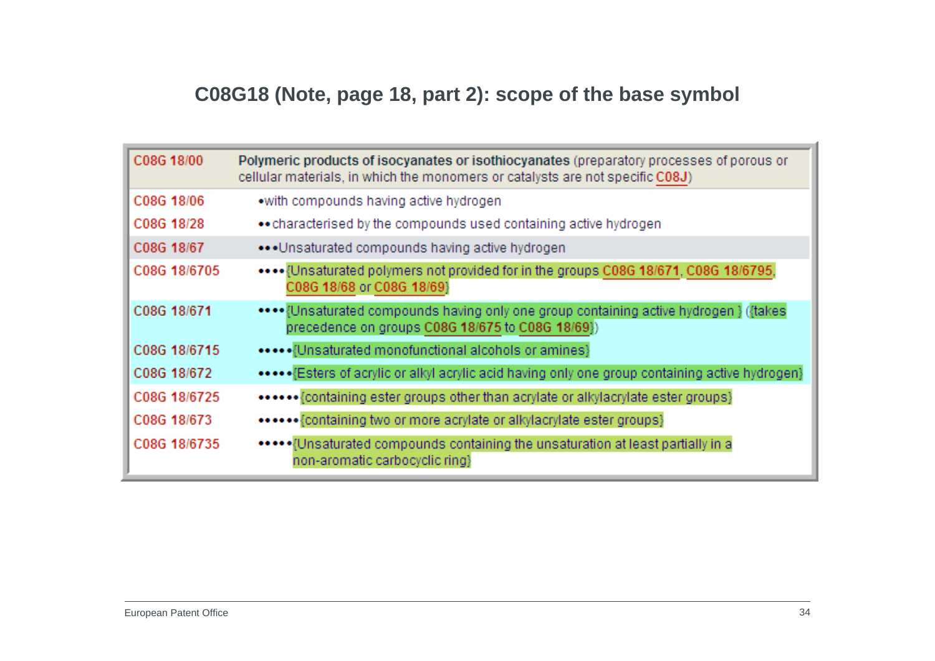# **C08G18 (Note, page 18, part 2): scope of the base symbol**

| C08G 18/00   | Polymeric products of isocyanates or isothiocyanates (preparatory processes of porous or<br>cellular materials, in which the monomers or catalysts are not specific C08J) |
|--------------|---------------------------------------------------------------------------------------------------------------------------------------------------------------------------|
| C08G 18/06   | • with compounds having active hydrogen                                                                                                                                   |
| C08G 18/28   | •• characterised by the compounds used containing active hydrogen                                                                                                         |
| C08G 18/67   | ••• Unsaturated compounds having active hydrogen                                                                                                                          |
| C08G 18/6705 | Unsaturated polymers not provided for in the groups C08G 18/671, C08G 18/6795,<br>C08G 18/68 or C08G 18/69}                                                               |
| C08G 18/671  | •••• {Unsaturated compounds having only one group containing active hydrogen } ({takes<br>precedence on groups C08G 18/675 to C08G 18/69})                                |
| C08G 18/6715 | [Unsaturated monofunctional alcohols or amines]                                                                                                                           |
| C08G 18/672  | •••••• [Esters of acrylic or alkyl acrylic acid having only one group containing active hydrogen}                                                                         |
| C08G 18/6725 | ****** {containing ester groups other than acrylate or alkylacrylate ester groups}                                                                                        |
| C08G 18/673  | ****** {containing two or more acrylate or alkylacrylate ester groups}                                                                                                    |
| C08G 18/6735 | ***** Unsaturated compounds containing the unsaturation at least partially in a<br>non-aromatic carbocyclic ring}                                                         |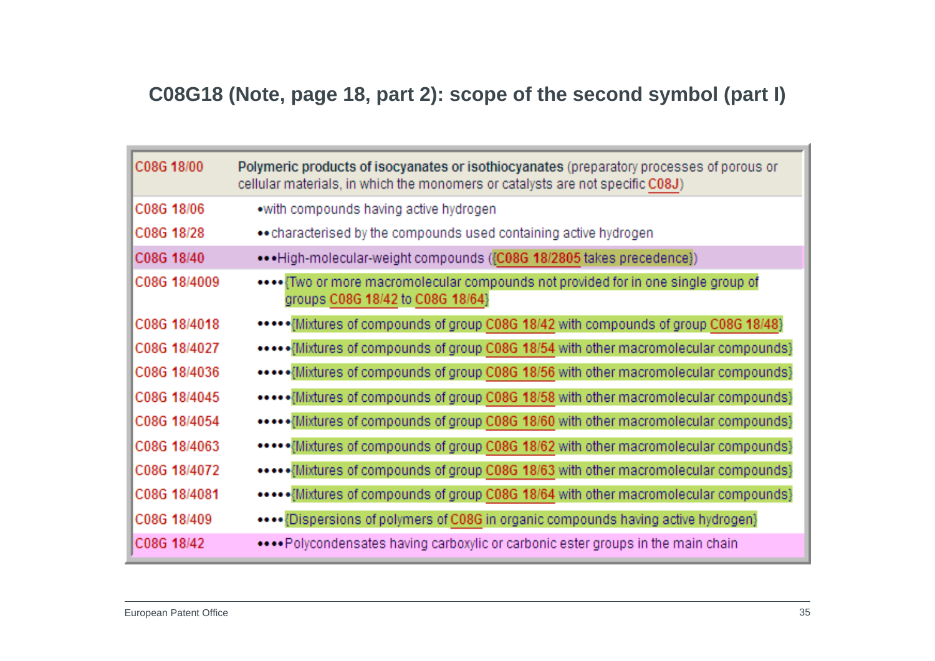### **C08G18 (Note, page 18, part 2): scope of the second symbol (part I)**

| C08G 18/00   | Polymeric products of isocyanates or isothiocyanates (preparatory processes of porous or<br>cellular materials, in which the monomers or catalysts are not specific C08J) |
|--------------|---------------------------------------------------------------------------------------------------------------------------------------------------------------------------|
| C08G 18/06   | .with compounds having active hydrogen                                                                                                                                    |
| C08G 18/28   | •• characterised by the compounds used containing active hydrogen                                                                                                         |
| C08G 18/40   | ••• High-molecular-weight compounds ({C08G 18/2805 takes precedence})                                                                                                     |
| C08G 18/4009 | Two or more macromolecular compounds not provided for in one single group of<br>groups C08G 18/42 to C08G 18/64}                                                          |
| C08G 18/4018 | ••••••{Mixtures of compounds of group C08G 18/42 with compounds of group C08G 18/48}                                                                                      |
| C08G 18/4027 | ***** Mixtures of compounds of group C08G 18/54 with other macromolecular compounds}                                                                                      |
| C08G 18/4036 | ***** Mixtures of compounds of group C08G 18/56 with other macromolecular compounds}                                                                                      |
| C08G 18/4045 | ***** Mixtures of compounds of group C08G 18/58 with other macromolecular compounds}                                                                                      |
| C08G 18/4054 | ***** Mixtures of compounds of group C08G 18/60 with other macromolecular compounds}                                                                                      |
| C08G 18/4063 | ***** Mixtures of compounds of group C08G 18/62 with other macromolecular compounds}                                                                                      |
| C08G 18/4072 | ***** Mixtures of compounds of group C08G 18/63 with other macromolecular compounds}                                                                                      |
| C08G 18/4081 | ***** Mixtures of compounds of group C08G 18/64 with other macromolecular compounds}                                                                                      |
| C08G 18/409  | **** {Dispersions of polymers of C08G in organic compounds having active hydrogen}                                                                                        |
| C08G 18/42   | Polycondensates having carboxylic or carbonic ester groups in the main chain                                                                                              |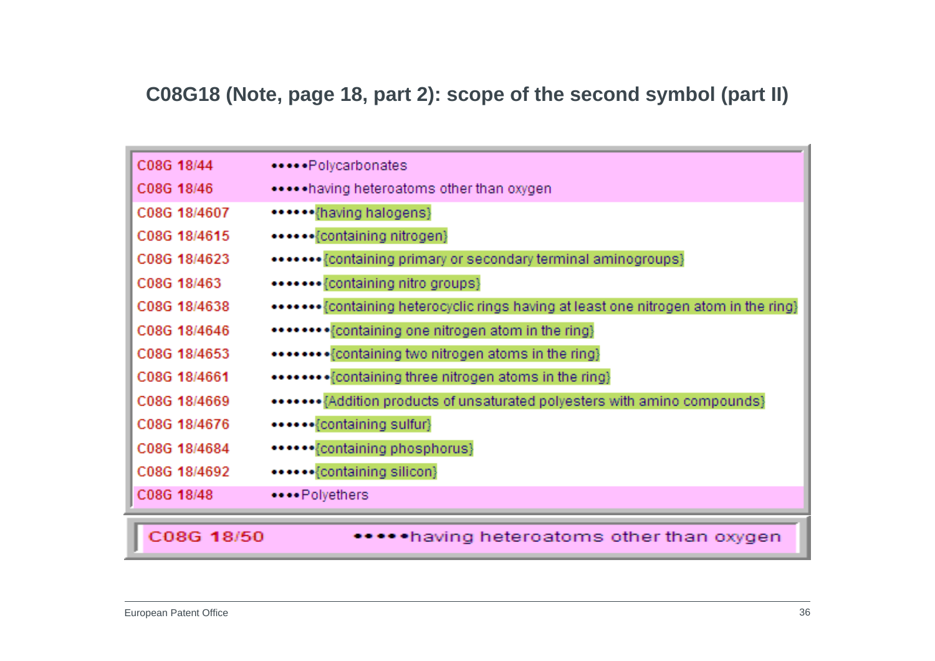#### **C08G18 (Note, page 18, part 2): scope of the second symbol (part II)**

| C08G 18/44   | ••••• Polycarbonates                                                                  |
|--------------|---------------------------------------------------------------------------------------|
| C08G 18/46   | ***** having heteroatoms other than oxygen                                            |
| C08G 18/4607 | ****** {having halogens}                                                              |
| C08G 18/4615 | ••••••{containing nitrogen}                                                           |
| C08G 18/4623 | ••••••• {containing primary or secondary terminal aminogroups}                        |
| C08G 18/463  | *******{containing nitro groups}                                                      |
| C08G 18/4638 | ******* {containing heterocyclic rings having at least one nitrogen atom in the ring} |
| C08G 18/4646 | ******** {containing one nitrogen atom in the ring}                                   |
| C08G 18/4653 | ******** {containing two nitrogen atoms in the ring}                                  |
| C08G 18/4661 | ******** {containing three nitrogen atoms in the ring}                                |
| C08G 18/4669 | ******* {Addition products of unsaturated polyesters with amino compounds}            |
| C08G 18/4676 | ******{containing sulfur}                                                             |
| C08G 18/4684 | ******{containing phosphorus}                                                         |
| C08G 18/4692 | ******{containing silicon}                                                            |
| C08G 18/48   | ****Polyethers                                                                        |
|              |                                                                                       |
| C08G 18/50   | •having heteroatoms other than oxygen                                                 |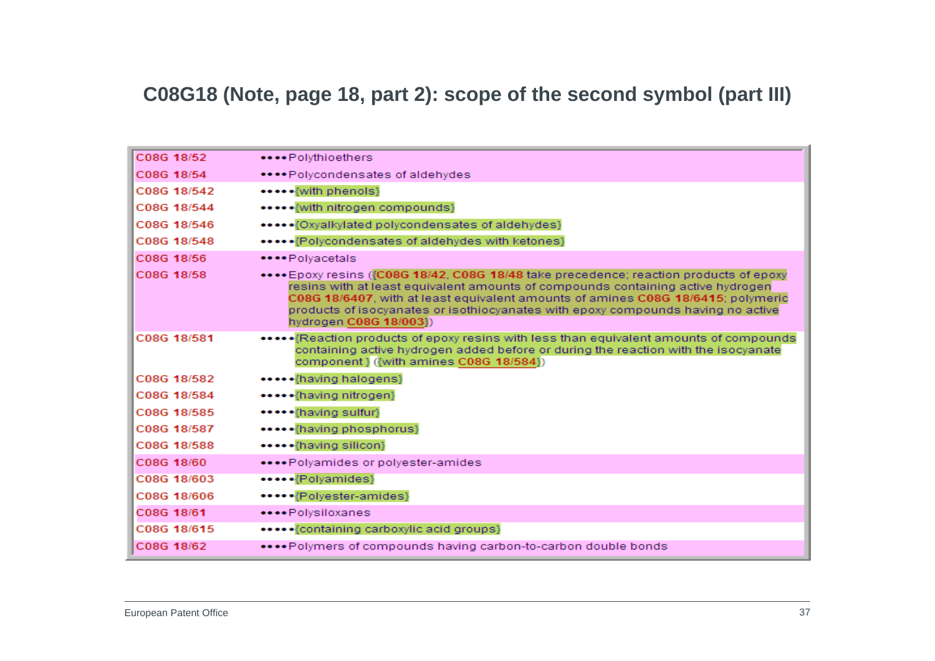#### **C08G18 (Note, page 18, part 2): scope of the second symbol (part III)**

| C08G 18/52  | ****Polythioethers                                                                                                                                                                                                                                                                                                                                                          |
|-------------|-----------------------------------------------------------------------------------------------------------------------------------------------------------------------------------------------------------------------------------------------------------------------------------------------------------------------------------------------------------------------------|
| C08G 18/54  | ****Polycondensates of aldehydes                                                                                                                                                                                                                                                                                                                                            |
| C08G 18/542 | ***** {with phenols}                                                                                                                                                                                                                                                                                                                                                        |
| C08G 18/544 | ***** {with nitrogen compounds}                                                                                                                                                                                                                                                                                                                                             |
| C08G 18/546 | *****{Oxyalkylated polycondensates of aldehydes}                                                                                                                                                                                                                                                                                                                            |
| C08G 18/548 | ***** {Polycondensates of aldehydes with ketones}                                                                                                                                                                                                                                                                                                                           |
| C08G 18/56  | ****Polvacetals                                                                                                                                                                                                                                                                                                                                                             |
| C08G 18/58  | **** Epoxy resins ({C08G 18/42, C08G 18/48 take precedence; reaction products of epoxy<br>resins with at least equivalent amounts of compounds containing active hydrogen<br>C08G 18/6407, with at least equivalent amounts of amines C08G 18/6415; polymeric<br>products of isocyanates or isothiocyanates with epoxy compounds having no active<br>hydrogen C08G 18/003}) |
| C08G 18/581 | *******Reaction products of epoxy resins with less than equivalent amounts of compounds<br>containing active hydrogen added before or during the reaction with the isocyanate<br>component } ({with amines C08G 18/584})                                                                                                                                                    |
| C08G 18/582 | *****{having halogens}                                                                                                                                                                                                                                                                                                                                                      |
| C08G 18/584 | *****{having nitrogen}                                                                                                                                                                                                                                                                                                                                                      |
| C08G 18/585 | ***** {having sulfur}                                                                                                                                                                                                                                                                                                                                                       |
| C08G 18/587 | ***** {having phosphorus}                                                                                                                                                                                                                                                                                                                                                   |
| C08G 18/588 | *****{having silicon}                                                                                                                                                                                                                                                                                                                                                       |
| C08G 18/60  | ****Polyamides or polyester-amides                                                                                                                                                                                                                                                                                                                                          |
| C08G 18/603 | *****{Polyamides}                                                                                                                                                                                                                                                                                                                                                           |
| C08G 18/606 | *****{Polyester-amides}                                                                                                                                                                                                                                                                                                                                                     |
| C08G 18/61  | ****Polysiloxanes                                                                                                                                                                                                                                                                                                                                                           |
| C08G 18/615 | ***** {containing carboxylic acid groups}                                                                                                                                                                                                                                                                                                                                   |
| C08G 18/62  | Polymers of compounds having carbon-to-carbon double bonds                                                                                                                                                                                                                                                                                                                  |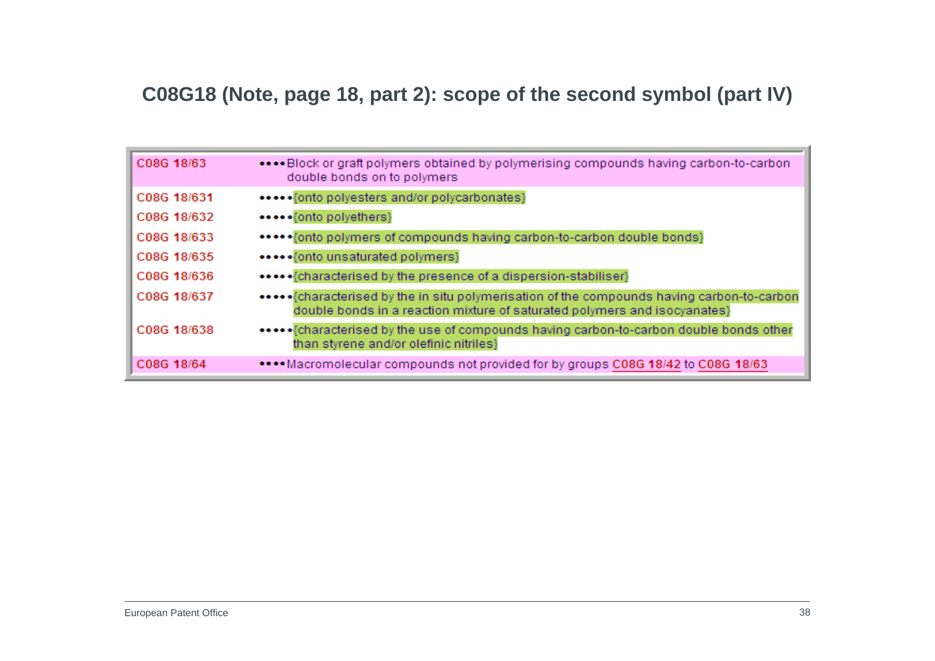### **C08G18 (Note, page 18, part 2): scope of the second symbol (part IV)**

| C08G 18/63  | Block or graft polymers obtained by polymerising compounds having carbon-to-carbon<br>double bonds on to polymers |
|-------------|-------------------------------------------------------------------------------------------------------------------|
| C08G 18/631 | *****{onto polyesters and/or polycarbonates}                                                                      |
| C08G 18/632 | •••••{onto polyethers}                                                                                            |
| C08G 18/633 | ***** fonto polymers of compounds having carbon-to-carbon double bonds}                                           |
| C08G 18/635 | ***** {onto unsaturated polymers}                                                                                 |
| C08G 18/636 |                                                                                                                   |
| C08G 18/637 | double bonds in a reaction mixture of saturated polymers and isocyanates}                                         |
| C08G 18/638 | than styrene and/or olefinic nitriles}                                                                            |
| C08G 18/64  | ****Macromolecular compounds not provided for by groups C08G 18/42 to C08G 18/63                                  |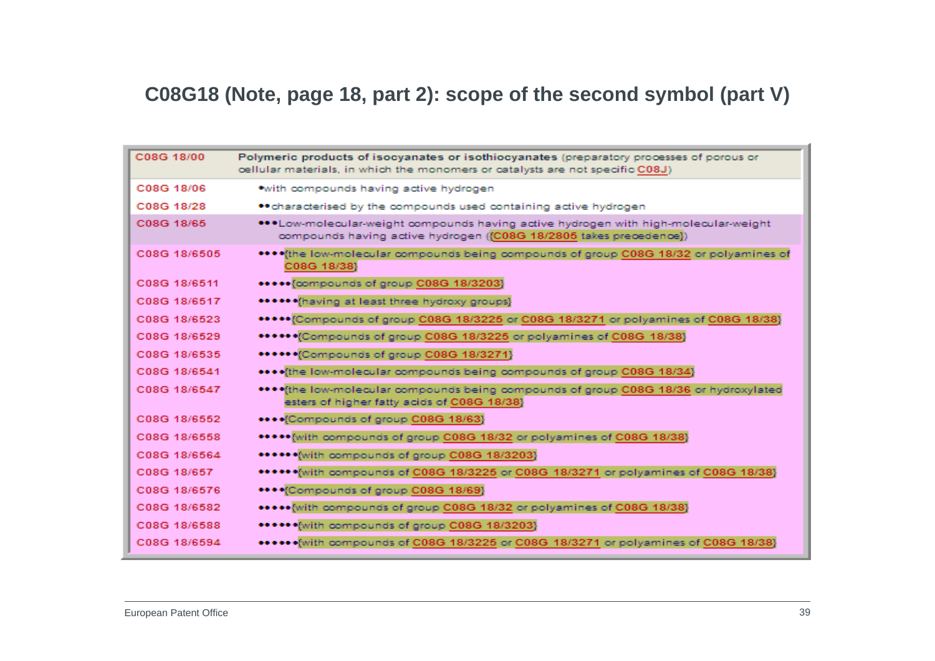### **C08G18 (Note, page 18, part 2): scope of the second symbol (part V)**

| C08G 18/00   | Polymeric products of isocyanates or isothiocyanates (preparatory processes of porous or<br>cellular materials, in which the monomers or catalysts are not specific C08J) |
|--------------|---------------------------------------------------------------------------------------------------------------------------------------------------------------------------|
| C08G 18/06   | *with compounds having active hydrogen                                                                                                                                    |
| C08G 18/28   | • characterised by the compounds used containing active hydrogen                                                                                                          |
| C08G 18/65   | ***Low-molecular-weight compounds having active hydrogen with high-molecular-weight<br>compounds having active hydrogen ({C08G 18/2805 takes precedence})                 |
| C08G 18/6505 | **** (the low-molecular compounds being compounds of group C08G 18/32 or polyamines of<br>C08G 18/38}                                                                     |
| C08G 18/6511 | ***** {compounds of group C08G 18/3203}                                                                                                                                   |
| C08G 18/6517 | ****** (having at least three hydroxy groups)                                                                                                                             |
| C08G 18/6523 | ***** (Compounds of group C08G 18/3225 or C08G 18/3271 or polyamines of C08G 18/38)                                                                                       |
| C08G 18/6529 | ***** (Compounds of group C08G 18/3225 or polyamines of C08G 18/38)                                                                                                       |
| C08G 18/6535 | ****** Compounds of group C08G 18/3271}                                                                                                                                   |
| C08G 18/6541 | **** (the low-molecular compounds being compounds of group C08G 18/34)                                                                                                    |
| C08G 18/6547 | **** the low-molecular compounds being compounds of group C08G 18/36 or hydroxylated<br>esters of higher fatty acids of C08G 18/38}                                       |
| C08G 18/6552 | **** Compounds of group C08G 18/63}                                                                                                                                       |
| C08G 18/6558 | ***** [with compounds of group C08G 18/32 or polyamines of C08G 18/38]                                                                                                    |
| C08G 18/6564 | ****** (with compounds of group C08G 18/3203)                                                                                                                             |
| C08G 18/657  | ****** with compounds of C08G 18/3225 or C08G 18/3271 or polyamines of C08G 18/38}                                                                                        |
| C08G 18/6576 | **** Compounds of group C08G 18/69}                                                                                                                                       |
| C08G 18/6582 | ***** with compounds of group C08G 18/32 or polyamines of C08G 18/38}                                                                                                     |
| C08G 18/6588 | ****** (with compounds of group C08G 18/3203)                                                                                                                             |
| C08G 18/6594 | ****** with compounds of C08G 18/3225 or C08G 18/3271 or polyamines of C08G 18/38}                                                                                        |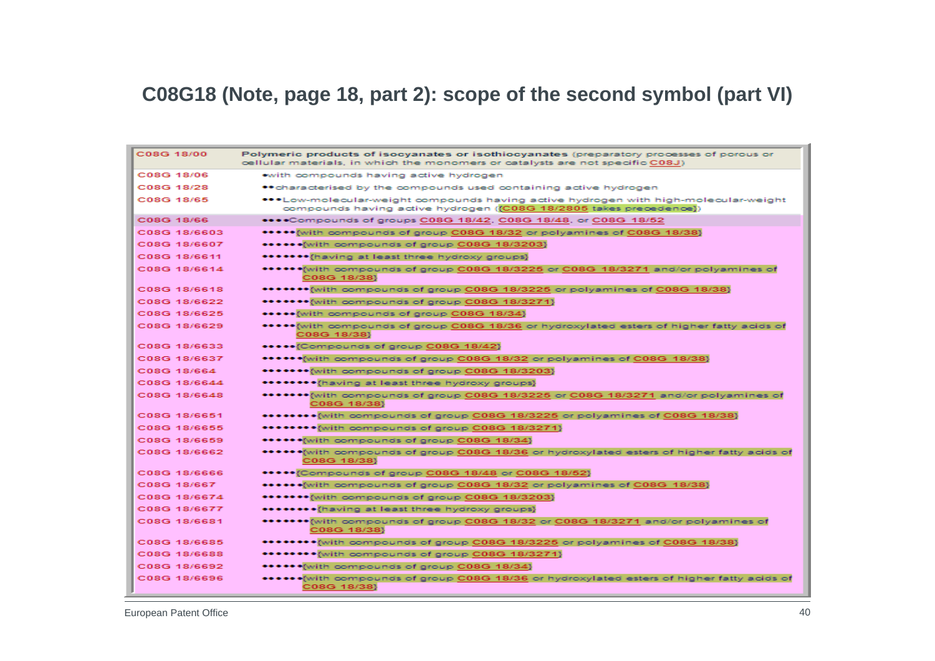#### **C08G18 (Note, page 18, part 2): scope of the second symbol (part VI)**

| C08G 18/00   | Polymeric products of isocyanates or isothiocyanates (preparatory processes of porous or<br>cellular materials, in which the monomers or catalysts are not specific C08J) |
|--------------|---------------------------------------------------------------------------------------------------------------------------------------------------------------------------|
| C08G 18/06   | with compounds having active hydrogen                                                                                                                                     |
| C08G 18/28   | ** characterised by the compounds used containing active hydrogen                                                                                                         |
| C08G 18/65   | ***Low-molecular-weight compounds having active hydrogen with high-molecular-weight<br>compounds having active hydrogen ((C08G 18/2805 takes precedence))                 |
| C08G 18/66   | ****Compounds of groups C08G 18/42, C08G 18/48, or C08G 18/52                                                                                                             |
| C08G 18/6603 | ***** with compounds of group C08G 18/32 or polyamines of C08G 18/38}                                                                                                     |
| C08G 18/6607 | ****** with compounds of group C08G 18/3203}                                                                                                                              |
| C08G 18/6611 | ******* fhaving at least three hydroxy groups}                                                                                                                            |
| C08G 18/6614 | ******(with compounds of group C08G 18/3225 or C08G 18/3271 and/or polyamines of<br>C08G 18/38}                                                                           |
| C08G 18/6618 | ****** with compounds of group C08G 18/3225 or polyamines of C08G 18/38}                                                                                                  |
| C08G 18/6622 | ******* with compounds of group C08G 18/3271}                                                                                                                             |
| C08G 18/6625 | ***** {with compounds of group C08G 18/34}                                                                                                                                |
| C08G 18/6629 | ***** with compounds of group C08G 18/36 or hydroxylated esters of higher fatty acids of<br>C08G 18/38}                                                                   |
| C08G 18/6633 | ***** {Compounds of group C08G 18/42}                                                                                                                                     |
| C08G 18/6637 | ******[with compounds of group C08G 18/32 or polyamines of C08G 18/38]                                                                                                    |
| C08G 18/664  | ****** with compounds of group C08G 18/3203}                                                                                                                              |
| C08G 18/6644 | ******** [having at least three hydroxy groups]                                                                                                                           |
| C08G 18/6648 | ******* with compounds of group C08G 18/3225 or C08G 18/3271 and/or polyamines of<br>C08G 18/38}                                                                          |
| C08G 18/6651 | ********{with compounds of group C08G 18/3225 or polyamines of C08G 18/38}                                                                                                |
| C08G 18/6655 | ******** with compounds of group C08G 18/3271}                                                                                                                            |
| C08G 18/6659 | ****** with compounds of group C08G 18/34}                                                                                                                                |
| C08G 18/6662 | ****** with compounds of group C08G 18/36 or hydroxylated esters of higher fatty acids of<br>C08G 18/38}                                                                  |
| C08G 18/6666 | *****{Compounds of group C08G 18/48 or C08G 18/52}                                                                                                                        |
| C08G 18/667  | ****** with compounds of group C08G 18/32 or polyamines of C08G 18/38}                                                                                                    |
| C08G 18/6674 | ******* with compounds of group C08G 18/3203}                                                                                                                             |
| C08G 18/6677 | ******** (having at least three hydroxy groups)                                                                                                                           |
| C08G 18/6681 | ******* {with compounds of group C08G 18/32 or C08G 18/3271 and/or polyamines of<br>C08G 18/38}                                                                           |
| C08G 18/6685 | ******** with compounds of group C08G 18/3225 or polyamines of C08G 18/38}                                                                                                |
| C08G 18/6688 | ******** with compounds of group C08G 18/3271}                                                                                                                            |
| C08G 18/6692 | ****** with compounds of group C08G 18/34}                                                                                                                                |
| C08G 18/6696 | ****** with compounds of group C08G 18/36 or hydroxylated esters of higher fatty acids of<br>C08G 18/38}                                                                  |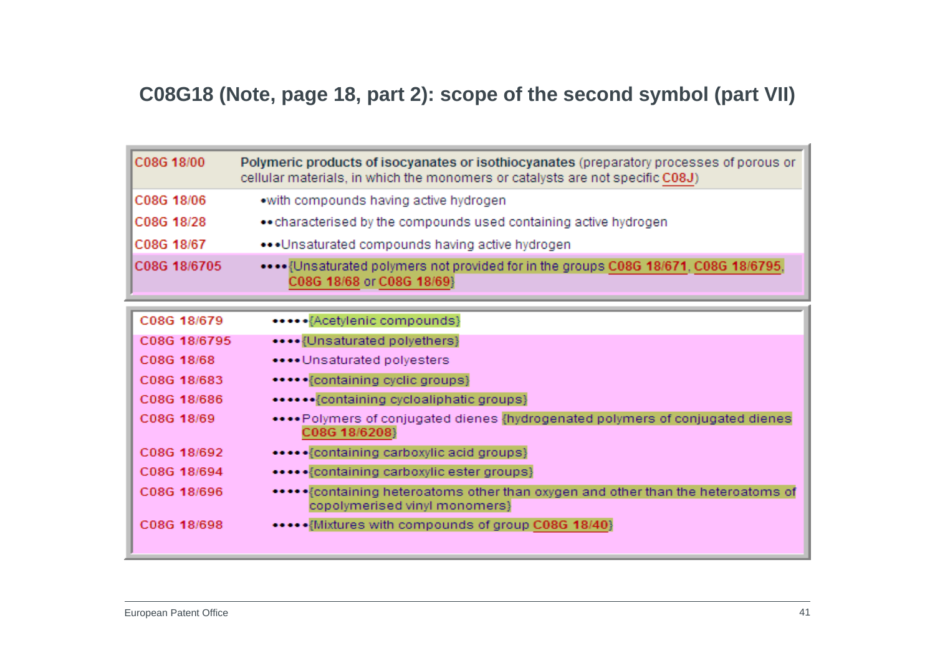### **C08G18 (Note, page 18, part 2): scope of the second symbol (part VII)**

| C08G 18/00   | Polymeric products of isocyanates or isothiocyanates (preparatory processes of porous or<br>cellular materials, in which the monomers or catalysts are not specific C08J) |
|--------------|---------------------------------------------------------------------------------------------------------------------------------------------------------------------------|
| C08G 18/06   | .with compounds having active hydrogen                                                                                                                                    |
| C08G 18/28   | • characterised by the compounds used containing active hydrogen                                                                                                          |
| C08G 18/67   | Unsaturated compounds having active hydrogen                                                                                                                              |
| C08G 18/6705 | Unsaturated polymers not provided for in the groups C08G 18/671, C08G 18/6795,<br>C08G 18/68 or C08G 18/69}                                                               |

| C08G 18/679  | ••••• {Acetylenic compounds}                                                                                      |
|--------------|-------------------------------------------------------------------------------------------------------------------|
| C08G 18/6795 | •••• {Unsaturated polyethers}                                                                                     |
| C08G 18/68   | •••• Unsaturated polyesters                                                                                       |
| C08G 18/683  | *****{containing cyclic groups}                                                                                   |
| C08G 18/686  | ****** {containing cycloaliphatic groups}                                                                         |
| C08G 18/69   | •••• Polymers of conjugated dienes {hydrogenated polymers of conjugated dienes<br>C08G 18/6208}                   |
| C08G 18/692  | ***** {containing carboxylic acid groups}                                                                         |
| C08G 18/694  | ***** {containing carboxylic ester groups}                                                                        |
| C08G 18/696  | ***** Containing heteroatoms other than oxygen and other than the heteroatoms of<br>copolymerised vinyl monomers} |
| C08G 18/698  | ***** {Mixtures with compounds of group C08G 18/40}                                                               |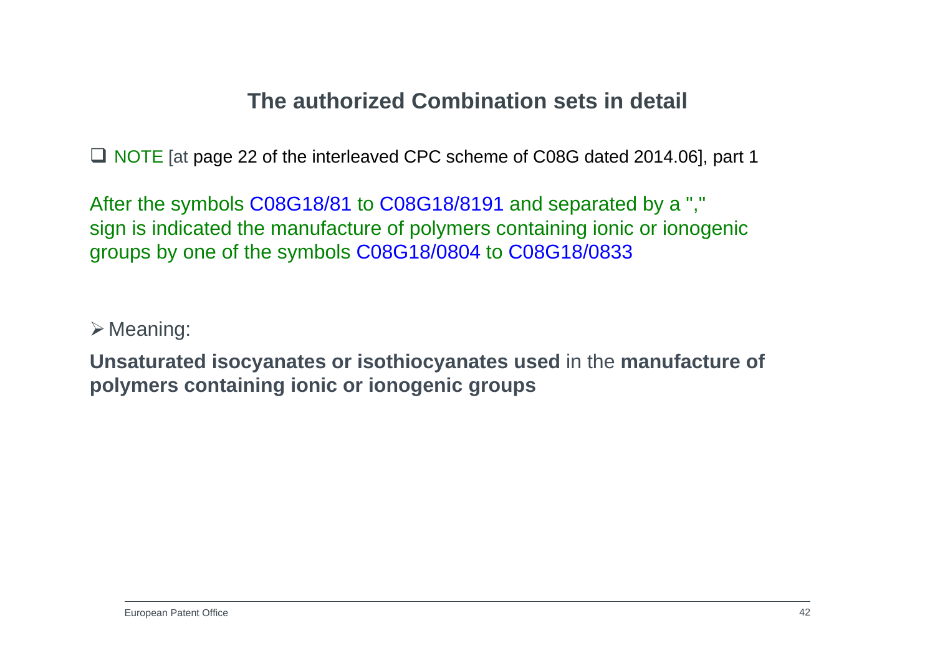# **The authorized Combination sets in detail**

■ NOTE [at page 22 of the interleaved CPC scheme of C08G dated 2014.06], part 1

After the symbols C08G18/81 to C08G18/8191 and separated by a "," sign is indicated the manufacture of polymers containing ionic or ionogenic groups by one of the symbols C08G18/0804 to C08G18/0833

 $\triangleright$  Meaning:

**Unsaturated isocyanates or isothiocyanates used** in the **manufacture of polymers containing ionic or ionogenic groups**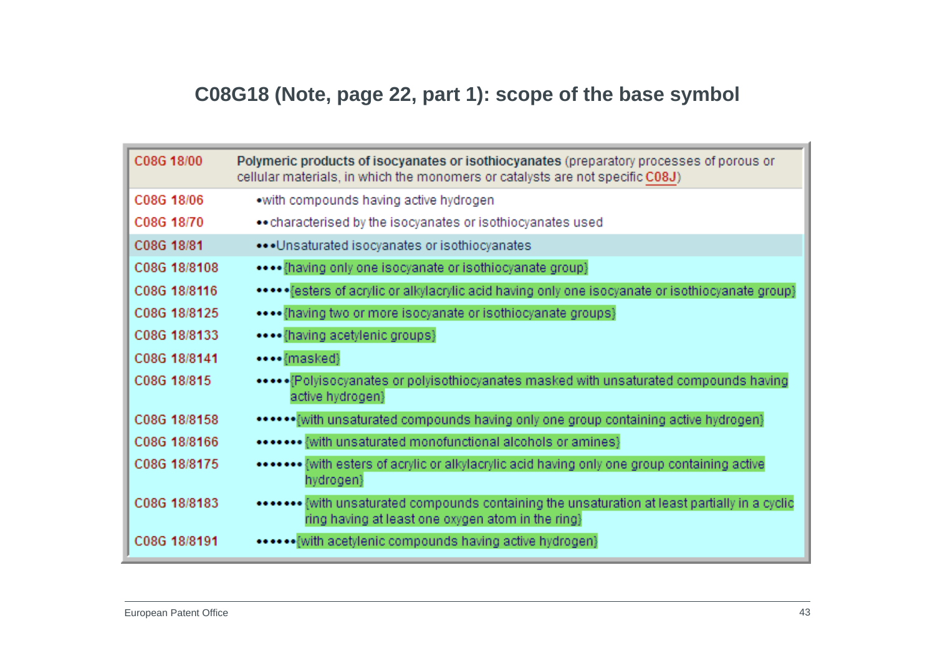# **C08G18 (Note, page 22, part 1): scope of the base symbol**

| C08G 18/00   | Polymeric products of isocyanates or isothiocyanates (preparatory processes of porous or<br>cellular materials, in which the monomers or catalysts are not specific C08J) |
|--------------|---------------------------------------------------------------------------------------------------------------------------------------------------------------------------|
| C08G 18/06   | .with compounds having active hydrogen                                                                                                                                    |
| C08G 18/70   | • characterised by the isocyanates or isothiocyanates used                                                                                                                |
| C08G 18/81   | Unsaturated isocyanates or isothiocyanates                                                                                                                                |
| C08G 18/8108 | (having only one isocyanate or isothiocyanate group)                                                                                                                      |
| C08G 18/8116 | ***** Festers of acrylic or alkylacrylic acid having only one isocyanate or isothiocyanate group}                                                                         |
| C08G 18/8125 | **** {having two or more isocyanate or isothiocyanate groups}                                                                                                             |
| C08G 18/8133 | **** {having acetylenic groups}                                                                                                                                           |
| C08G 18/8141 | ••••{masked}                                                                                                                                                              |
| C08G 18/815  | ***** Polyisocyanates or polyisothiocyanates masked with unsaturated compounds having<br>active hydrogen}                                                                 |
| C08G 18/8158 | ****** with unsaturated compounds having only one group containing active hydrogen}                                                                                       |
| C08G 18/8166 | ******* {with unsaturated monofunctional alcohols or amines}                                                                                                              |
| C08G 18/8175 | ******* {with esters of acrylic or alkylacrylic acid having only one group containing active<br>hydrogen}                                                                 |
| C08G 18/8183 | ******** {with unsaturated compounds containing the unsaturation at least partially in a cyclic<br>ring having at least one oxygen atom in the ring}                      |
| C08G 18/8191 | ••••{with acetylenic compounds having active hydrogen}                                                                                                                    |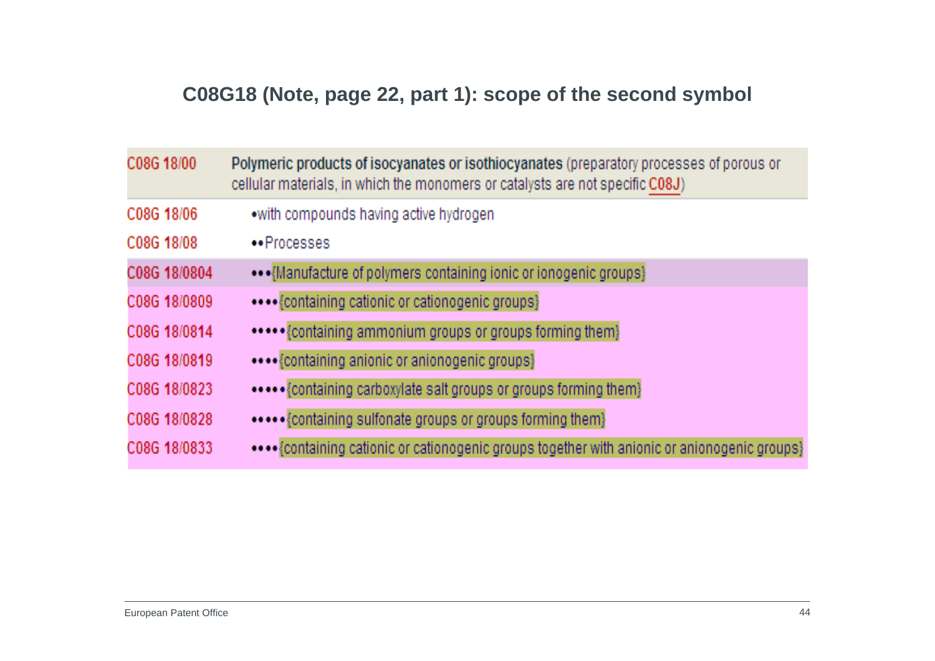# **C08G18 (Note, page 22, part 1): scope of the second symbol**

| C08G 18/00   | Polymeric products of isocyanates or isothiocyanates (preparatory processes of porous or<br>cellular materials, in which the monomers or catalysts are not specific C08J) |
|--------------|---------------------------------------------------------------------------------------------------------------------------------------------------------------------------|
| C08G 18/06   | .with compounds having active hydrogen                                                                                                                                    |
| C08G 18/08   | **Processes                                                                                                                                                               |
| C08G 18/0804 | ••• {Manufacture of polymers containing ionic or ionogenic groups}                                                                                                        |
| C08G 18/0809 | •••• {containing cationic or cationogenic groups}                                                                                                                         |
| C08G 18/0814 | ***** {containing ammonium groups or groups forming them}                                                                                                                 |
| C08G 18/0819 | {containing anionic or anionogenic groups}                                                                                                                                |
| C08G 18/0823 |                                                                                                                                                                           |
| C08G 18/0828 |                                                                                                                                                                           |
| C08G 18/0833 | •••• {containing cationic or cationogenic groups together with anionic or anionogenic groups}                                                                             |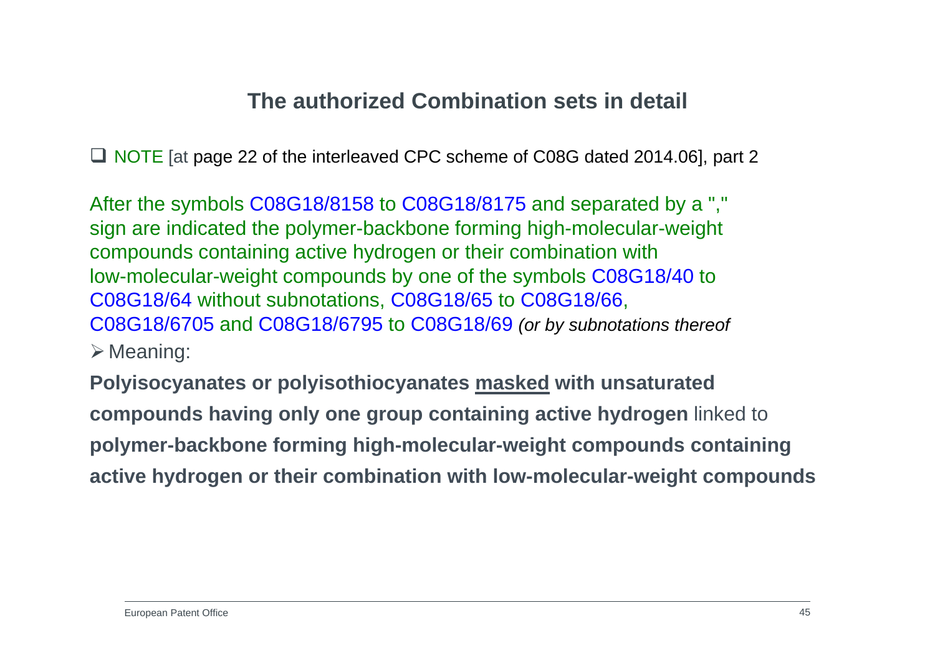# **The authorized Combination sets in detail**

■ NOTE [at page 22 of the interleaved CPC scheme of C08G dated 2014.06], part 2

After the symbols C08G18/8158 to C08G18/8175 and separated by a "," sign are indicated the polymer-backbone forming high-molecular-weight compounds containing active hydrogen or their combination with low-molecular-weight compounds by one of the symbols C08G18/40 to C08G18/64 without subnotations, C08G18/65 to C08G18/66, C08G18/6705 and C08G18/6795 to C08G18/69 *(or by subnotations thereof*  $\triangleright$  Meaning:

**Polyisocyanates or polyisothiocyanates masked with unsaturated compounds having only one group containing active hydrogen** linked to **polymer-backbone forming high-molecular-weight compounds containing active hydrogen or their combination with low-molecular-weight compounds**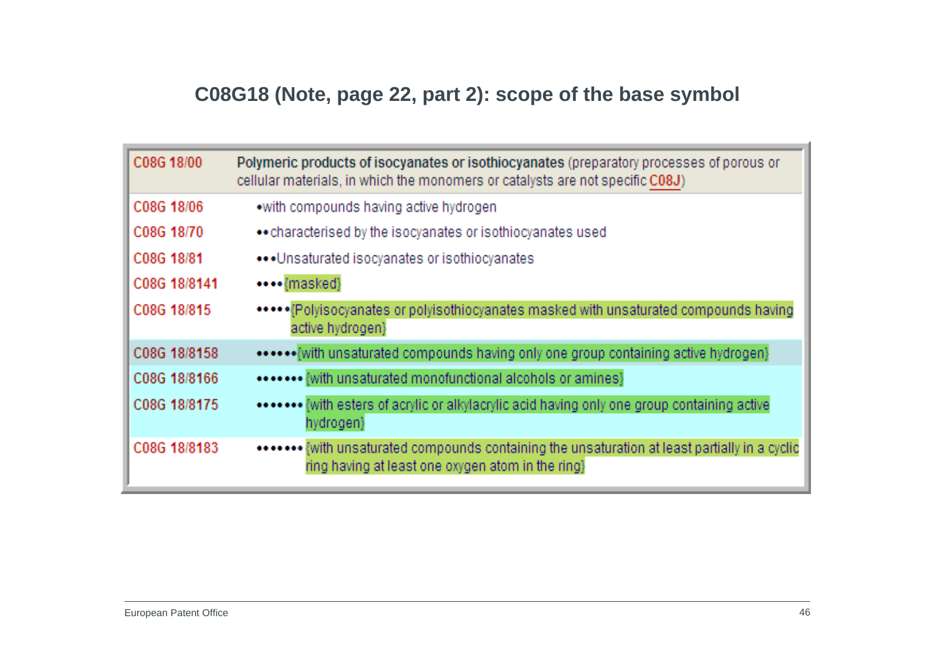# **C08G18 (Note, page 22, part 2): scope of the base symbol**

| C08G 18/00   | Polymeric products of isocyanates or isothiocyanates (preparatory processes of porous or<br>cellular materials, in which the monomers or catalysts are not specific C08J) |
|--------------|---------------------------------------------------------------------------------------------------------------------------------------------------------------------------|
| C08G 18/06   | .with compounds having active hydrogen                                                                                                                                    |
| C08G 18/70   | • characterised by the isocyanates or isothiocyanates used                                                                                                                |
| C08G 18/81   | ••• Unsaturated isocyanates or isothiocyanates                                                                                                                            |
| C08G 18/8141 | ••••{masked}                                                                                                                                                              |
| C08G 18/815  | ***** Polyisocyanates or polyisothiocyanates masked with unsaturated compounds having<br>active hydrogen}                                                                 |
| C08G 18/8158 |                                                                                                                                                                           |
| C08G 18/8166 | ******* {with unsaturated monofunctional alcohols or amines}                                                                                                              |
| C08G 18/8175 | ******* {with esters of acrylic or alkylacrylic acid having only one group containing active<br>hydrogen}                                                                 |
| C08G 18/8183 | ******* {with unsaturated compounds containing the unsaturation at least partially in a cyclic<br>ring having at least one oxygen atom in the ring}                       |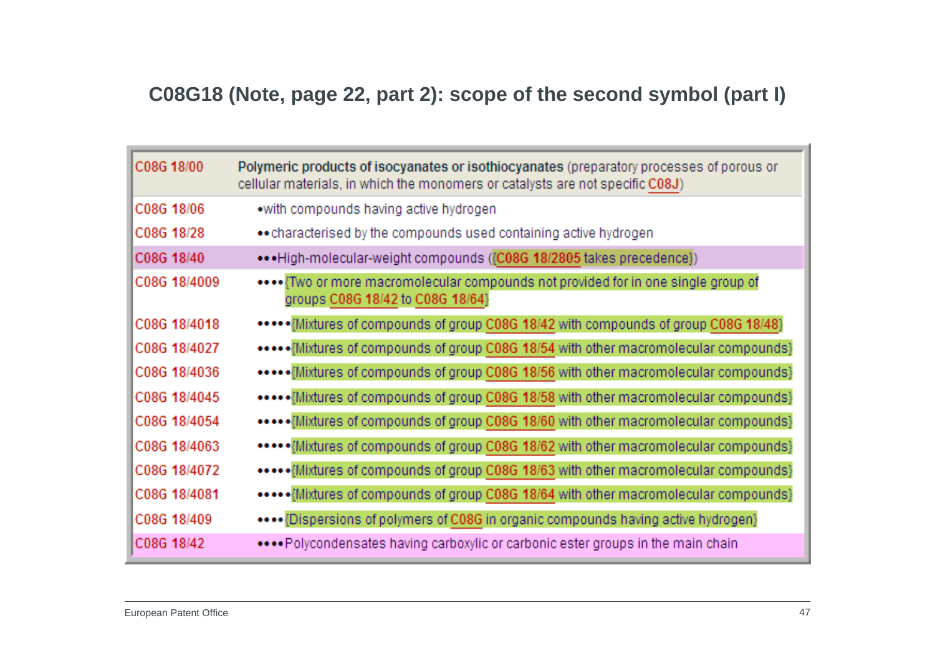### **C08G18 (Note, page 22, part 2): scope of the second symbol (part I)**

| C08G 18/00   | Polymeric products of isocyanates or isothiocyanates (preparatory processes of porous or<br>cellular materials, in which the monomers or catalysts are not specific C08J) |
|--------------|---------------------------------------------------------------------------------------------------------------------------------------------------------------------------|
| C08G 18/06   | .with compounds having active hydrogen                                                                                                                                    |
| C08G 18/28   | • characterised by the compounds used containing active hydrogen                                                                                                          |
| C08G 18/40   | ••• High-molecular-weight compounds ({C08G 18/2805 takes precedence})                                                                                                     |
| C08G 18/4009 | Two or more macromolecular compounds not provided for in one single group of<br>groups C08G 18/42 to C08G 18/64}                                                          |
| C08G 18/4018 | ***** Mixtures of compounds of group C08G 18/42 with compounds of group C08G 18/48}                                                                                       |
| C08G 18/4027 | ***** Mixtures of compounds of group C08G 18/54 with other macromolecular compounds}                                                                                      |
| C08G 18/4036 | ***** Mixtures of compounds of group C08G 18/56 with other macromolecular compounds}                                                                                      |
| C08G 18/4045 | ***** Mixtures of compounds of group C08G 18/58 with other macromolecular compounds}                                                                                      |
| C08G 18/4054 | ***** Mixtures of compounds of group C08G 18/60 with other macromolecular compounds}                                                                                      |
| C08G 18/4063 | ***** Mixtures of compounds of group C08G 18/62 with other macromolecular compounds}                                                                                      |
| C08G 18/4072 | ***** Mixtures of compounds of group C08G 18/63 with other macromolecular compounds}                                                                                      |
| C08G 18/4081 | ***** Mixtures of compounds of group C08G 18/64 with other macromolecular compounds}                                                                                      |
| C08G 18/409  | **** {Dispersions of polymers of C08G in organic compounds having active hydrogen}                                                                                        |
| C08G 18/42   | Polycondensates having carboxylic or carbonic ester groups in the main chain                                                                                              |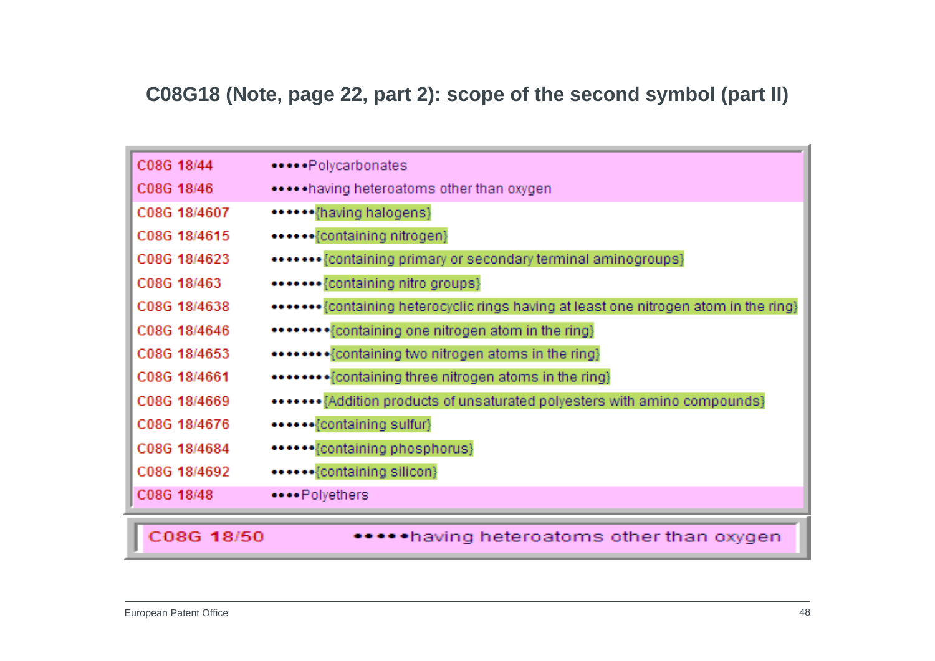# **C08G18 (Note, page 22, part 2): scope of the second symbol (part II)**

| C08G 18/44   | ••••• Polycarbonates                                                                  |
|--------------|---------------------------------------------------------------------------------------|
| C08G 18/46   | ***** having heteroatoms other than oxygen                                            |
| C08G 18/4607 | ****** {having halogens}                                                              |
| C08G 18/4615 | ••••••{containing nitrogen}                                                           |
| C08G 18/4623 | ******* {containing primary or secondary terminal aminogroups}                        |
| C08G 18/463  | *******{containing nitro groups}                                                      |
| C08G 18/4638 | ******* {containing heterocyclic rings having at least one nitrogen atom in the ring} |
| C08G 18/4646 | ******** {containing one nitrogen atom in the ring}                                   |
| C08G 18/4653 | ******** {containing two nitrogen atoms in the ring}                                  |
| C08G 18/4661 | ******** {containing three nitrogen atoms in the ring}                                |
| C08G 18/4669 | ******* {Addition products of unsaturated polyesters with amino compounds}            |
| C08G 18/4676 | ****** {containing sulfur}                                                            |
| C08G 18/4684 | ******{containing phosphorus}                                                         |
| C08G 18/4692 | ******{containing silicon}                                                            |
| C08G 18/48   | ****Polyethers                                                                        |
|              |                                                                                       |
| C08G 18/50   | •having heteroatoms other than oxygen                                                 |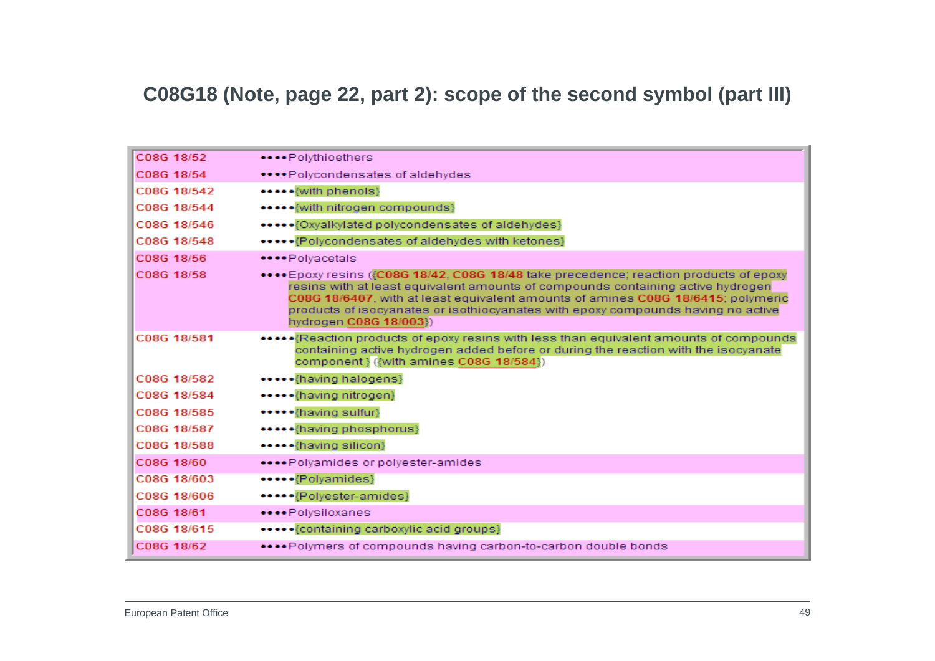#### **C08G18 (Note, page 22, part 2): scope of the second symbol (part III)**

| C08G 18/52  | ****Polythioethers                                                                                                                                                                                                                                                                                                                                                          |
|-------------|-----------------------------------------------------------------------------------------------------------------------------------------------------------------------------------------------------------------------------------------------------------------------------------------------------------------------------------------------------------------------------|
| C08G 18/54  | ****Polycondensates of aldehydes                                                                                                                                                                                                                                                                                                                                            |
| C08G 18/542 | ***** {with phenols}                                                                                                                                                                                                                                                                                                                                                        |
| C08G 18/544 | ***** {with nitrogen compounds}                                                                                                                                                                                                                                                                                                                                             |
| C08G 18/546 | *****{Oxyalkylated polycondensates of aldehydes}                                                                                                                                                                                                                                                                                                                            |
| C08G 18/548 | ***** {Polycondensates of aldehydes with ketones}                                                                                                                                                                                                                                                                                                                           |
| C08G 18/56  | ****Polvacetals                                                                                                                                                                                                                                                                                                                                                             |
| C08G 18/58  | **** Epoxy resins ({C08G 18/42, C08G 18/48 take precedence; reaction products of epoxy<br>resins with at least equivalent amounts of compounds containing active hydrogen<br>C08G 18/6407, with at least equivalent amounts of amines C08G 18/6415; polymeric<br>products of isocyanates or isothiocyanates with epoxy compounds having no active<br>hydrogen C08G 18/003}) |
| C08G 18/581 | *******Reaction products of epoxy resins with less than equivalent amounts of compounds<br>containing active hydrogen added before or during the reaction with the isocyanate<br>component } ({with amines C08G 18/584})                                                                                                                                                    |
| C08G 18/582 | *****{having halogens}                                                                                                                                                                                                                                                                                                                                                      |
| C08G 18/584 | *****{having nitrogen}                                                                                                                                                                                                                                                                                                                                                      |
| C08G 18/585 | ***** {having sulfur}                                                                                                                                                                                                                                                                                                                                                       |
| C08G 18/587 | ***** {having phosphorus}                                                                                                                                                                                                                                                                                                                                                   |
| C08G 18/588 | *****{having silicon}                                                                                                                                                                                                                                                                                                                                                       |
| C08G 18/60  | ****Polyamides or polyester-amides                                                                                                                                                                                                                                                                                                                                          |
| C08G 18/603 | *****{Polyamides}                                                                                                                                                                                                                                                                                                                                                           |
| C08G 18/606 | *****{Polyester-amides}                                                                                                                                                                                                                                                                                                                                                     |
| C08G 18/61  | ****Polysiloxanes                                                                                                                                                                                                                                                                                                                                                           |
| C08G 18/615 | ***** {containing carboxylic acid groups}                                                                                                                                                                                                                                                                                                                                   |
| C08G 18/62  | Polymers of compounds having carbon-to-carbon double bonds                                                                                                                                                                                                                                                                                                                  |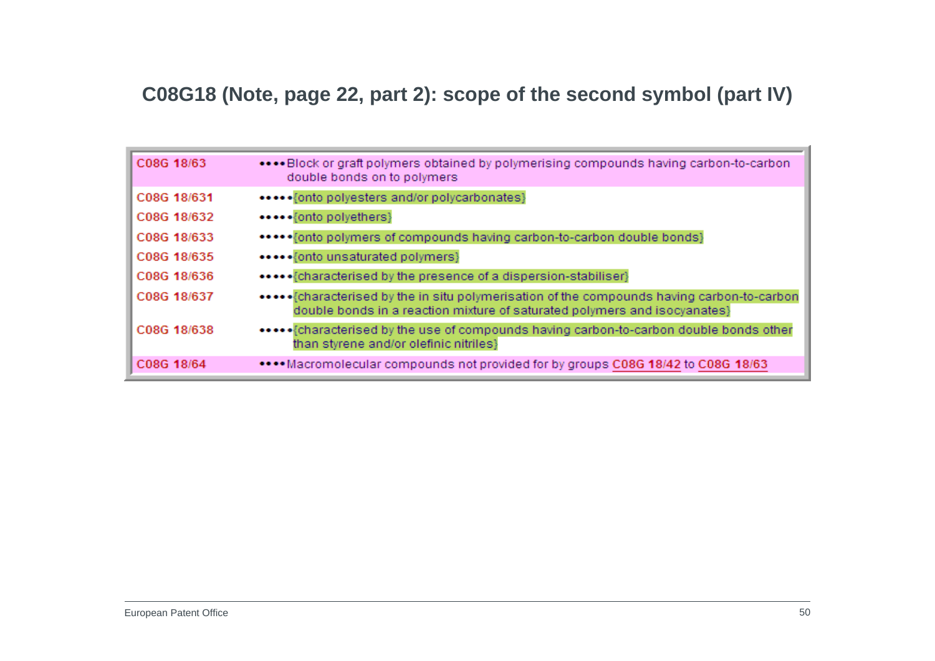### **C08G18 (Note, page 22, part 2): scope of the second symbol (part IV)**

| C08G 18/63  | Block or graft polymers obtained by polymerising compounds having carbon-to-carbon<br>double bonds on to polymers |
|-------------|-------------------------------------------------------------------------------------------------------------------|
| C08G 18/631 | *****{onto polyesters and/or polycarbonates}                                                                      |
| C08G 18/632 | •••••{onto polyethers}                                                                                            |
| C08G 18/633 | ••••• fonto polymers of compounds having carbon-to-carbon double bonds}                                           |
| C08G 18/635 | ••••• {onto unsaturated polymers}                                                                                 |
| C08G 18/636 |                                                                                                                   |
| C08G 18/637 | double bonds in a reaction mixture of saturated polymers and isocyanates}                                         |
| C08G 18/638 | than styrene and/or olefinic nitriles}                                                                            |
| C08G 18/64  | •••• Macromolecular compounds not provided for by groups C08G 18/42 to C08G 18/63                                 |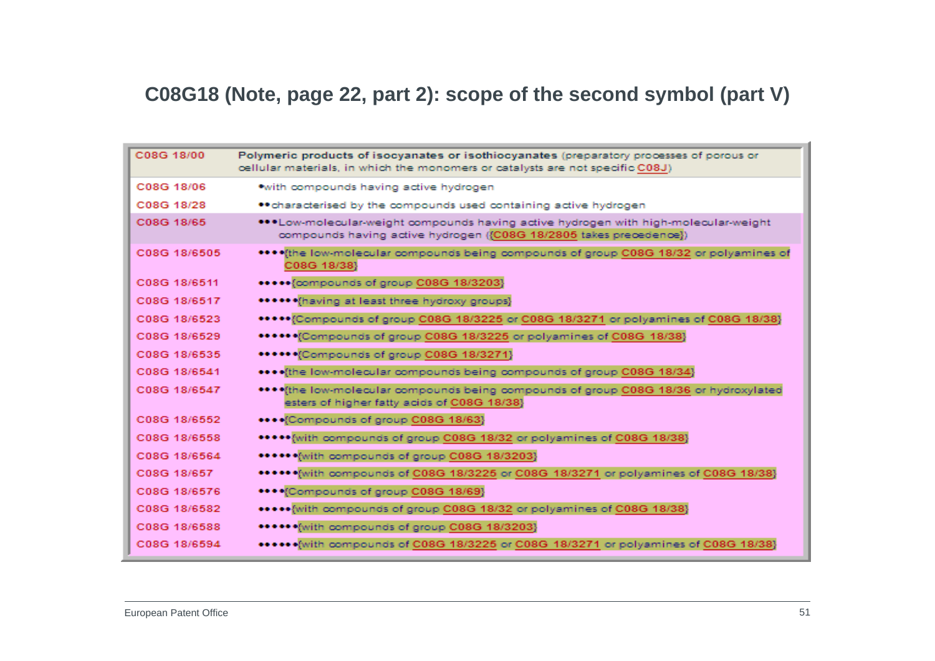# **C08G18 (Note, page 22, part 2): scope of the second symbol (part V)**

| C08G 18/00   | Polymeric products of isocyanates or isothiocyanates (preparatory processes of porous or<br>oellular materials, in which the monomers or catalysts are not specific C08J) |
|--------------|---------------------------------------------------------------------------------------------------------------------------------------------------------------------------|
| C08G 18/06   | *with compounds having active hydrogen                                                                                                                                    |
| C08G 18/28   | ** characterised by the compounds used containing active hydrogen                                                                                                         |
| C08G 18/65   | ***Low-molecular-weight compounds having active hydrogen with high-molecular-weight<br>compounds having active hydrogen ({C08G 18/2805 takes precedence})                 |
| C08G 18/6505 | **** (the low-molecular compounds being compounds of group C08G 18/32 or polyamines of<br>C08G 18/38}                                                                     |
| C08G 18/6511 | ***** {compounds of group C08G 18/3203}                                                                                                                                   |
| C08G 18/6517 | ****** (having at least three hydroxy groups)                                                                                                                             |
| C08G 18/6523 | ***** [Compounds of group C08G 18/3225 or C08G 18/3271 or polyamines of C08G 18/38]                                                                                       |
| C08G 18/6529 | ***** Compounds of group C08G 18/3225 or polyamines of C08G 18/38}                                                                                                        |
| C08G 18/6535 | ****** Compounds of group C08G 18/3271}                                                                                                                                   |
| C08G 18/6541 | **** (the low-molecular compounds being compounds of group C08G 18/34)                                                                                                    |
| C08G 18/6547 | **** (the low-molecular compounds being compounds of group C08G 18/36 or hydroxylated<br>esters of higher fatty acids of C08G 18/38}                                      |
| C08G 18/6552 | **** Compounds of group C08G 18/63}                                                                                                                                       |
| C08G 18/6558 | ***** with compounds of group C08G 18/32 or polyamines of C08G 18/38}                                                                                                     |
| C08G 18/6564 | ****** with compounds of group C08G 18/3203}                                                                                                                              |
| C08G 18/657  | ****** With compounds of C08G 18/3225 or C08G 18/3271 or polyamines of C08G 18/38}                                                                                        |
| C08G 18/6576 | **** (Compounds of group C08G 18/69)                                                                                                                                      |
| C08G 18/6582 | ***** [with compounds of group C08G 18/32 or polyamines of C08G 18/38]                                                                                                    |
| C08G 18/6588 | ****** (with compounds of group C08G 18/3203)                                                                                                                             |
| C08G 18/6594 | ****** with compounds of C08G 18/3225 or C08G 18/3271 or polyamines of C08G 18/38}                                                                                        |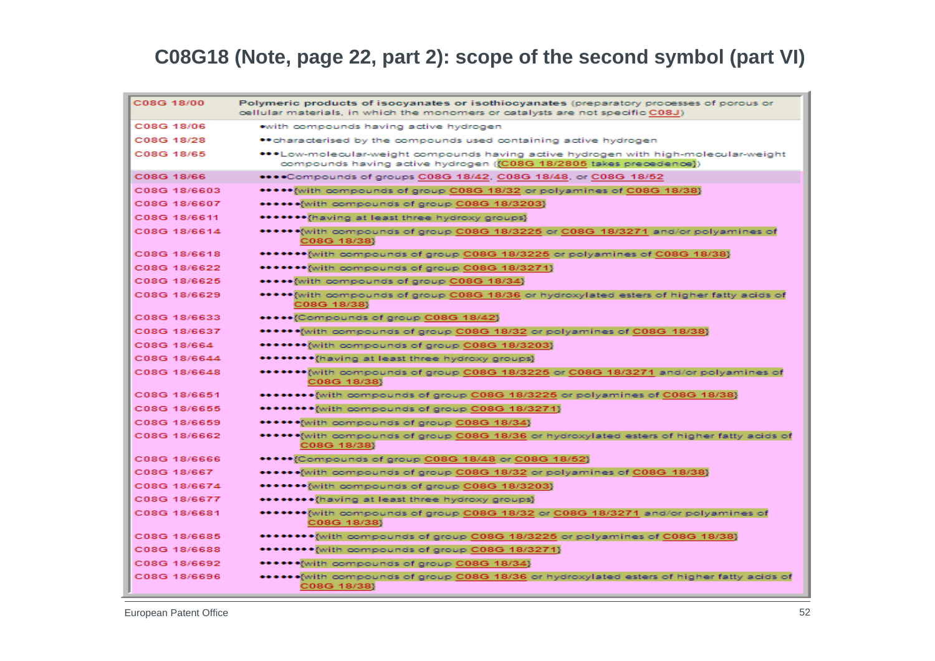### **C08G18 (Note, page 22, part 2): scope of the second symbol (part VI)**

| C08G 18/00   | Polymeric products of isocyanates or isothiocyanates (preparatory processes of porous or<br>cellular materials, in which the monomers or catalysts are not specific C08J) |
|--------------|---------------------------------------------------------------------------------------------------------------------------------------------------------------------------|
| C08G 18/06   | with compounds having active hydrogen                                                                                                                                     |
| C08G 18/28   | ** characterised by the compounds used containing active hydrogen                                                                                                         |
| C08G 18/65   | ***Low-molecular-weight compounds having active hydrogen with high-molecular-weight<br>compounds having active hydrogen ((C08G 18/2805 takes precedence))                 |
| C08G 18/66   | ****Compounds of groups C08G 18/42, C08G 18/48, or C08G 18/52                                                                                                             |
| C08G 18/6603 | ***** {with compounds of group C08G 18/32 or polyamines of C08G 18/38}                                                                                                    |
| C08G 18/6607 | ****** Mirith compounds of group C08G 18/3203}                                                                                                                            |
| C08G 18/6611 | ******* {having at least three hydroxy groups}                                                                                                                            |
| C08G 18/6614 | ******{with compounds of group C08G 18/3225 or C08G 18/3271 and/or polyamines of<br>C08G 18/38}                                                                           |
| C08G 18/6618 | ******* {with compounds of group C08G 18/3225 or polyamines of C08G 18/38}                                                                                                |
| C08G 18/6622 | ******* with compounds of group C08G 18/3271}                                                                                                                             |
| C08G 18/6625 | ***** [with compounds of group C08G 18/34]                                                                                                                                |
| C08G 18/6629 | ***** with compounds of group C08G 18/36 or hydroxylated esters of higher fatty acids of<br>C08G 18/38}                                                                   |
| C08G 18/6633 | *****{Compounds of group C08G 18/42}                                                                                                                                      |
| C08G 18/6637 | ******(with compounds of group C08G 18/32 or polyamines of C08G 18/38}                                                                                                    |
| C08G 18/664  | ******* with compounds of group C08G 18/3203}                                                                                                                             |
| C08G 18/6644 | ********{having at least three hydroxy groups}                                                                                                                            |
| C08G 18/6648 | ******{with compounds of group C08G 18/3225 or C08G 18/3271 and/or polyamines of<br>C08G 18/38}                                                                           |
| C08G 18/6651 | ************ compounds of group C08G 18/3225 or polyamines of C08G 18/38}                                                                                                 |
| C08G 18/6655 | ********{with compounds of group C08G 18/3271}                                                                                                                            |
| C08G 18/6659 | ****** with compounds of group C08G 18/34}                                                                                                                                |
| C08G 18/6662 | ****** with compounds of group C08G 18/36 or hydroxylated esters of higher fatty acids of<br>C08G 18/38}                                                                  |
| C08G 18/6666 | *****{Compounds of group C08G 18/48 or C08G 18/52}                                                                                                                        |
| C08G 18/667  | ******(with compounds of group C08G 18/32 or polyamines of C08G 18/38)                                                                                                    |
| C08G 18/6674 | ******* with compounds of group C08G 18/3203}                                                                                                                             |
| C08G 18/6677 | <b>********</b> (having at least three hydroxy groups)                                                                                                                    |
| C08G 18/6681 | ******* [with compounds of group C08G 18/32 or C08G 18/3271 and/or polyamines of<br>C08G 18/38}                                                                           |
| C08G 18/6685 | *******{with compounds of group C08G 18/3225 or polyamines of C08G 18/38}                                                                                                 |
| C08G 18/6688 | ********{with compounds of group C08G 18/3271}                                                                                                                            |
| C08G 18/6692 | ******{with compounds of group C08G 18/34}                                                                                                                                |
| C08G 18/6696 | ******{with compounds of group C08G 18/36 or hydroxylated esters of higher fatty acids of<br>C08G 18/38}                                                                  |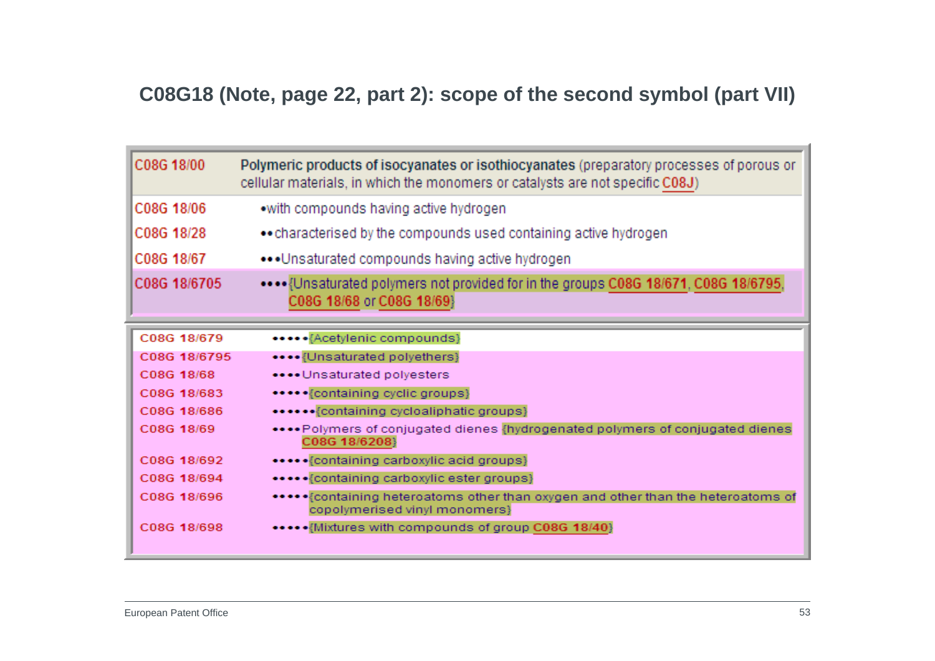### **C08G18 (Note, page 22, part 2): scope of the second symbol (part VII)**

| C08G 18/00   | Polymeric products of isocyanates or isothiocyanates (preparatory processes of porous or<br>cellular materials, in which the monomers or catalysts are not specific C08J) |
|--------------|---------------------------------------------------------------------------------------------------------------------------------------------------------------------------|
| C08G 18/06   | •with compounds having active hydrogen                                                                                                                                    |
| C08G 18/28   | • characterised by the compounds used containing active hydrogen                                                                                                          |
| C08G 18/67   | ••• Unsaturated compounds having active hydrogen                                                                                                                          |
| C08G 18/6705 | Unsaturated polymers not provided for in the groups C08G 18/671, C08G 18/6795,<br>C08G 18/68 or C08G 18/69}                                                               |
| C08G 18/679  | ***** {Acetylenic compounds}                                                                                                                                              |
| C08G 18/6795 | •••• {Unsaturated polyethers}                                                                                                                                             |
| C08G 18/68   | **** Unsaturated polyesters                                                                                                                                               |
| C08G 18/683  | ***** {containing cyclic groups}                                                                                                                                          |
| C08G 18/686  | ****** {containing cycloaliphatic groups}                                                                                                                                 |
| C08G 18/69   | ****Polymers of conjugated dienes {hydrogenated polymers of conjugated dienes<br>C08G 18/6208}                                                                            |
| C08G 18/692  | ***** {containing carboxylic acid groups}                                                                                                                                 |
| C08G 18/694  | ***** {containing carboxylic ester groups}                                                                                                                                |
| C08G 18/696  | ***** {containing heteroatoms other than oxygen and other than the heteroatoms of<br>copolymerised vinyl monomers}                                                        |
| C08G 18/698  | ***** [Mixtures with compounds of group C08G 18/40]                                                                                                                       |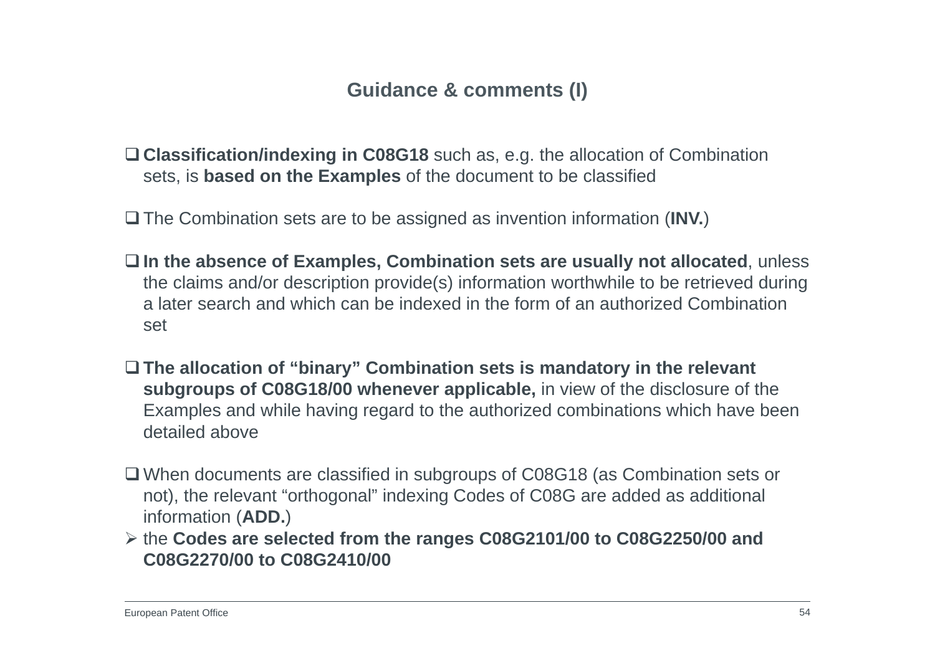#### **Guidance & comments (I)**

- **Classification/indexing in C08G18** such as, e.g. the allocation of Combination sets, is **based on the Examples** of the document to be classified
- The Combination sets are to be assigned as invention information (**INV.**)
- **In the absence of Examples, Combination sets are usually not allocated**, unless the claims and/or description provide(s) information worthwhile to be retrieved during a later search and which can be indexed in the form of an authorized Combination set
- **The allocation of "binary" Combination sets is mandatory in the relevant subgroups of C08G18/00 whenever applicable,** in view of the disclosure of the Examples and while having regard to the authorized combinations which have been detailed above
- When documents are classified in subgroups of C08G18 (as Combination sets or not), the relevant "orthogonal" indexing Codes of C08G are added as additional information (**ADD.**)
- the **Codes are selected from the ranges C08G2101/00 to C08G2250/00 and C08G2270/00 to C08G2410/00**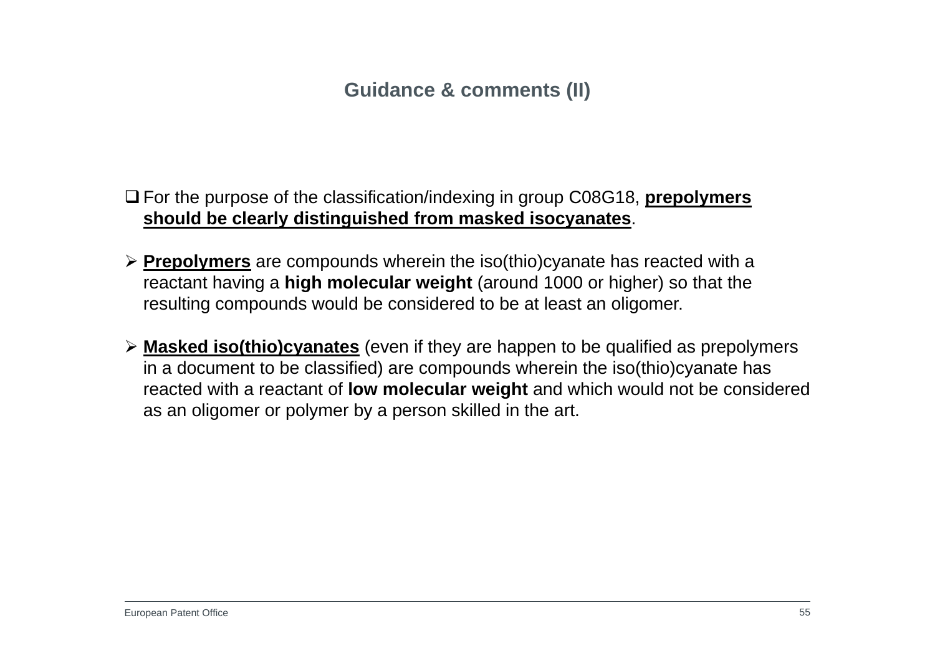### **Guidance & comments (II)**

- For the purpose of the classification/indexing in group C08G18, **prepolymers should be clearly distinguished from masked isocyanates**.
- **Prepolymers** are compounds wherein the iso(thio)cyanate has reacted with a reactant having a **high molecular weight** (around 1000 or higher) so that the resulting compounds would be considered to be at least an oligomer.
- **Masked iso(thio)cyanates** (even if they are happen to be qualified as prepolymers in a document to be classified) are compounds wherein the iso(thio)cyanate has reacted with a reactant of **low molecular weight** and which would not be considered as an oligomer or polymer by a person skilled in the art.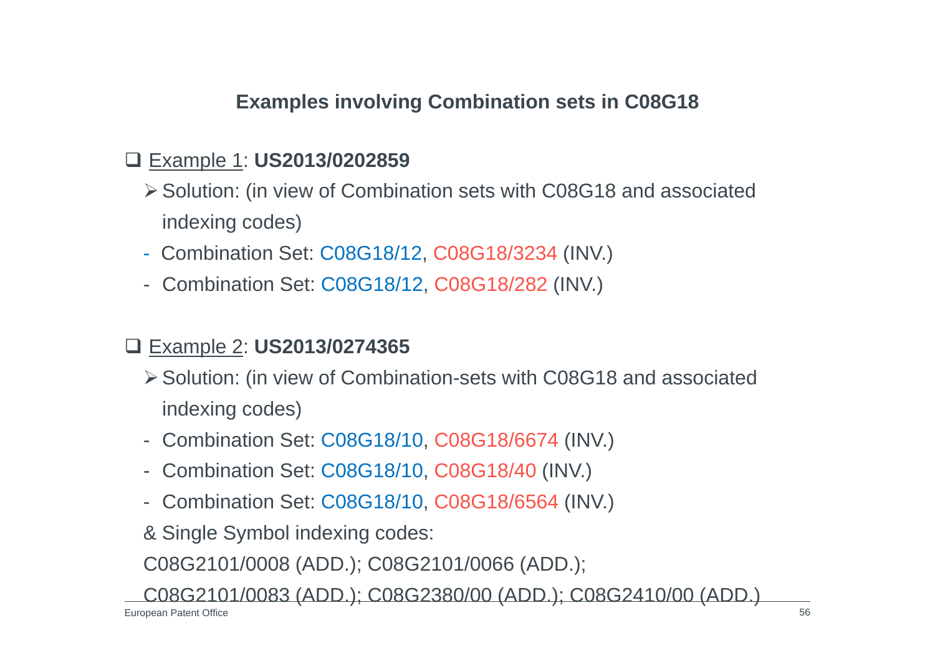### **Examples involving Combination sets in C08G18**

### Example 1: **US2013/0202859**

- Solution: (in view of Combination sets with C08G18 and associated indexing codes)
- Combination Set: C08G18/12, C08G18/3234 (INV.)
- Combination Set: C08G18/12, C08G18/282 (INV.)

### Example 2: **US2013/0274365**

- Solution: (in view of Combination-sets with C08G18 and associated indexing codes)
- Combination Set: C08G18/10, C08G18/6674 (INV.)
- Combination Set: C08G18/10, C08G18/40 (INV.)
- Combination Set: C08G18/10, C08G18/6564 (INV.)
- & Single Symbol indexing codes:

C08G2101/0008 (ADD.); C08G2101/0066 (ADD.);

C08G2101/0083 (ADD.); C08G2380/00 (ADD.); C08G2410/00 (ADD.)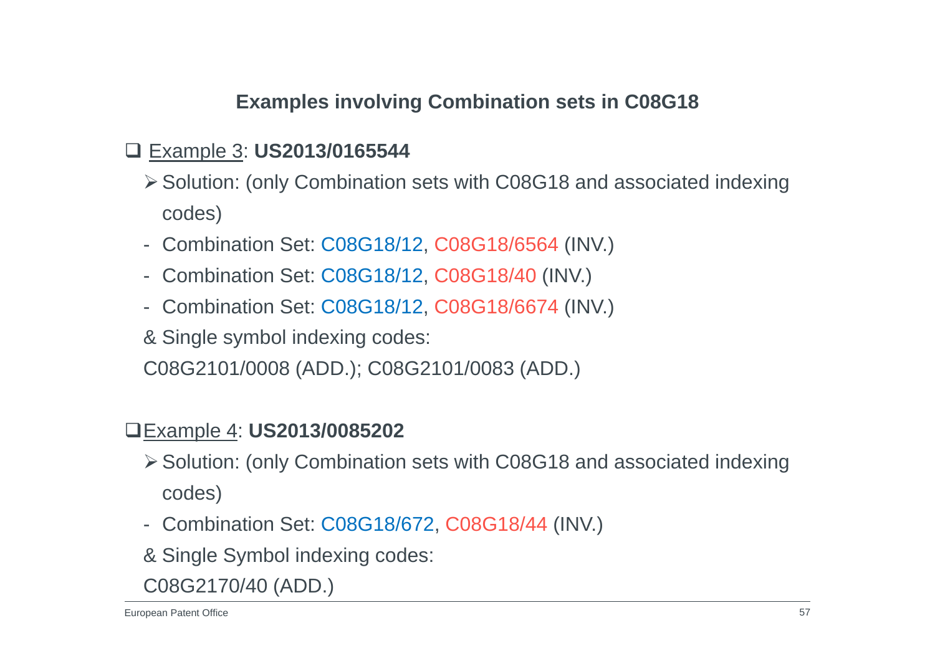### **Examples involving Combination sets in C08G18**

### Example 3: **US2013/0165544**

- Solution: (only Combination sets with C08G18 and associated indexing codes)
- Combination Set: C08G18/12, C08G18/6564 (INV.)
- Combination Set: C08G18/12, C08G18/40 (INV.)
- Combination Set: C08G18/12, C08G18/6674 (INV.)
- & Single symbol indexing codes:

C08G2101/0008 (ADD.); C08G2101/0083 (ADD.)

#### Example 4: **US2013/0085202**

- Solution: (only Combination sets with C08G18 and associated indexing codes)
- Combination Set: C08G18/672, C08G18/44 (INV.)
- & Single Symbol indexing codes:

C08G2170/40 (ADD.)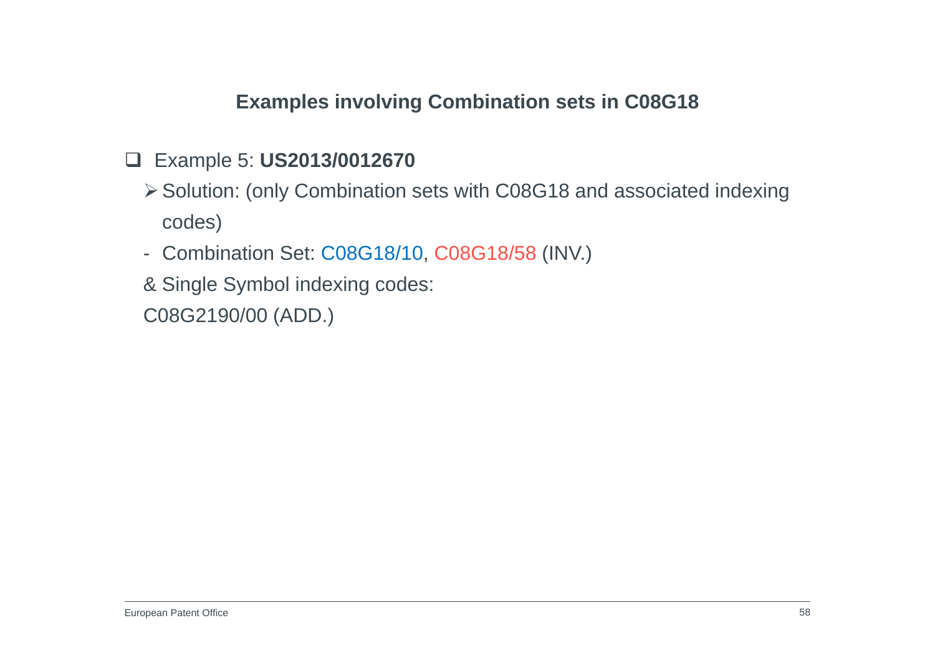### **Examples involving Combination sets in C08G18**

### Example 5: **US2013/0012670**

- Solution: (only Combination sets with C08G18 and associated indexing codes)
- Combination Set: C08G18/10, C08G18/58 (INV.)
- & Single Symbol indexing codes:

C08G2190/00 (ADD.)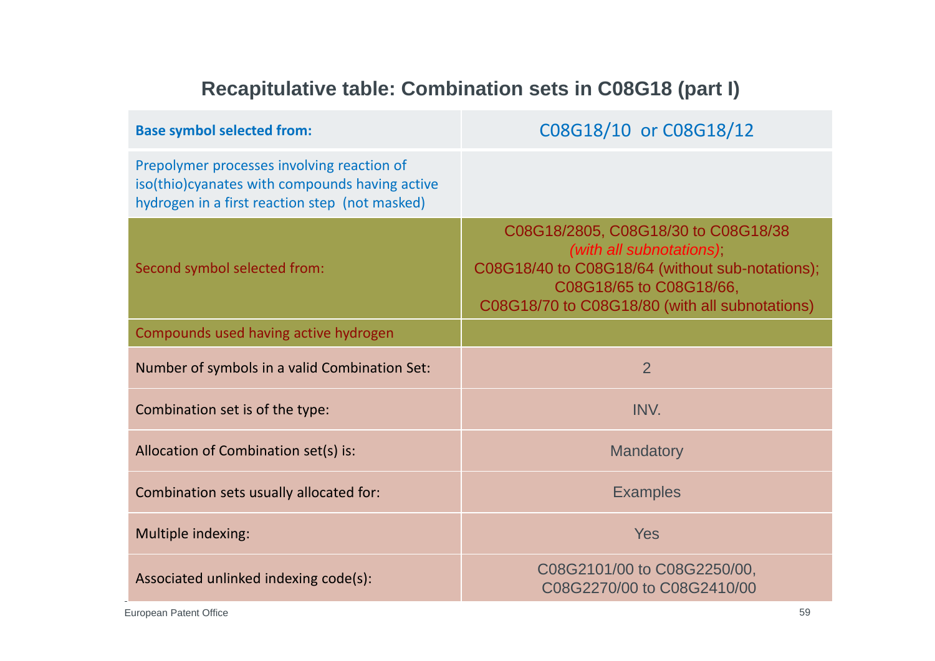# **Recapitulative table: Combination sets in C08G18 (part I)**

| <b>Base symbol selected from:</b>                                                                                                              | C08G18/10 or C08G18/12                                                                                                                                                                          |
|------------------------------------------------------------------------------------------------------------------------------------------------|-------------------------------------------------------------------------------------------------------------------------------------------------------------------------------------------------|
| Prepolymer processes involving reaction of<br>iso(thio)cyanates with compounds having active<br>hydrogen in a first reaction step (not masked) |                                                                                                                                                                                                 |
| Second symbol selected from:                                                                                                                   | C08G18/2805, C08G18/30 to C08G18/38<br>(with all subnotations);<br>C08G18/40 to C08G18/64 (without sub-notations);<br>C08G18/65 to C08G18/66,<br>C08G18/70 to C08G18/80 (with all subnotations) |
| Compounds used having active hydrogen                                                                                                          |                                                                                                                                                                                                 |
| Number of symbols in a valid Combination Set:                                                                                                  | 2                                                                                                                                                                                               |
| Combination set is of the type:                                                                                                                | INV.                                                                                                                                                                                            |
| Allocation of Combination set(s) is:                                                                                                           | <b>Mandatory</b>                                                                                                                                                                                |
| Combination sets usually allocated for:                                                                                                        | <b>Examples</b>                                                                                                                                                                                 |
| Multiple indexing:                                                                                                                             | <b>Yes</b>                                                                                                                                                                                      |
| Associated unlinked indexing code(s):                                                                                                          | C08G2101/00 to C08G2250/00,<br>C08G2270/00 to C08G2410/00                                                                                                                                       |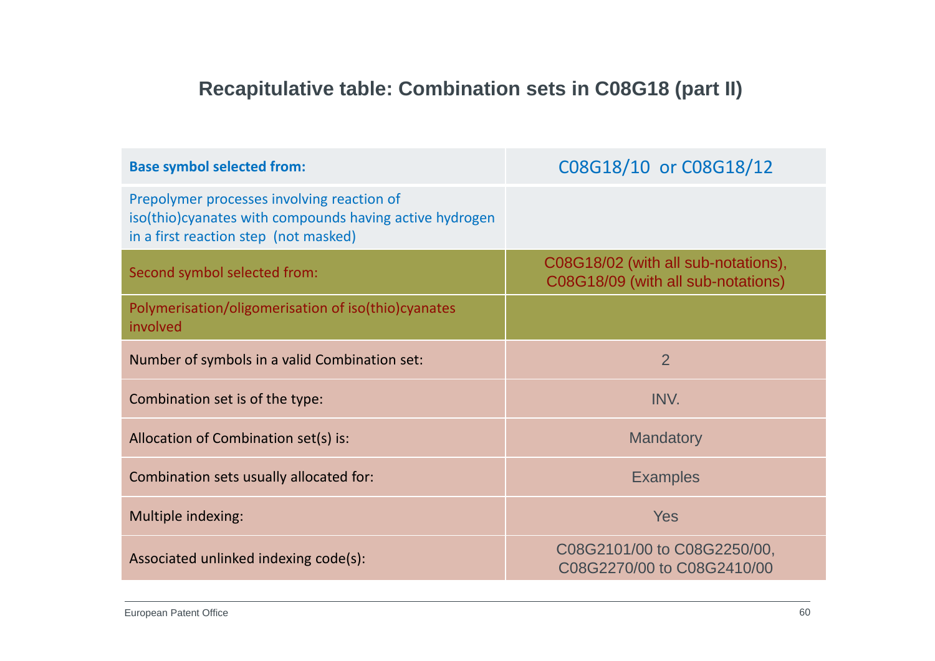# **Recapitulative table: Combination sets in C08G18 (part II)**

| <b>Base symbol selected from:</b>                                                                                                               | C08G18/10 or C08G18/12                                                    |
|-------------------------------------------------------------------------------------------------------------------------------------------------|---------------------------------------------------------------------------|
| Prepolymer processes involving reaction of<br>iso(thio) cyanates with compounds having active hydrogen<br>in a first reaction step (not masked) |                                                                           |
| Second symbol selected from:                                                                                                                    | C08G18/02 (with all sub-notations),<br>C08G18/09 (with all sub-notations) |
| Polymerisation/oligomerisation of iso(thio)cyanates<br>involved                                                                                 |                                                                           |
| Number of symbols in a valid Combination set:                                                                                                   | 2                                                                         |
| Combination set is of the type:                                                                                                                 | INV.                                                                      |
| Allocation of Combination set(s) is:                                                                                                            | <b>Mandatory</b>                                                          |
| Combination sets usually allocated for:                                                                                                         | <b>Examples</b>                                                           |
| Multiple indexing:                                                                                                                              | <b>Yes</b>                                                                |
| Associated unlinked indexing code(s):                                                                                                           | C08G2101/00 to C08G2250/00,<br>C08G2270/00 to C08G2410/00                 |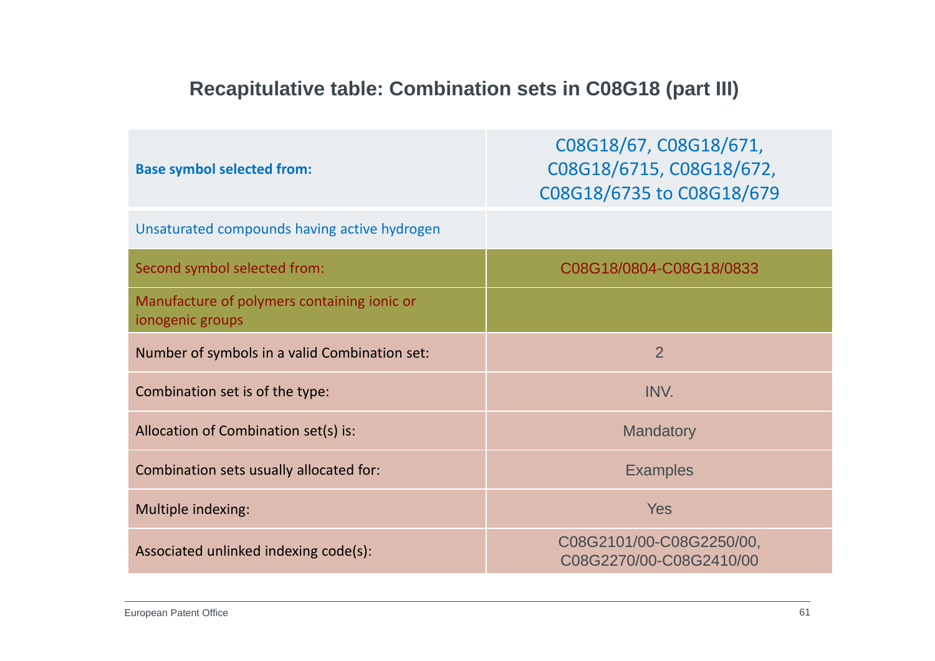# **Recapitulative table: Combination sets in C08G18 (part III)**

| <b>Base symbol selected from:</b>                               | C08G18/67, C08G18/671,<br>C08G18/6715, C08G18/672,<br>C08G18/6735 to C08G18/679 |
|-----------------------------------------------------------------|---------------------------------------------------------------------------------|
| Unsaturated compounds having active hydrogen                    |                                                                                 |
| Second symbol selected from:                                    | C08G18/0804-C08G18/0833                                                         |
| Manufacture of polymers containing ionic or<br>ionogenic groups |                                                                                 |
| Number of symbols in a valid Combination set:                   | $\overline{2}$                                                                  |
| Combination set is of the type:                                 | INV.                                                                            |
| Allocation of Combination set(s) is:                            | <b>Mandatory</b>                                                                |
| Combination sets usually allocated for:                         | <b>Examples</b>                                                                 |
| Multiple indexing:                                              | <b>Yes</b>                                                                      |
| Associated unlinked indexing code(s):                           | C08G2101/00-C08G2250/00,<br>C08G2270/00-C08G2410/00                             |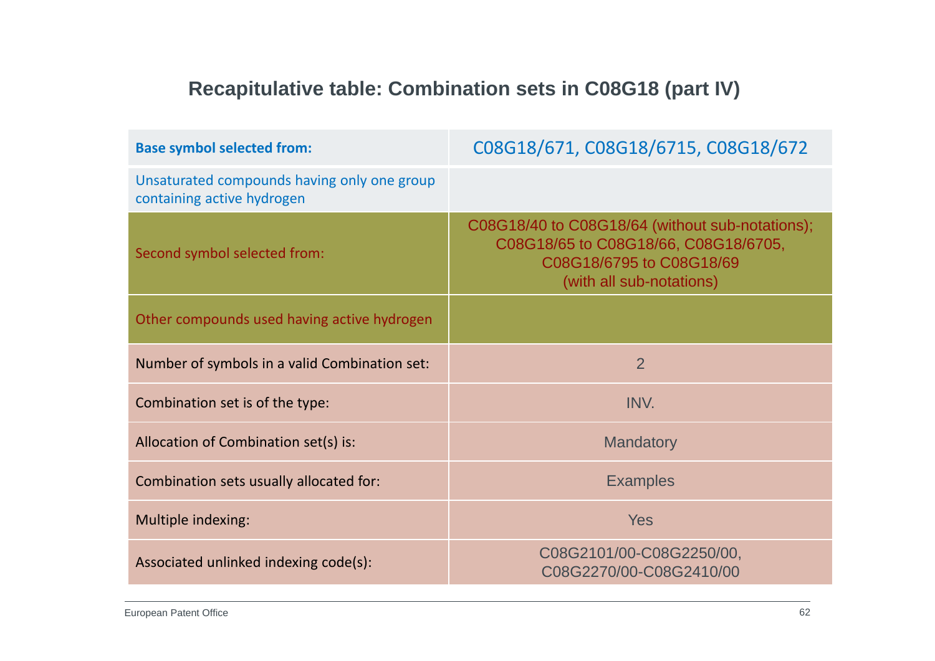# **Recapitulative table: Combination sets in C08G18 (part IV)**

| <b>Base symbol selected from:</b>                                         | C08G18/671, C08G18/6715, C08G18/672                                                                                                             |
|---------------------------------------------------------------------------|-------------------------------------------------------------------------------------------------------------------------------------------------|
| Unsaturated compounds having only one group<br>containing active hydrogen |                                                                                                                                                 |
| Second symbol selected from:                                              | C08G18/40 to C08G18/64 (without sub-notations);<br>C08G18/65 to C08G18/66, C08G18/6705,<br>C08G18/6795 to C08G18/69<br>(with all sub-notations) |
| Other compounds used having active hydrogen                               |                                                                                                                                                 |
| Number of symbols in a valid Combination set:                             | $\overline{2}$                                                                                                                                  |
| Combination set is of the type:                                           | INV.                                                                                                                                            |
| Allocation of Combination set(s) is:                                      | <b>Mandatory</b>                                                                                                                                |
| Combination sets usually allocated for:                                   | <b>Examples</b>                                                                                                                                 |
| Multiple indexing:                                                        | <b>Yes</b>                                                                                                                                      |
| Associated unlinked indexing code(s):                                     | C08G2101/00-C08G2250/00,<br>C08G2270/00-C08G2410/00                                                                                             |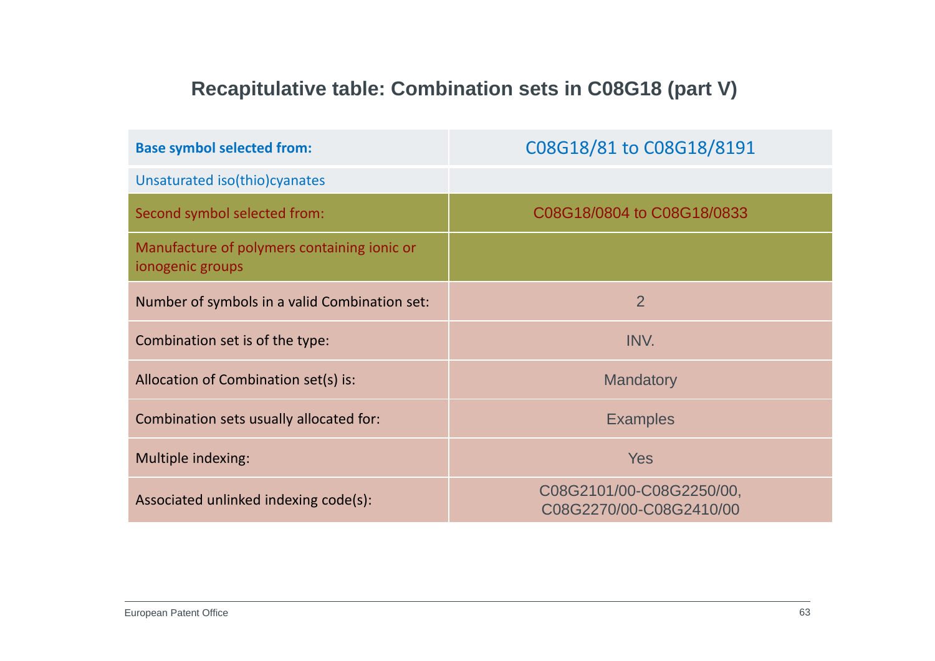# **Recapitulative table: Combination sets in C08G18 (part V)**

| <b>Base symbol selected from:</b>                               | C08G18/81 to C08G18/8191                            |
|-----------------------------------------------------------------|-----------------------------------------------------|
| Unsaturated iso(thio) cyanates                                  |                                                     |
| Second symbol selected from:                                    | C08G18/0804 to C08G18/0833                          |
| Manufacture of polymers containing ionic or<br>ionogenic groups |                                                     |
| Number of symbols in a valid Combination set:                   | $\overline{2}$                                      |
| Combination set is of the type:                                 | INV.                                                |
| Allocation of Combination set(s) is:                            | <b>Mandatory</b>                                    |
| Combination sets usually allocated for:                         | <b>Examples</b>                                     |
| Multiple indexing:                                              | <b>Yes</b>                                          |
| Associated unlinked indexing code(s):                           | C08G2101/00-C08G2250/00,<br>C08G2270/00-C08G2410/00 |